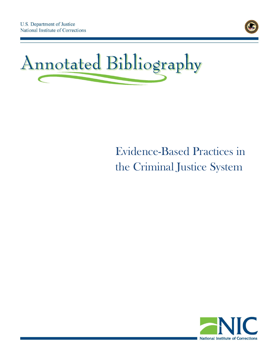



# Evidence-Based Practices in the Criminal Justice System

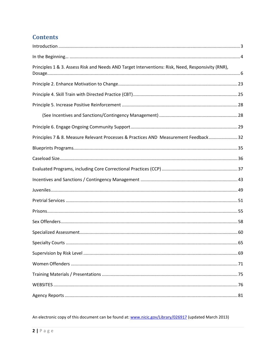# **Contents**

| Principles 1 & 3. Assess Risk and Needs AND Target Interventions: Risk, Need, Responsivity (RNR), |  |
|---------------------------------------------------------------------------------------------------|--|
|                                                                                                   |  |
|                                                                                                   |  |
|                                                                                                   |  |
|                                                                                                   |  |
|                                                                                                   |  |
| Principles 7 & 8. Measure Relevant Processes & Practices AND Measurement Feedback 32              |  |
|                                                                                                   |  |
|                                                                                                   |  |
|                                                                                                   |  |
|                                                                                                   |  |
|                                                                                                   |  |
|                                                                                                   |  |
|                                                                                                   |  |
|                                                                                                   |  |
|                                                                                                   |  |
|                                                                                                   |  |
|                                                                                                   |  |
|                                                                                                   |  |
|                                                                                                   |  |
|                                                                                                   |  |
|                                                                                                   |  |

An electronic copy of this document can be found at: www.nicic.gov/Library/026917 (updated March 2013)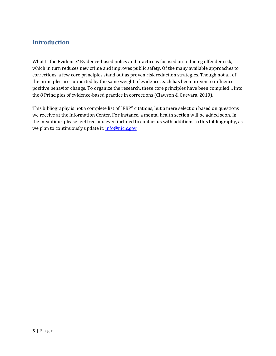#### <span id="page-2-0"></span>**Introduction**

What Is the Evidence? Evidence-based policy and practice is focused on reducing offender risk, which in turn reduces new crime and improves public safety. Of the many available approaches to corrections, a few core principles stand out as proven risk reduction strategies. Though not all of the principles are supported by the same weight of evidence, each has been proven to influence positive behavior change. To organize the research, these core principles have been compiled… into the 8 Principles of evidence-based practice in corrections (Clawson & Guevara, 2010).

This bibliography is not a complete list of "EBP" citations, but a mere selection based on questions we receive at the Information Center. For instance, a mental health section will be added soon. In the meantime, please feel free and even inclined to contact us with additions to this bibliography, as we plan to continuously update it: [info@nicic.gov](mailto:info@nicic.gov)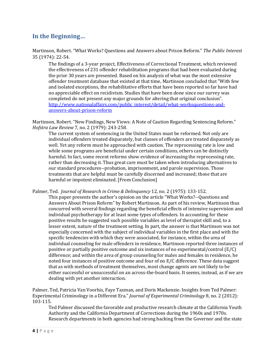# <span id="page-3-0"></span>**In the Beginning…**

Martinson, Robert. "What Works? Questions and Answers about Prison Reform." *The Public Interest*  35 (1974): 22-54.

The findings of a 3-year project, Effectiveness of Correctional Treatment, which reviewed the effectiveness of 231 offender rehabilitation programs that had been evaluated during the prior 30 years are presented. Based on his analysis of what was the most extensive offender treatment database that existed at that time, Martinson concluded that "With few and isolated exceptions, the rehabilitative efforts that have been reported so far have had no appreciable effect on recidivism. Studies that have been done since our survey was completed do not present any major grounds for altering that original conclusion". [http://www.nationalaffairs.com/public\\_interest/detail/what-worksquestions-and](http://www.nationalaffairs.com/public_interest/detail/what-worksquestions-and-answers-about-prison-reform)[answers-about-prison-reform](http://www.nationalaffairs.com/public_interest/detail/what-worksquestions-and-answers-about-prison-reform) 

Martinson, Robert. "New Findings, New Views: A Note of Caution Regarding Sentencing Reform." *Hofstra Law Review* 7, no. 2 (1979): 243-258.

The current system of sentencing in the United States must be reformed. Not only are individual offenders treated disparately, but classes of offenders are treated disparately as well. Yet any reform must be approached with caution. The reprocessing rate is low and while some programs are beneficial under certain conditions, others can be distinctly harmful. In fact, some recent reforms show evidence of increasing the reprocessing rate, rather than decreasing it. Thus great care must be taken when introducing alternatives to our standard procedures--probation, imprisonment, and parole supervision. Those treatments that are helpful must be carefully discerned and increased; those that are harmful or impotent eliminated. [From Conclusion]

Palmer, Ted. *Journal of Research in Crime & Delinquency* 12, no. 2 (1975): 133-152.

This paper presents the author's opinion on the article "What Works?--Questions and Answers About Prison Reform" by Robert Martinson. As part of his review, Martinson thus concurred with several findings regarding the beneficial effects of intensive supervision and individual psychotherapy for at least some types of offenders. In accounting for these positive results he suggested such possible variables as level of therapist skill and, to a lesser extent, nature of the treatment setting. In part, the answer is that Martinson was not especially concerned with the subject of individual variables in the first place and with the specific tendencies with which they were associated, for instance, within the area of individual counseling for male offenders in residence, Martinson reported three instances of positive or partially positive outcome and six instances of no experimental/control (E/C) difference; and within the area of group counseling for males and females in residence, he noted four instances of positive outcome and four of no E/C difference. These data suggest that as with methods of treatment themselves, most change agents are not likely to be either successful or unsuccessful on an across-the-board basis. It seems, instead, as if we are dealing with yet another interaction.

Palmer, Ted, Patricia Van Voorhis, Faye Taxman, and Doris Mackenzie. Insights from Ted Palmer: Experimental Criminology in a Different Era." *Journal of Experimental Criminology* 8, no. 2 (2012): 103-115.

Ted Palmer discussed the favorable and productive research climate at the California Youth Authority and the California Department of Corrections during the 1960s and 1970s. Research departments in both agencies had strong backing from the Governor and the state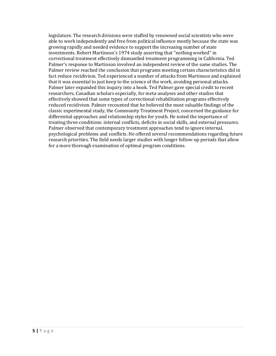legislature. The research divisions were staffed by renowned social scientists who were able to work independently and free from political influence mostly because the state was growing rapidly and needed evidence to support the increasing number of state investments. Robert Martinson's 1974 study asserting that "nothing worked" in correctional treatment effectively dismantled treatment programming in California. Ted Palmer's response to Martinson involved an independent review of the same studies. The Palmer review reached the conclusion that programs meeting certain characteristics did in fact reduce recidivism. Ted experienced a number of attacks from Martinson and explained that it was essential to just keep to the science of the work, avoiding personal attacks. Palmer later expanded this inquiry into a book. Ted Palmer gave special credit to recent researchers, Canadian scholars especially, for meta-analyses and other studies that effectively showed that some types of correctional rehabilitation programs effectively reduced recidivism. Palmer recounted that he believed the most valuable findings of the classic experimental study, the Community Treatment Project, concerned the guidance for differential approaches and relationship styles for youth. He noted the importance of treating three conditions: internal conflicts, deficits in social skills, and external pressures. Palmer observed that contemporary treatment approaches tend to ignore internal, psychological problems and conflicts. He offered several recommendations regarding future research priorities. The field needs larger studies with longer follow-up periods that allow for a more thorough examination of optimal program conditions.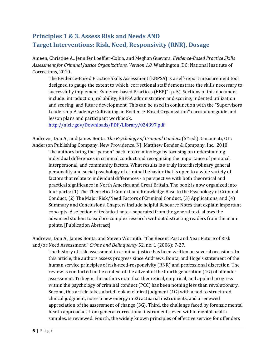# <span id="page-5-0"></span>**Principles 1 & 3. Assess Risk and Needs AND Target Interventions: Risk, Need, Responsivity (RNR), Dosage**

Ameen, Christine A., Jennifer Loeffler-Cobia, and Meghan Guevara. *Evidence-Based Practice Skills Assessment for Criminal Justice Organizations, Version 1.0*. Washington, DC: National Institute of Corrections, 2010.

The Evidence-Based Practice Skills Assessment (EBPSA) is a self-report measurement tool designed to gauge the extent to which correctional staff demonstrate the skills necessary to successfully implement Evidence-based Practices (EBP)" (p. 5). Sections of this document include: introduction; reliability; EBPSA administration and scoring; indented utilization and scoring; and future development. This can be used in conjunction with the "Supervisors Leadership Academy: Cultivating an Evidence-Based Organization" curriculum guide and lesson plans and participant workbook.

<http://nicic.gov/Downloads/PDF/Library/024397.pdf>

Andrews, Don A., and James Bonta. *The Psychology of Criminal Conduct* (5th ed.). Cincinnati, OH: Anderson Publishing Company. New Providence, NJ: Matthew Bender & Company, Inc., 2010.

The authors bring the "person" back into criminology by focusing on understanding individual differences in criminal conduct and recognizing the importance of personal, interpersonal, and community factors. What results is a truly interdisciplinary general personality and social psychology of criminal behavior that is open to a wide variety of factors that relate to individual differences - a perspective with both theoretical and practical significance in North America and Great Britain. The book is now organized into four parts: (1) The Theoretical Context and Knowledge Base to the Psychology of Criminal Conduct, (2) The Major Risk/Need Factors of Criminal Conduct, (3) Applications, and (4) Summary and Conclusions. Chapters include helpful Resource Notes that explain important concepts. A selection of technical notes, separated from the general text, allows the advanced student to explore complex research without distracting readers from the main points. [Publication Abstract]

Andrews, Don A., James Bonta, and Steven Wormith. "The Recent Past and Near Future of Risk and/or Need Assessment." *Crime and Delinquency* 52, no. 1 (2006): 7-27.

The history of risk assessment in criminal justice has been written on several occasions. In this article, the authors assess progress since Andrews, Bonta, and Hoge's statement of the human service principles of risk-need-responsivity (RNR) and professional discretion. The review is conducted in the context of the advent of the fourth generation (4G) of offender assessment. To begin, the authors note that theoretical, empirical, and applied progress within the psychology of criminal conduct (PCC) has been nothing less than revolutionary. Second, this article takes a brief look at clinical judgment (1G) with a nod to structured clinical judgment, notes a new energy in 2G actuarial instruments, and a renewed appreciation of the assessment of change (3G). Third, the challenge faced by forensic mental health approaches from general correctional instruments, even within mental health samples, is reviewed. Fourth, the widely known principles of effective service for offenders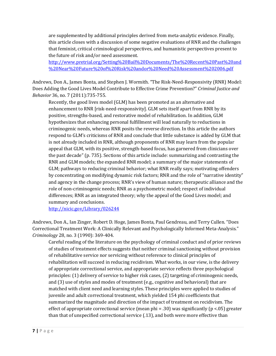are supplemented by additional principles derived from meta-analytic evidence. Finally, this article closes with a discussion of some negative evaluations of RNR and the challenges that feminist, critical criminological perspectives, and humanistic perspectives present to the future of risk and/or need assessment.

[http://www.pretrial.org/Setting%20Bail%20Documents/The%20Recent%20Past%20and](http://www.pretrial.org/Setting%20Bail%20Documents/The%20Recent%20Past%20and%09%20Near%20Future%20of%20Risk%20andor%20Need%20Assessment%202006.pdf) [%20Near%20Future%20of%20Risk%20andor%20Need%20Assessment%202006.pdf](http://www.pretrial.org/Setting%20Bail%20Documents/The%20Recent%20Past%20and%09%20Near%20Future%20of%20Risk%20andor%20Need%20Assessment%202006.pdf)

Andrews, Don A., James Bonta, and Stephen J. Wormith. "The Risk-Need-Responsivity (RNR) Model: Does Adding the Good Lives Model Contribute to Effective Crime Prevention?" *Criminal Justice and Behavior* 36, no. 7 (2011):735-755.

Recently, the good lives model (GLM) has been promoted as an alternative and enhancement to RNR [risk-need-responsivity]. GLM sets itself apart from RNR by its positive, strengths-based, and restorative model of rehabilitation. In addition, GLM hypothesizes that enhancing personal fulfillment will lead naturally to reductions in criminogenic needs, whereas RNR posits the reverse direction. In this article the authors respond to GLM's criticisms of RNR and conclude that little substance is added by GLM that is not already included in RNR, although proponents of RNR may learn from the popular appeal that GLM, with its positive, strength-based focus, has garnered from clinicians over the past decade" (p. 735). Sections of this article include: summarizing and contrasting the RNR and GLM models; the expanded RNR model; a summary of the major statements of GLM; pathways to reducing criminal behavior; what RNR really says; motivating offenders by concentrating on modifying dynamic risk factors; RNR and the role of "narrative identity" and agency in the change process; RNR's view of human nature; therapeutic alliance and the role of non-criminogenic needs; RNR as a psychometric model; respect of individual differences; RNR as an integrated theory; why the appeal of the Good Lives model; and summary and conclusions.

<http://nicic.gov/Library/026244>

Andrews, Don A., Ian Zinger, Robert D. Hoge, James Bonta, Paul Gendreau, and Terry Cullen. "Does Correctional Treatment Work: A Clinically Relevant and Psychologically Informed Meta-Analysis." *Criminology* 28, no. 3 (1990): 369-404.

Careful reading of the literature on the psychology of criminal conduct and of prior reviews of studies of treatment effects suggests that neither criminal sanctioning without provision of rehabilitative service nor servicing without reference to clinical principles of rehabilitation will succeed in reducing recidivism. What works, in our view, is the delivery of appropriate correctional service, and appropriate service reflects three psychological principles: (1) delivery of service to higher risk cases, (2) targeting of criminogenic needs, and (3) use of styles and modes of treatment (e.g., cognitive and behavioral) that are matched with client need and learning styles. These principles were applied to studies of juvenile and adult correctional treatment, which yielded 154 phi coefficients that summarized the magnitude and direction of the impact of treatment on recidivism. The effect of appropriate correctional service (mean phi = .30) was significantly ( $p$  <.05) greater than that of unspecified correctional service (.13), and both were more effective than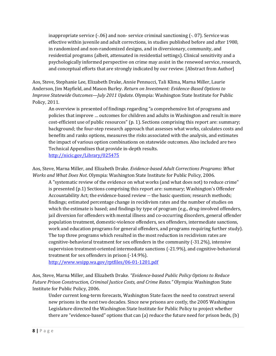inappropriate service (-.06) and non- service criminal sanctioning (-. 07). Service was effective within juvenile and adult corrections, in studies published before and after 1980, in randomized and non-randomized designs, and in diversionary, community, and residential programs (albeit, attenuated in residential settings). Clinical sensitivity and a psychologically informed perspective on crime may assist in the renewed service, research, and conceptual efforts that are strongly indicated by our review. [Abstract from Author]

Aos, Steve, Stephanie Lee, Elizabeth Drake, Annie Pennucci, Tali Klima, Marna Miller, Laurie Anderson, Jim Mayfield, and Mason Burley. *Return on Investment: Evidence-Based Options to Improve Statewide Outcomes—July 2011 Update*. Olympia: Washington State Institute for Public Policy, 2011.

An overview is presented of findings regarding "a comprehensive list of programs and policies that improve … outcomes for children and adults in Washington and result in more cost-efficient use of public resources" (p. 1). Sections comprising this report are: summary; background; the four-step research approach that assesses what works, calculates costs and benefits and ranks options, measures the risks associated with the analysis, and estimates the impact of various option combinations on statewide outcomes. Also included are two Technical Appendixes that provide in-depth results. <http://nicic.gov/Library/025475>

Aos, Steve, Marna Miller, and Elizabeth Drake. *Evidence-based Adult Corrections Programs: What Works and What Does Not*. Olympia: Washington State Institute for Public Policy, 2006.

A "systematic review of the evidence on what works (and what does not) to reduce crime" is presented (p.1) Sections comprising this report are: summary; Washington's Offender Accountability Act; the evidence-based review -- the basic question; research methods; findings; estimated percentage change in recidivism rates and the number of studies on which the estimate is based; and findings by type of program (e.g., drug-involved offenders, jail diversion for offenders with mental illness and co-occurring disorders, general offender population treatment, domestic-violence offenders, sex offenders, intermediate sanctions, work and education programs for general offenders, and programs requiring further study). The top three programs which resulted in the most reduction in recidivism rates are cognitive-behavioral treatment for sex offenders in the community (-31.2%), intensive supervision treatment-oriented intermediate sanctions (-21.9%), and cognitive-behavioral treatment for sex offenders in prison (-14.9%).

<http://www.wsipp.wa.gov/rptfiles/06-01-1201.pdf>

Aos, Steve, Marna Miller, and Elizabeth Drake*. "Evidence-based Public Policy Options to Reduce Future Prison Construction, Criminal Justice Costs, and Crime Rates."* Olympia: Washington State Institute for Public Policy, 2006.

Under current long-term forecasts, Washington State faces the need to construct several new prisons in the next two decades. Since new prisons are costly, the 2005 Washington Legislature directed the Washington State Institute for Public Policy to project whether there are "evidence-based" options that can (a) reduce the future need for prison beds, (b)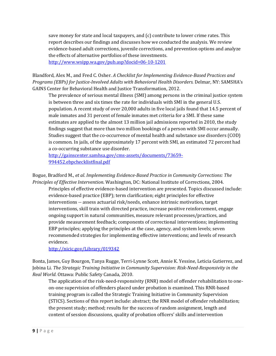save money for state and local taxpayers, and (c) contribute to lower crime rates. This report describes our findings and discusses how we conducted the analysis. We review evidence-based adult corrections, juvenile corrections, and prevention options and analyze the effects of alternative portfolios of these investments. <http://www.wsipp.wa.gov/pub.asp?docid=06-10-1201>

Blandford, Alex M., and Fred C. Osher. *A Checklist for Implementing Evidence-Based Practices and Programs (EBPs) for Justice-Involved Adults with Behavioral Health Disorders.* Delmar, NY: SAMSHA's GAINS Center for Behavioral Health and Justice Transformation, 2012.

The prevalence of serious mental illness (SMI) among persons in the criminal justice system is between three and six times the rate for individuals with SMI in the general U.S. population. A recent study of over 20,000 adults in five local jails found that 14.5 percent of male inmates and 31 percent of female inmates met criteria for a SMI. If these same estimates are applied to the almost 13 million jail admissions reported in 2010, the study findings suggest that more than two million bookings of a person with SMI occur annually. Studies suggest that the co-occurrence of mental health and substance use disorders (COD) is common. In jails, of the approximately 17 percent with SMI, an estimated 72 percent had a co-occurring substance use disorder.

[http://gainscenter.samhsa.gov/cms-assets/documents/73659-](http://gainscenter.samhsa.gov/cms-assets/documents/73659-994452.ebpchecklistfinal.pdf) [994452.ebpchecklistfinal.pdf](http://gainscenter.samhsa.gov/cms-assets/documents/73659-994452.ebpchecklistfinal.pdf)

Bogue, Bradford M., *et al*. *Implementing Evidence-Based Practice in Community Corrections: The Principles of Effective Intervention*. Washington, DC: National Institute of Corrections, 2004.

Principles of effective evidence-based intervention are presented. Topics discussed include: evidence-based practice (EBP); term clarification; eight principles for effective interventions -- assess actuarial risk/needs, enhance intrinsic motivation, target interventions, skill train with directed practice, increase positive reinforcement, engage ongoing support in natural communities, measure relevant processes/practices, and provide measurement feedback; components of correctional interventions; implementing EBP principles; applying the principles at the case, agency, and system levels; seven recommended strategies for implementing effective interventions; and levels of research evidence.

<http://nicic.gov/Library/019342>

Bonta, James, Guy Bourgon, Tanya Rugge, Terri-Lynne Scott, Annie K. Yessine, Leticia Gutierrez, and Jobina Li. *The Strategic Training Initiative in Community Supervision: Risk-Need-Responsivity in the Real World*. Ottawa: Public Safety Canada, 2010.

The application of the risk-need-responsivity (RNR) model of offender rehabilitation to oneon-one supervision of offenders placed under probation is examined. This RNR-based training program is called the Strategic Training Initiative in Community Supervision (STICS). Sections of this report include: abstract; the RNR model of offender rehabilitation; the present study; method; results for the success of random assignment, length and content of session discussions, quality of probation officers' skills and intervention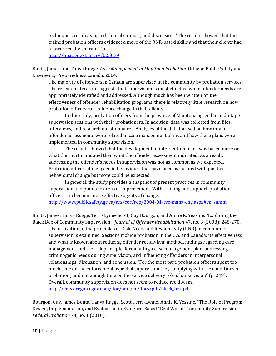techniques, recidivism, and clinical support; and discussion. "The results showed that the trained probation officers evidenced more of the RNR-based skills and that their clients had a lower recidivism rate" (p. ii).

<http://nicic.gov/Library/025079>

Bonta, James, and Tanya Rugge. *Case Management in Manitoba Probation.* Ottawa: Public Safety and Emergency Preparedness Canada, 2004.

The majority of offenders in Canada are supervised in the community by probation services. The research literature suggests that supervision is most effective when offender needs are appropriately identified and addressed. Although much has been written on the effectiveness of offender rehabilitation programs, there is relatively little research on how probation officers can influence change in their clients.

In this study, probation officers from the province of Manitoba agreed to audiotape supervision sessions with their probationers. In addition, data was collected from files, interviews, and research questionnaires. Analyses of the data focused on how intake offender assessments were related to case management plans and how these plans were implemented in community supervision.

The results showed that the development of intervention plans was based more on what the court mandated then what the offender assessment indicated. As a result, addressing the offender's needs in supervision was not as common as we expected. Probation officers did engage in behaviours that have been associated with positive behavioural change but more could be expected.

In general, the study provides a snapshot of present practices in community supervision and points to areas of improvement. With training and support, probation officers can become more effective agents of change.

[http://www.publicsafety.gc.ca/res/cor/rep/2004-01-cse-mana-eng.aspx#cn\\_summ](http://www.publicsafety.gc.ca/res/cor/rep/2004-01-cse-mana-eng.aspx#cn_summ)

Bonta, James, Tanya Rugge, Terri-Lynne Scott, Guy Bourgon, and Annie K. Yessine. "Exploring the Black Box of Community Supervision." *Journal of Offender Rehabilitation* 47, no. 3 (2008): 248-270.

The utilization of the principles of Risk, Need, and Responsivity (RNR) in community supervision is examined. Sections include probation in the U.S. and Canada; its effectiveness and what is known about reducing offender recidivism; method, findings regarding case management and the risk principle, formulating a case management plan, addressing criminogenic needs during supervision, and influencing offenders in interpersonal relationships; discussion; and conclusion. "For the most part, probation officers spent too much time on the enforcement aspect of supervision (i.e., complying with the conditions of probation) and not enough time on the service delivery role of supervision" (p. 248). Overall, community supervision does not seem to reduce recidivism. [http://cms.oregon.egov.com/doc/omr/cc/docs/pdf/black\\_box.pdf](http://cms.oregon.egov.com/doc/omr/cc/docs/pdf/black_box.pdf)

Bourgon, Guy, James Bonta, Tanya Rugge, Scott Terri-Lynne, Annie K. Yessine. "The Role of Program Design, Implementation, and Evaluation in Evidence-Based "Real World" Community Supervision." *Federal Probation* 74, no. 1 (2010).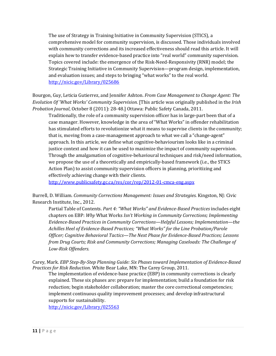The use of Strategy in Training Initiative in Community Supervision (STICS), a comprehensive model for community supervision, is discussed. Those individuals involved with community corrections and its increased effectiveness should read this article. It will explain how to transfer evidence-based practice into "real world" community supervision. Topics covered include: the emergence of the Risk-Need-Responsivity (RNR) model; the Strategic Training Initiative in Community Supervision—program design, implementation, and evaluation issues; and steps to bringing "what works" to the real world. <http://nicic.gov/Library/025686>

Bourgon, Guy, Leticia Gutierrez, and Jennifer Ashton. *From Case Management to Change Agent: The Evolution Of 'What Works' Community Supervision.* [This article was originally published in the *Irish Probation Journal*, October 8 (2011): 28-48.] Ottawa: Public Safety Canada, 2011.

Traditionally, the role of a community supervision officer has in large-part been that of a case manager. However, knowledge in the area of "What Works" in offender rehabilitation has stimulated efforts to revolutionize what it means to supervise clients in the community; that is, moving from a case-management approach to what we call a "change-agent" approach. In this article, we define what cognitive-behaviourism looks like in a criminal justice context and how it can be used to maximize the impact of community supervision. Through the amalgamation of cognitive-behavioural techniques and risk/need information, we propose the use of a theoretically and empirically-based framework (i.e., the STICS Action Plan) to assist community supervision officers in planning, prioritizing and effectively achieving change with their clients.

<http://www.publicsafety.gc.ca/res/cor/rep/2012-01-cmca-eng.aspx>

Burrell, D. William. *Community Corrections Management: Issues and Strategies.* Kingston, NJ: Civic Research Institute, Inc., 2012.

Partial Table of Contents. *Part 4: "What Works" and Evidence-Based Practices* includes eight chapters on EBP: *Why* What Works *Isn't Working in Community Corrections; Implementing Evidence-Based Practices in Community Corrections—Helpful Lessons; Implementation—the Achilles Heel of Evidence-Based Practices; "What Works" for the Line Probation/Parole Officer; Cognitive Behavioral Tactics—The Next Phase for Evidence-Based Practices; Lessons from Drug Courts; Risk and Community Corrections; Managing Caseloads: The Challenge of Low-Risk Offenders.* 

Carey, Mark. *EBP Step-By-Step Planning Guide: Six Phases toward Implementation of Evidence-Based Practices for Risk Reduction*. White Bear Lake, MN: The Carey Group, 2011.

The implementation of evidence-base practice (EBP) in community corrections is clearly explained. These six phases are: prepare for implementation; build a foundation for risk reduction; begin stakeholder collaboration; master the core correctional competencies; implement continuous quality improvement processes; and develop infrastructural supports for sustainability.

<http://nicic.gov/Library/025563>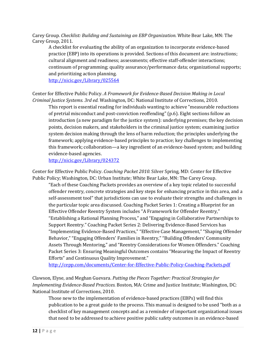Carey Group. *Checklist: Building and Sustaining an EBP Organization.* White Bear Lake, MN: The Carey Group, 2011.

A checklist for evaluating the ability of an organization to incorporate evidence-based practice (EBP) into its operations is provided. Sections of this document are: instructions; cultural alignment and readiness; assessments; effective staff-offender interactions; continuum of programming; quality assurance/performance data; organizational supports; and prioritizing action planning.

<http://nicic.gov/Library/025564>

Center for Effective Public Policy. *A Framework for Evidence-Based Decision Making in Local Criminal Justice Systems. 3rd ed.* Washington, DC: National Institute of Corrections, 2010.

This report is essential reading for individuals wanting to achieve "measurable reductions of pretrial misconduct and post-conviction reoffending" (p.6). Eight sections follow an introduction (a new paradigm for the justice system): underlying premises; the key decision points, decision makers, and stakeholders in the criminal justice system; examining justice system decision making through the lens of harm reduction; the principles underlying the framework; applying evidence-based principles to practice; key challenges to implementing this framework; collaboration—a key ingredient of an evidence-based system; and building evidence-based agencies.

<http://nicic.gov/Library/024372>

Center for Effective Public Policy. *Coaching Packet 2010.* Silver Spring, MD: Center for Effective Public Policy; Washington, DC: Urban Institute; White Bear Lake, MN: The Carey Group.

"Each of these Coaching Packets provides an overview of a key topic related to successful offender reentry, concrete strategies and key steps for enhancing practice in this area, and a self-assessment tool" that jurisdictions can use to evaluate their strengths and challenges in the particular topic area discussed. Coaching Packet Series 1: Creating a Blueprint for an Effective Offender Reentry System includes "A Framework for Offender Reentry," "Establishing a Rational Planning Process," and "Engaging in Collaborative Partnerships to Support Reentry." Coaching Packet Series 2: Delivering Evidence-Based Services has "Implementing Evidence-Based Practices," "Effective Case Management," "Shaping Offender Behavior," "Engaging Offenders' Families in Reentry," "Building Offenders' Community Assets Through Mentoring," and "Reentry Considerations for Women Offenders." Coaching Packet Series 3: Ensuring Meaningful Outcomes contains "Measuring the Impact of Reentry Efforts" and Continuous Quality Improvement."

<http://cepp.com/documents/Center-for-Effective-Public-Policy-Coaching-Packets.pdf>

Clawson, Elyse, and Meghan Guevara. *Putting the Pieces Together: Practical Strategies for Implementing Evidence-Based Practices.* Boston, MA: Crime and Justice Institute; Washington, DC: National Institute of Corrections, 2010.

Those new to the implementation of evidence-based practices (EBPs) will find this publication to be a great guide to the process. This manual is designed to be used "both as a checklist of key management concepts and as a reminder of important organizational issues that need to be addressed to achieve positive public safety outcomes in an evidence-based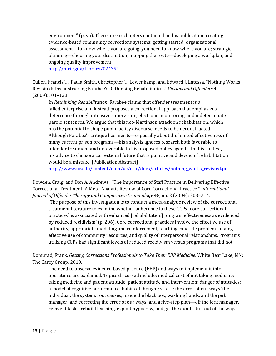environment" (p. vii). There are six chapters contained in this publication: creating evidence-based community corrections systems; getting started; organizational assessment—to know where you are going, you need to know where you are; strategic planning—choosing your destination; mapping the route—developing a workplan; and ongoing quality improvement.

<http://nicic.gov/Library/024394>

Cullen, Francis T., Paula Smith, Christopher T. Lowenkamp, and Edward J. Latessa. "Nothing Works Revisited: Deconstructing Farabee's Rethinking Rehabilitation." *Victims and Offenders* 4 (2009):101–123.

In *Rethinking Rehabilitation*, Farabee claims that offender treatment is a failed enterprise and instead proposes a correctional approach that emphasizes deterrence through intensive supervision, electronic monitoring, and indeterminate parole sentences. We argue that this neo-Martinson attack on rehabilitation, which has the potential to shape public policy discourse, needs to be deconstructed. Although Farabee's critique has merits—especially about the limited effectiveness of many current prison programs—his analysis ignores research both favorable to offender treatment and unfavorable to his proposed policy agenda. In this context, his advice to choose a correctional future that is punitive and devoid of rehabilitation would be a mistake. [Publication Abstract]

[http://www.uc.edu/content/dam/uc/ccjr/docs/articles/nothing\\_works\\_revisted.pdf](http://www.uc.edu/content/dam/uc/ccjr/docs/articles/nothing_works_revisted.pdf)

Dowden, Craig, and Don A. Andrews. "The Importance of Staff Practice in Delivering Effective Correctional Treatment: A Meta-Analytic Review of Core Correctional Practice." *International Journal of Offender Therapy and Comparative Criminology* 48, no. 2 (2004): 203–214.

'The purpose of this investigation is to conduct a meta-analytic review of the correctional treatment literature to examine whether adherence to these CCPs [core correctional practices] is associated with enhanced [rehabilitation] program effectiveness as evidenced by reduced recidivism' (p. 206). Core correctional practices involve the effective use of authority, appropriate modeling and reinforcement, teaching concrete problem-solving, effective use of community resources, and quality of interpersonal relationships. Programs utilizing CCPs had significant levels of reduced recidivism versus programs that did not.

Domurad, Frank. *Getting Corrections Professionals to Take Their EBP Medicine.* White Bear Lake, MN: The Carey Group, 2010.

The need to observe evidence-based practice (EBP) and ways to implement it into operations are explained. Topics discussed include: medical cost of not taking medicine; taking medicine and patient attitude; patient attitude and intervention; danger of attitudes; a model of cognitive performance; habits of thought; stress; the error of our ways 'the individual, the system, root causes, inside the black box, washing hands, and the jerk manager; and correcting the error of our ways; and a five-step plan—off the jerk manager, reinvent tasks, rebuild learning, exploit hypocrisy, and get the dumb stuff out of the way.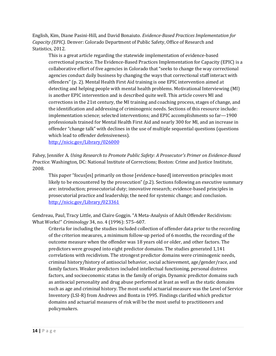English, Kim, Diane Pasini-Hill, and David Bonaiuto. *Evidence-Based Practices Implementation for Capacity (EPIC).* Denver: Colorado Department of Public Safety, Office of Research and Statistics, 2012.

This is a great article regarding the statewide implementation of evidence-based correctional practice. The Evidence-Based Practices Implementation for Capacity (EPIC) is a collaborative effort of five agencies in Colorado that "seeks to change the way correctional agencies conduct daily business by changing the ways that correctional staff interact with offenders" (p. 2). Mental Health First Aid training is one EPIC intervention aimed at detecting and helping people with mental health problems. Motivational Interviewing (MI) is another EPIC intervention and is described quite well. This article covers MI and corrections in the 21st century, the MI training and coaching process, stages of change, and the identification and addressing of criminogenic needs. Sections of this resource include: implementation science; selected interventions; and EPIC accomplishments so far—1900 professionals trained for Mental Health First Aid and nearly 300 for MI, and an increase in offender "change talk" with declines in the use of multiple sequential questions (questions which lead to offender defensiveness).

<http://nicic.gov/Library/026000>

Fahey, Jennifer A. *Using Research to Promote Public Safety: A Prosecutor's Primer on Evidence-Based Practice.* Washington, DC: National Institute of Corrections; Boston: Crime and Justice Institute, 2008.

This paper "focus[es] primarily on those [evidence-based] intervention principles most likely to be encountered by the prosecution" (p.2). Sections following an executive summary are: introduction; prosecutorial duty; innovative research; evidence-based principles in prosecutorial practice and leadership; the need for systemic change; and conclusion. <http://nicic.gov/Library/023361>

Gendreau, Paul, Tracy Little, and Claire Goggin. "A Meta-Analysis of Adult Offender Recidivism: What Works!" *Criminology* 34, no. 4 (1996): 575–607.

Criteria for including the studies included collection of offender data prior to the recording of the criterion measures, a minimum follow-up period of 6 months, the recording of the outcome measure when the offender was 18 years old or older, and other factors. The predictors were grouped into eight predictor domains. The studies generated 1,141 correlations with recidivism. The strongest predictor domains were criminogenic needs, criminal history/history of antisocial behavior, social achievement, age/gender/race, and family factors. Weaker predictors included intellectual functioning, personal distress factors, and socioeconomic status in the family of origin. Dynamic predictor domains such as antisocial personality and drug abuse performed at least as well as the static domains such as age and criminal history. The most useful actuarial measure was the Level of Service Inventory (LSI-R) from Andrews and Bonta in 1995. Findings clarified which predictor domains and actuarial measures of risk will be the most useful to practitioners and policymakers.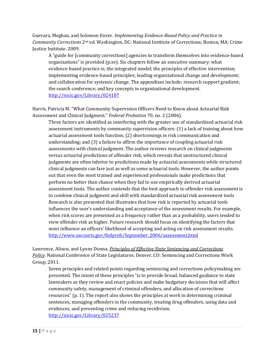Guevara, Meghan, and Solomon Enver. *Implementing Evidence-Based Policy and Practice in Community Corrections* 2nd ed. Washington, DC: National Institute of Corrections; Boston, MA: Crime Justice Institute. 2009.

A "guide for [community corrections] agencies to transform themselves into evidence-based organizations" is provided (p.xv). Six chapters follow an executive summary: what evidence-based practice is; the integrated model; the principles of effective intervention; implementing evidence-based principles; leading organizational change and development; and collaboration for systemic change. The appendixes include: research support gradient; the search conference; and key concepts in organizational development. <http://nicic.gov/Library/024107>

Harris, Patricia M. "What Community Supervision Officers Need to Know about Actuarial Risk Assessment and Clinical Judgment." *Federal Probation* 70, no. 2 (2006).

Three factors are identified as interfering with the greater use of standardized actuarial risk assessment instruments by community supervision officers: (1) a lack of training about how actuarial assessment tools function; (2) shortcomings in risk communication and understanding; and (3) a failure to affirm the importance of coupling actuarial risk assessments with clinical judgment. The author reviews research on clinical judgments versus actuarial predictions of offender risk, which reveals that unstructured clinical judgments are often inferior to predictions made by actuarial assessments while structured clinical judgments can fare just as well as some actuarial tools. However, the author points out that even the most trained and experienced professionals make predictions that perform no better than chance when they fail to use empirically derived actuarial assessment tools. The author contends that the best approach to offender risk assessment is to combine clinical judgment and skill with standardized actuarial risk assessment tools Research is also presented that illustrates that how risk is reported by actuarial tools influences the user's understanding and acceptance of the assessment results. For example, when risk scores are presented as a frequency rather than as a probability, users tended to view offender risk as higher. Future research should focus on identifying the factors that most influence an officers' likelihood of accepting and acting on risk assessment results. [http://www.uscourts.gov/fedprob/September\\_2006/assessment.html](http://www.uscourts.gov/fedprob/September_2006/assessment.html)

Lawrence, Alison, and Lyons Donna. *Principles of Effective State Sentencing and Corrections Policy*. National Conference of State Legislatures. Denver, CO: Sentencing and Corrections Work Group, 2011.

Seven principles and related points regarding sentencing and corrections policymaking are presented. The intent of these principles "is to provide broad, balanced guidance to state lawmakers as they review and enact policies and make budgetary decisions that will affect community safety, management of criminal offenders, and allocation of corrections resources" (p. 1). The report also shows the principles at work in determining criminal sentences, managing offenders in the community, treating drug offenders, using data and evidences, and preventing crime and reducing recidivism. <http://nicic.gov/Library/025237>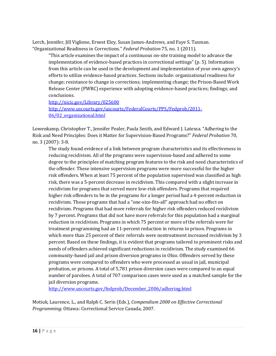Lerch, Jennifer, Jill Viglione, Ernest Eley, Susan James-Andrews, and Faye S. Taxman. "Organizational Readiness in Corrections." *Federal Probation* 75, no. 1 (2011).

"This article examines the impact of a continuous on-site training model to advance the implementation of evidence-based practices in correctional settings" (p. 5). Information from this article can be used in the development and implementation of your own agency's efforts to utilize evidence-based practices. Sections include: organizational readiness for change; resistance to change in corrections; implementing change; the Prison-Based Work Release Center (PWRC) experience with adopting evidence-based practices; findings; and conclusions.

<http://nicic.gov/Library/025600> [http://www.uscourts.gov/uscourts/FederalCourts/PPS/Fedprob/2011-](http://www.uscourts.gov/uscourts/FederalCourts/PPS/Fedprob/2011-%0906/02_organizational.html) [06/02\\_organizational.html](http://www.uscourts.gov/uscourts/FederalCourts/PPS/Fedprob/2011-%0906/02_organizational.html) 

Lowenkamp, Christopher T., Jennifer Pealer, Paula Smith, and Edward J. Latessa. "Adhering to the Risk and Need Principles: Does it Matter for Supervision-Based Programs?" *Federal Probation* 70, no. 3 (2007): 3-8.

The study found evidence of a link between program characteristics and its effectiveness in reducing recidivism. All of the programs were supervision-based and adhered to some degree to the principles of matching program features to the risk and need characteristics of the offender. These intensive supervision programs were more successful for the higher risk offenders. When at least 75 percent of the population supervised was classified as high risk, there was a 5-percent decrease in recidivism. This compared with a slight increase in recidivism for programs that served more low-risk offenders. Programs that required higher risk offenders to be in the programs for a longer period had a 4-percent reduction in recidivism. Those programs that had a "one-size-fits-all" approach had no effect on recidivism. Programs that had more referrals for higher risk offenders reduced recidivism by 7 percent. Programs that did not have more referrals for this population had a marginal reduction in recidivism. Programs in which 75 percent or more of the referrals were for treatment programming had an 11-percent reduction in returns to prison. Programs in which more than 25 percent of their referrals were nontreatment increased recidivism by 3 percent. Based on these findings, it is evident that programs tailored to prominent risks and needs of offenders achieved significant reductions in recidivism. The study examined 66 community-based jail and prison diversion programs in Ohio. Offenders served by these programs were compared to offenders who were processed as usual in jail, municipal probation, or prisons. A total of 5,781 prison diversion cases were compared to an equal number of parolees. A total of 707 comparison cases were used as a matched sample for the jail diversion programs.

[http://www.uscourts.gov/fedprob/December\\_2006/adhering.html](http://www.uscourts.gov/fedprob/December_2006/adhering.html)

Motiuk, Laurence, L., and Ralph C. Serin (Eds.), *Compendium 2000 on Effective Correctional Programming.* Ottawa: Correctional Service Canada, 2007.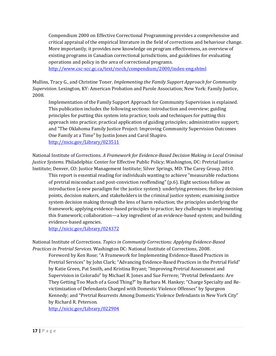Compendium 2000 on Effective Correctional Programming provides a comprehensive and critical appraisal of the empirical literature in the field of corrections and behaviour change. More importantly, it provides new knowledge on program effectiveness, an overview of existing programs in Canadian correctional jurisdictions, and guidelines for evaluating operations and policy in the area of correctional programs.

<http://www.csc-scc.gc.ca/text/rsrch/compendium/2000/index-eng.shtml>

Mullins, Tracy G., and Christine Toner. *Implementing the Family Support Approach for Community Supervision*. Lexington, KY: American Probation and Parole Association; New York: Family Justice, 2008.

Implementation of the Family Support Approach for Community Supervision is explained. This publication includes the following sections: introduction and overview; guiding principles for putting this system into practice; tools and techniques for putting this approach into practice; practical application of guiding principles; administrative support; and "The Oklahoma Family Justice Project: Improving Community Supervision Outcomes One Family at a Time" by Justin Jones and Carol Shapiro. <http://nicic.gov/Library/023511>

National Institute of Corrections. *A Framework for Evidence-Based Decision Making in Local Criminal Justice Systems.* Philadelphia: Center for Effective Public Policy; Washington, DC: Pretrial Justice Institute; Denver, CO: Justice Management Institute; Silver Springs, MD: The Carey Group, 2010.

This report is essential reading for individuals wanting to achieve "measurable reductions of pretrial misconduct and post-conviction reoffending" (p.6). Eight sections follow an introduction (a new paradigm for the justice system): underlying premises; the key decision points, decision makers, and stakeholders in the criminal justice system; examining justice system decision making through the lens of harm reduction; the principles underlying the framework; applying evidence-based principles to practice; key challenges to implementing this framework; collaboration—a key ingredient of an evidence-based system; and building evidence-based agencies.

<http://nicic.gov/Library/024372>

National Institute of Corrections. *Topics in Community Corrections: Applying Evidence-Based Practices in Pretrial Services*. Washington DC: National Institute of Corrections, 2008.

Foreword by Ken Rose; "A Framework for Implementing Evidence-Based Practices in Pretrial Services" by John Clark; "Advancing Evidence-Based Practices in the Pretrial Field" by Katie Green, Pat Smith, and Kristina Bryant; "Improving Pretrial Assessment and Supervision in Colorado" by Michael R. Jones and Sue Ferrere; "Pretrial Defendants: Are They Getting Too Much of a Good Thing?" by Barbara M. Hankey; "Charge Specialty and Revictimization of Defendants Charged with Domestic Violence Offenses" by Spurgeon Kennedy; and "Pretrial Rearrests Among Domestic Violence Defendants in New York City" by Richard R. Peterson.

<http://nicic.gov/Library/022904>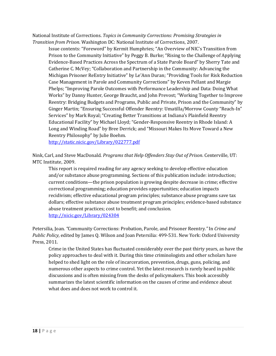National Institute of Corrections. *Topics in Community Corrections: Promising Strategies in Transition from Prison*. Washington DC: National Institute of Corrections, 2007.

Issue contents: "Foreword" by Kermit Humphries; "An Overview of NIC's Transition from Prison to the Community Initiative" by Peggy B. Burke; "Rising to the Challenge of Applying Evidence-Based Practices Across the Spectrum of a State Parole Board" by Sherry Tate and Catherine C. McVey; "Collaboration and Partnership in the Community: Advancing the Michigan Prisoner ReEntry Initiative" by Le'Ann Duran; "Providing Tools for Risk Reduction Case Management in Parole and Community Corrections" by Keven Pellant and Margie Phelps; "Improving Parole Outcomes with Performance Leadership and Data: Doing What Works" by Danny Hunter, George Braucht, and John Prevost; "Working Together to Improve Reentry: Bridging Budgets and Programs, Public and Private, Prison and the Community" by Ginger Martin; "Ensuring Successful Offender Reentry: Umatilla/Morrow County "Reach-In" Services" by Mark Royal; "Creating Better Transitions at Indiana's Plainfield Reentry Educational Facility" by Michael Lloyd; "Gender-Responsive Reentry in Rhode Island: A Long and Winding Road" by Bree Derrick; and "Missouri Makes Its Move Toward a New Reentry Philosophy" by Julie Boehm.

<http://static.nicic.gov/Library/022777.pdf>

Nink, Carl, and Steve MacDonald. *Programs that Help Offenders Stay Out of Prison*. Centerville, UT: MTC Institute, 2009.

This report is required reading for any agency seeking to develop effective education and/or substance abuse programming. Sections of this publication include: introduction; current conditions—the prison population is growing despite decrease in crime; effective correctional programming; education provides opportunities; education impacts recidivism; effective educational program principles; substance abuse programs save tax dollars; effective substance abuse treatment program principles; evidence-based substance abuse treatment practices; cost to benefit; and conclusion. <http://nicic.gov/Library/024304>

Petersilia, Joan. *"*Community Corrections: Probation, Parole, and Prisoner Reentry*."* In *Crime and Public Policy*, edited by James Q. Wilson and Joan Petersilia: 499-531. New York: Oxford University Press, 2011.

Crime in the United States has fluctuated considerably over the past thirty years, as have the policy approaches to deal with it. During this time criminologists and other scholars have helped to shed light on the role of incarceration, prevention, drugs, guns, policing, and numerous other aspects to crime control. Yet the latest research is rarely heard in public discussions and is often missing from the desks of policymakers. This book accessibly summarizes the latest scientific information on the causes of crime and evidence about what does and does not work to control it.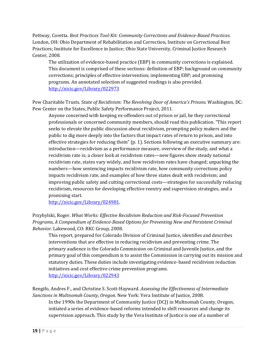Pettway, Coretta. *Best Practices Tool-Kit: Community Corrections and Evidence-Based Practices.*  London, OH: Ohio Department of Rehabilitation and Correction, Institute on Correctional Best Practices; Institute for Excellence in Justice; Ohio State University, Criminal Justice Research Center, 2008.

The utilization of evidence-based practice (EBP) in community corrections is explained. This document is comprised of these sections: definition of EBP; background on community corrections; principles of effective intervention; implementing EBP; and promising programs. An annotated selection of suggested readings is also provided. <http://nicic.gov/Library/022973>

Pew Charitable Trusts. S*tate of Recidivism: The Revolving Door of America's Prisons.* Washington, DC: Pew Center on the States, Public Safety Performance Project, 2011.

Anyone concerned with keeping ex-offenders out of prison or jail, be they correctional professionals or concerned community members, should read this publication. "This report seeks to elevate the public discussion about recidivism, prompting policy makers and the public to dig more deeply into the factors that impact rates of return to prison, and into effective strategies for reducing them" (p. 1). Sections following an executive summary are: introduction—recidivism as a performance measure, overview of the study, and what a recidivism rate is; a closer look at recidivism rates—new figures show steady national recidivism rate, states vary widely, and how recidivism rates have changed; unpacking the numbers—how sentencing impacts recidivism rate, how community corrections policy impacts recidivism rate, and examples of how three states dealt with recidivism; and improving public safety and cutting correctional costs—strategies for successfully reducing recidivism, resources for developing effective reentry and supervision strategies, and a promising start.

[http://nicic.gov/Library/024981.](http://nicic.gov/Library/024981)

Przybylski, Roger. *What Works: Effective Recidivism Reduction and Risk-Focused Prevention Programs, A Compendium of Evidence-Based Options for Preventing New and Persistent Criminal Behavior.* Lakewood, CO: RKC Group, 2008.

This report, prepared for Colorado Division of Criminal Justice, identifies and describes interventions that are effective in reducing recidivism and preventing crime. The primary audience is the Colorado Commission on Criminal and Juvenile Justice, and the primary goal of this compendium is to assist the Commission in carrying out its mission and statutory duties. These duties include investigating evidence-based recidivism reduction initiatives and cost effective crime prevention programs. <http://nicic.gov/Library/022943>

Rengifo, Andres F., and Christine S. Scott-Hayward. *Assessing the Effectiveness of Intermediate Sanctions in Multnomah County, Oregon.* New York: Vera Institute of Justice, 2008.

In the 1990s the Department of Community Justice (DCJ) in Multnomah County, Oregon, initiated a series of evidence-based reforms intended to shift resources and change its supervision approach. This study by the Vera Institute of Justice is one of a number of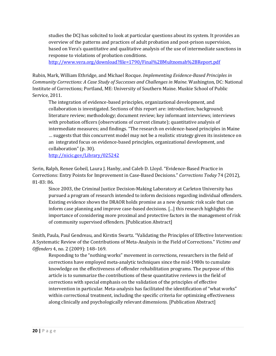studies the DCJ has solicited to look at particular questions about its system. It provides an overview of the patterns and practices of adult probation and post-prison supervision, based on Vera's quantitative and qualitative analysis of the use of intermediate sanctions in response to violations of probation conditions.

<http://www.vera.org/download?file=1790/Final%2BMultnomah%2BReport.pdf>

Rubin, Mark, William Ethridge, and Michael Rocque. *Implementing Evidence-Based Principles in Community Corrections: A Case Study of Successes and Challenges in Maine.* Washington, DC: National Institute of Corrections; Portland, ME: University of Southern Maine. Muskie School of Public Service, 2011.

The integration of evidence-based principles, organizational development, and collaboration is investigated. Sections of this report are: introduction; background; literature review; methodology; document review; key informant interviews; interviews with probation officers (observations of current climate); quantitative analysis of intermediate measures; and findings. "The research on evidence-based principles in Maine … suggests that this concurrent model may not be a realistic strategy given its insistence on an integrated focus on evidence-based principles, organizational development, and collaboration" (p. 30).

<http://nicic.gov/Library/025242>

Serin, Ralph, Renee Gobeil, Laura J. Hanby, and Caleb D. Lloyd. "Evidence-Based Practice in Corrections: Entry Points for Improvement in Case-Based Decisions." *Corrections Today* 74 (2012), 81-83: 86.

Since 2003, the Criminal Justice Decision-Making Laboratory at Carleton University has pursued a program of research intended to inform decisions regarding individual offenders. Existing evidence shows the DRAOR holds promise as a new dynamic risk scale that can inform case planning and improve case-based decisions. [...] this research highlights the importance of considering more proximal and protective factors in the management of risk of community supervised offenders. [Publication Abstract]

Smith, Paula, Paul Gendreau, and Kirstin Swartz. "Validating the Principles of Effective Intervention: A Systematic Review of the Contributions of Meta-Analysis in the Field of Corrections." *Victims and Offenders* 4, no. 2 (2009): 148–169.

Responding to the "nothing works" movement in corrections, researchers in the field of corrections have employed meta-analytic techniques since the mid-1980s to cumulate knowledge on the effectiveness of offender rehabilitation programs. The purpose of this article is to summarize the contributions of these quantitative reviews in the field of corrections with special emphasis on the validation of the principles of effective intervention in particular. Meta-analysis has facilitated the identification of "what works" within correctional treatment, including the specific criteria for optimizing effectiveness along clinically and psychologically relevant dimensions. [Publication Abstract]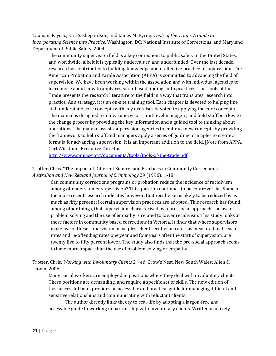Taxman, Faye S., Eric S. Shepardson, and James M. Byrne. *Tools of the Trade: A Guide to Incorporating Science into Practice.* Washington, DC: National Institute of Corrections, and Maryland Department of Public Safety, 2004.

The community supervision field is a key component to public safety in the United States, and worldwide, albeit it is typically undervalued and underfunded. Over the last decade, research has contributed to building knowledge about effective practice in supervision. The American Probation and Parole Association (APPA) is committed to advancing the field of supervision. We have been working within the association and with individual agencies to learn more about how to apply research-based findings into practices. The Tools of the Trade presents the research literature to the field in a way that translates research into practice. As a strategy, it is an on-site training tool. Each chapter is devoted to helping line staff understand core concepts with key exercises devoted to applying the core concepts. The manual is designed to allow supervisors, mid-level managers, and field staff be a key to the change process by providing the key information and a guided tool to thinking about operations. The manual assists supervision agencies to embrace new concepts by providing the framework to help staff and managers apply a series of guiding principles to create a formula for advancing supervision. It is an important addition to the field. [Note from APPA, Carl Wicklund, Executive Director]

<http://www.gmuace.org/documents/tools/tools-of-the-trade.pdf>

Trotter, Chris. "The Impact of Different Supervision Practices in Community Corrections." *Australian and New Zealand Journal of Criminology* 29 (1996): 1-18.

Can community corrections programs or probation reduce the incidence of recidivism among offenders under supervision? This question continues to be controversial. Some of the more recent research indicates however, that recidivism is likely to be reduced by as much as fifty percent if certain supervision practices are adopted. This research has found, among other things, that supervision characterised by a pro-social approach, the use of problem solving and the use of empathy is related to lower recidivism. This study looks at these factors in community based corrections in Victoria. It finds that where supervisors make use of these supervision principles, client recidivism rates, as measured by breach rates and re-offending rates one year and four years after the start of supervision, are twenty five to fifty percent lower. The study also finds that the pro-social approach seems to have more impact than the use of problem solving or empathy.

Trotter, Chris. *Working with Involuntary Clients* 2nd ed. Crow's Nest, New South Wales: Allen & Unwin, 2006.

Many social workers are employed in positions where they deal with involuntary clients. These positions are demanding, and require a specific set of skills. The new edition of this successful book provides an accessible and practical guide for managing difficult and sensitive relationships and communicating with reluctant clients.

The author directly links theory to real-life by adopting a jargon-free and accessible guide to working in partnership with involuntary clients. Written in a lively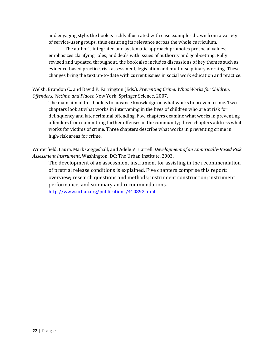and engaging style, the book is richly illustrated with case examples drawn from a variety of service-user groups, thus ensuring its relevance across the whole curriculum.

The author's integrated and systematic approach promotes prosocial values; emphasizes clarifying roles; and deals with issues of authority and goal-setting. Fully revised and updated throughout, the book also includes discussions of key themes such as evidence-based practice, risk assessment, legislation and multidisciplinary working. These changes bring the text up-to-date with current issues in social work education and practice.

Welsh, Brandon C., and David P. Farrington (Eds.). *Preventing Crime: What Works for Children, Offenders, Victims, and Places.* New York: Springer Science, 2007.

The main aim of this book is to advance knowledge on what works to prevent crime. Two chapters look at what works in intervening in the lives of children who are at risk for delinquency and later criminal offending. Five chapters examine what works in preventing offenders from committing further offenses in the community; three chapters address what works for victims of crime. Three chapters describe what works in preventing crime in high-risk areas for crime.

Winterfield, Laura, Mark Coggeshall, and Adele V. Harrell. *Development of an Empirically-Based Risk Assessment Instrument*. Washington, DC: The Urban Institute, 2003.

The development of an assessment instrument for assisting in the recommendation of pretrial release conditions is explained. Five chapters comprise this report: overview; research questions and methods; instrument construction; instrument performance; and summary and recommendations. <http://www.urban.org/publications/410892.html>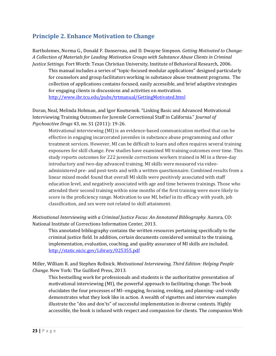### <span id="page-22-0"></span>**Principle 2. Enhance Motivation to Change**

Bartholemes, Norma G., Donald F. Dansereau, and D. Dwayne Simpson. *Getting Motivated to Change: A Collection of Materials for Leading Motivation Groups with Substance Abuse Clients in Criminal Justice Settings.* Fort Worth: Texas Christian University, Institute of Behavioral Research, 2006.

This manual includes a series of "topic-focused modular applications" designed particularly for counselors and group facilitators working in substance abuse treatment programs. The collection of applications contains focused, easily accessible, and brief adaptive strategies for engaging clients in discussions and activities on motivation. <http://www.ibr.tcu.edu/pubs/trtmanual/GettingMotivated.html>

Doran, Neal, Melinda Hohman, and Igor Koutsenok. "Linking Basic and Advanced Motivational Interviewing Training Outcomes for Juvenile Correctional Staff in California." *Journal of Psychoactive Drugs* 43, no. S1 (2011): 19-26.

Motivational interviewing (MI) is an evidence-based communication method that can be effective in engaging incarcerated juveniles in substance abuse programming and other treatment services. However, MI can be difficult to learn and often requires several training exposures for skill change. Few studies have examined MI training outcomes over time. This study reports outcomes for 222 juvenile corrections workers trained in MI in a three-day introductory and two-day advanced training. MI skills were measured via videoadministered pre- and post-tests and with a written questionnaire. Combined results from a linear mixed model found that overall MI skills were positively associated with staff education level, and negatively associated with age and time between trainings. Those who attended their second training within nine months of the first training were more likely to score in the proficiency range. Motivation to use MI, belief in its efficacy with youth, job classification, and sex were not related to skill attainment.

*Motivational Interviewing with a Criminal Justice Focus: An Annotated Bibliography.* Aurora, CO: National Institute of Corrections Information Center, 2013.

This annotated bibliography contains the written resources pertaining specifically to the criminal justice field. In addition, certain documents considered seminal to the training, implementation, evaluation, coaching, and quality assurance of MI skills are included. <http://static.nicic.gov/Library/025355.pdf>

Miller, William R. and Stephen Rollnick. *Motivational Interviewing, Third Edition: Helping People Change.* New York: The Guilford Press, 2013.

This bestselling work for professionals and students is the authoritative presentation of motivational interviewing (MI), the powerful approach to facilitating change. The book elucidates the four processes of MI--engaging, focusing, evoking, and planning--and vividly demonstrates what they look like in action. A wealth of vignettes and interview examples illustrate the "dos and don'ts" of successful implementation in diverse contexts. Highly accessible, the book is infused with respect and compassion for clients. The companion Web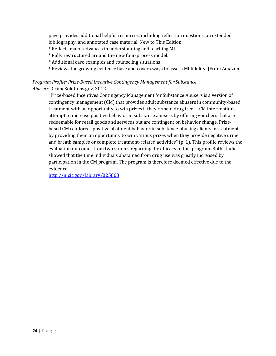page provides additional helpful resources, including reflection questions, an extended bibliography, and annotated case material. New to This Edition:

- \* Reflects major advances in understanding and teaching MI.
- \* Fully restructured around the new four-process model.
- \* Additional case examples and counseling situations.
- \* Reviews the growing evidence base and covers ways to assess MI fidelity. [From Amazon]

#### *Program Profile: Prize-Based Incentive Contingency Management for Substance Abusers*. CrimeSolutions.gov, 2012.

"Prize-based Incentives Contingency Management for Substance Abusers is a version of contingency management (CM) that provides adult substance abusers in community-based treatment with an opportunity to win prizes if they remain drug free … CM interventions attempt to increase positive behavior in substance abusers by offering vouchers that are redeemable for retail goods and services but are contingent on behavior change. Prizebased CM reinforces positive abstinent behavior in substance-abusing clients in treatment by providing them an opportunity to win various prizes when they provide negative urine and breath samples or complete treatment-related activities" (p. 1). This profile reviews the evaluation outcomes from two studies regarding the efficacy of this program. Both studies showed that the time individuals abstained from drug use was greatly increased by participation in the CM program. The program is therefore deemed effective due to the evidence.

<http://nicic.gov/Library/025808>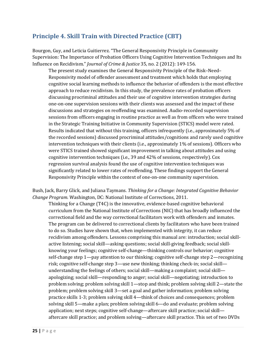# <span id="page-24-0"></span>**Principle 4. Skill Train with Directed Practice (CBT)**

Bourgon, Guy, and Leticia Guitierrez. "The General Responsivity Principle in Community Supervision: The Importance of Probation Officers Using Cognitive Intervention Techniques and Its Influence on Recidivism." *Journal of Crime & Justice* 35, no. 2 (2012): 149-156.

The present study examines the General Responsivity Principle of the Risk–Need– Responsivity model of offender assessment and treatment which holds that employing cognitive social learning methods to influence the behavior of offenders is the most effective approach to reduce recidivism. In this study, the prevalence rates of probation officers discussing procriminal attitudes and their use of cognitive intervention strategies during one-on-one supervision sessions with their clients was assessed and the impact of these discussions and strategies on reoffending was examined. Audio-recorded supervision sessions from officers engaging in routine practice as well as from officers who were trained in the Strategic Training Initiative in Community Supervision (STICS) model were rated. Results indicated that without this training, officers infrequently (i.e., approximately 5% of the recorded sessions) discussed procriminal attitudes/cognitions and rarely used cognitive intervention techniques with their clients (i.e., approximately 1% of sessions). Officers who were STICS trained showed significant improvement in talking about attitudes and using cognitive intervention techniques (i.e., 39 and 42% of sessions, respectively). Cox regression survival analysis found the use of cognitive intervention techniques was significantly related to lower rates of reoffending. These findings support the General Responsivity Principle within the context of one-on-one community supervision.

Bush, Jack, Barry Glick, and Juliana Taymans*. Thinking for a Change: Integrated Cognitive Behavior Change Program.* Washington, DC: National Institute of Corrections, 2011.

Thinking for a Change (T4C) is the innovative, evidence-based cognitive behavioral curriculum from the National Institute of Corrections (NIC) that has broadly influenced the correctional field and the way correctional facilitators work with offenders and inmates. The program can be delivered to correctional clients by facilitators who have been trained to do so. Studies have shown that, when implemented with integrity, it can reduce recidivism among offenders. Lessons comprising this manual are: introduction; social skillactive listening; social skill—asking questions; social skill-giving feedback; social skillknowing your feelings; cognitive self-change—thinking controls our behavior; cognitive self-change step 1—pay attention to our thinking; cognitive self-change step 2—recognizing risk; cognitive self-change step 3—use new thinking; thinking check-in; social skill understanding the feelings of others; social skill—making a complaint; social skill apologizing; social skill—responding to anger; social skill—negotiating; introduction to problem solving; problem solving skill 1—stop and think; problem solving skill 2—state the problem; problem solving skill 3—set a goal and gather information; problem solving practice skills 1-3; problem solving skill 4—think of choices and consequences; problem solving skill 5—make a plan; problem solving skill 6—do and evaluate; problem solving application; next steps; cognitive self-change—aftercare skill practice; social skill aftercare skill practice; and problem solving—aftercare skill practice. This set of two DVDs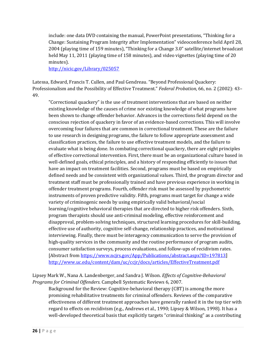include: one data DVD containing the manual, PowerPoint presentations, "Thinking for a Change: Sustaining Program Integrity after Implementation" videoconference held April 28, 2004 (playing time of 159 minutes), "Thinking for a Change 3.0" satellite/internet broadcast held May 11, 2011 (playing time of 158 minutes), and video vignettes (playing time of 20 minutes).

<http://nicic.gov/Library/025057>

Latessa, Edward, Francis T. Cullen, and Paul Gendreau. "Beyond Professional Quackery: Professionalism and the Possibility of Effective Treatment." *Federal Probation*, 66, no. 2 (2002): 43– 49.

"Correctional quackery" is the use of treatment interventions that are based on neither existing knowledge of the causes of crime nor existing knowledge of what programs have been shown to change offender behavior. Advances in the corrections field depend on the conscious rejection of quackery in favor of an evidence-based corrections. This will involve overcoming four failures that are common in correctional treatment. These are the failure to use research in designing programs, the failure to follow appropriate assessment and classification practices, the failure to use effective treatment models, and the failure to evaluate what is being done. In combating correctional quackery, there are eight principles of effective correctional intervention. First, there must be an organizational culture based in well-defined goals, ethical principles, and a history of responding efficiently to issues that have an impact on treatment facilities. Second, programs must be based on empirically defined needs and be consistent with organizational values. Third, the program director and treatment staff must be professionally trained and have previous experience in working in offender treatment programs. Fourth, offender risk must be assessed by psychometric instruments of proven predictive validity. Fifth, programs must target for change a wide variety of criminogenic needs by using empirically valid behavioral/social learning/cognitive behavioral therapies that are directed to higher risk offenders. Sixth, program therapists should use anti-criminal modeling, effective reinforcement and disapproval, problem-solving techniques, structured learning procedures for skill-building, effective use of authority, cognitive self-change, relationship practices, and motivational interviewing. Finally, there must be interagency communication to serve the provision of high-quality services in the community and the routine performance of program audits, consumer satisfaction surveys, process evaluations, and follow-ups of recidivism rates. [Abstract fro[m https://www.ncjrs.gov/App/Publications/abstract.aspx?ID=197813\]](https://www.ncjrs.gov/App/Publications/abstract.aspx?ID=197813) <http://www.uc.edu/content/dam/uc/ccjr/docs/articles/EffectiveTreatment.pdf>

#### Lipsey Mark W., Nana A. Landenberger, and Sandra J. Wilson. *Effects of Cognitive-Behavioral Programs for Criminal Offenders.* Campbell Systematic Reviews 6, 2007.

Background for the Review: Cognitive-behavioral therapy (CBT) is among the more promising rehabilitative treatments for criminal offenders. Reviews of the comparative effectiveness of different treatment approaches have generally ranked it in the top tier with regard to effects on recidivism (e.g., Andrews et al., 1990; Lipsey & Wilson, 1998). It has a well-developed theoretical basis that explicitly targets "criminal thinking" as a contributing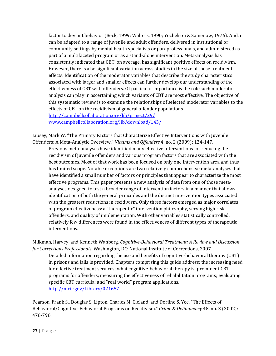factor to deviant behavior (Beck, 1999; Walters, 1990; Yochelson & Samenow, 1976). And, it can be adapted to a range of juvenile and adult offenders, delivered in institutional or community settings by mental health specialists or paraprofessionals, and administered as part of a multifaceted program or as a stand-alone intervention. Meta-analysis has consistently indicated that CBT, on average, has significant positive effects on recidivism. However, there is also significant variation across studies in the size of those treatment effects. Identification of the moderator variables that describe the study characteristics associated with larger and smaller effects can further develop our understanding of the effectiveness of CBT with offenders. Of particular importance is the role such moderator analysis can play in ascertaining which variants of CBT are most effective. The objective of this systematic review is to examine the relationships of selected moderator variables to the effects of CBT on the recidivism of general offender populations.

<http://campbellcollaboration.org/lib/project/29/> [www.campbellcollaboration.org/lib/download/143/](http://www.campbellcollaboration.org/lib/download/143/)

Lipsey, Mark W. "The Primary Factors that Characterize Effective Interventions with Juvenile Offenders: A Meta-Analytic Overview." *Victims and Offenders* 4, no. 2 (2009): 124-147.

Previous meta-analyses have identified many effective interventions for reducing the recidivism of juvenile offenders and various program factors that are associated with the best outcomes. Most of that work has been focused on only one intervention area and thus has limited scope. Notable exceptions are two relatively comprehensive meta-analyses that have identified a small number of factors or principles that appear to characterize the most effective programs. This paper presents a new analysis of data from one of those metaanalyses designed to test a broader range of intervention factors in a manner that allows identification of both the general principles and the distinct intervention types associated with the greatest reductions in recidivism. Only three factors emerged as major correlates of program effectiveness: a "therapeutic" intervention philosophy, serving high risk offenders, and quality of implementation. With other variables statistically controlled, relatively few differences were found in the effectiveness of different types of therapeutic interventions.

Milkman, Harvey, and Kenneth Wanberg. *Cognitive-Behavioral Treatment: A Review and Discussion for Corrections Professionals.* Washington, DC: National Institute of Corrections, 2007.

Detailed information regarding the use and benefits of cognitive-behavioral therapy (CBT) in prisons and jails is provided. Chapters comprising this guide address: the increasing need for effective treatment services; what cognitive-behavioral therapy is; prominent CBT programs for offenders; measuring the effectiveness of rehabilitation programs; evaluating specific CBT curricula; and "real world" program applications. <http://nicic.gov/Library/021657>

Pearson, Frank S., Douglas S. Lipton, Charles M. Cleland, and Dorline S. Yee. "The Effects of Behavioral/Cognitive-Behavioral Programs on Recidivism." *Crime & Delinquency* 48, no. 3 (2002): 476-796.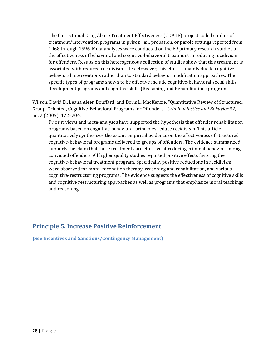The Correctional Drug Abuse Treatment Effectiveness (CDATE) project coded studies of treatment/intervention programs in prison, jail, probation, or parole settings reported from 1968 through 1996. Meta-analyses were conducted on the 69 primary research studies on the effectiveness of behavioral and cognitive-behavioral treatment in reducing recidivism for offenders. Results on this heterogeneous collection of studies show that this treatment is associated with reduced recidivism rates. However, this effect is mainly due to cognitivebehavioral interventions rather than to standard behavior modification approaches. The specific types of programs shown to be effective include cognitive-behavioral social skills development programs and cognitive skills (Reasoning and Rehabilitation) programs.

Wilson, David B., Leana Aleen Bouffard, and Doris L. MacKenzie. "Quantitative Review of Structured, Group-Oriented, Cognitive-Behavioral Programs for Offenders." *Criminal Justice and Behavior* 32, no. 2 (2005): 172–204.

Prior reviews and meta-analyses have supported the hypothesis that offender rehabilitation programs based on cognitive-behavioral principles reduce recidivism. This article quantitatively synthesizes the extant empirical evidence on the effectiveness of structured cognitive-behavioral programs delivered to groups of offenders. The evidence summarized supports the claim that these treatments are effective at reducing criminal behavior among convicted offenders. All higher quality studies reported positive effects favoring the cognitive-behavioral treatment program. Specifically, positive reductions in recidivism were observed for moral reconation therapy, reasoning and rehabilitation, and various cognitive-restructuring programs. The evidence suggests the effectiveness of cognitive skills and cognitive restructuring approaches as well as programs that emphasize moral teachings and reasoning.

#### <span id="page-27-0"></span>**Principle 5. Increase Positive Reinforcement**

<span id="page-27-1"></span>**(See Incentives and Sanctions/Contingency Management)**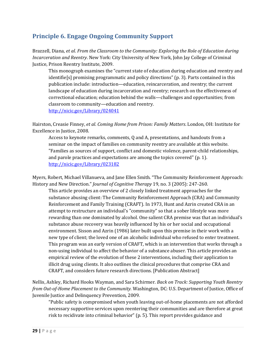### <span id="page-28-0"></span>**Principle 6. Engage Ongoing Community Support**

Brazzell, Diana, *et al*. *From the Classroom to the Community: Exploring the Role of Education during Incarceration and Reentry*. New York: City University of New York, John Jay College of Criminal Justice, Prison Reentry Institute, 2009.

This monograph examines the "current state of education during education and reentry and identifie[s] promising programmatic and policy directions" (p. 3). Parts contained in this publication include: introduction—education, reincarceration, and reentry; the current landscape of education during incarceration and reentry; research on the effectiveness of correctional education; education behind the walls—challenges and opportunities; from classroom to community—education and reentry. <http://nicic.gov/Library/024041>

Hairston, Creasie Finney, *et al*. *Coming Home from Prison: Family Matters*. London, OH: Institute for Excellence in Justice, 2008.

Access to keynote remarks, comments, Q and A, presentations, and handouts from a seminar on the impact of families on community reentry are available at this website. "Families as sources of support, conflict and domestic violence, parent-child relationships, and parole practices and expectations are among the topics covered" (p. 1). <http://nicic.gov/Library/023182>

Myers, Robert, Michael Villanueva, and Jane Ellen Smith. "The Community Reinforcement Approach: History and New Direction." *Journal of Cognitive Therapy* 19, no. 3 (2005): 247-260.

This article provides an overview of 2 closely linked treatment approaches for the substance abusing client: The Community Reinforcement Approach (CRA) and Community Reinforcement and Family Training (CRAFT). In 1973, Hunt and Azrin created CRA in an attempt to restructure an individual's "community" so that a sober lifestyle was more rewarding than one dominated by alcohol. One salient CRA premise was that an individual's substance abuse recovery was heavily influenced by his or her social and occupational environment. Sisson and Azrin (1986) later built upon this premise in their work with a new type of client; the loved one of an alcoholic individual who refused to enter treatment. This program was an early version of CRAFT, which is an intervention that works through a non-using individual to affect the behavior of a substance abuser. This article provides an empirical review of the evolution of these 2 interventions, including their application to illicit drug using clients. It also outlines the clinical procedures that comprise CRA and CRAFT, and considers future research directions. [Publication Abstract]

Nellis, Ashley, Richard Hooks Wayman, and Sara Schirmer. *Back on Track: Supporting Youth Reentry from Out-of-Home Placement to the Community.* Washington, DC: U.S. Department of Justice, Office of Juvenile Justice and Delinquency Prevention, 2009.

"Public safety is compromised when youth leaving out-of-home placements are not afforded necessary supportive services upon reentering their communities and are therefore at great risk to recidivate into criminal behavior" (p. 5). This report provides guidance and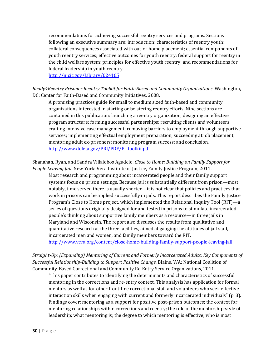recommendations for achieving successful reentry services and programs. Sections following an executive summary are: introduction; characteristics of reentry youth; collateral consequences associated with out-of-home placement; essential components of youth reentry services; effective outcomes for youth reentry; federal support for reentry in the child welfare system; principles for effective youth reentry; and recommendations for federal leadership in youth reentry.

<http://nicic.gov/Library/024165>

*Ready4Reentry Prisoner Reentry Toolkit for Faith-Based and Community Organizations*. Washington, DC: Center for Faith-Based and Community Initiatives, 2008.

A promising practices guide for small to medium sized faith-based and community organizations interested in starting or bolstering reentry efforts. Nine sections are contained in this publication: launching a reentry organization; designing an effective program structure; forming successful partnerships; recruiting clients and volunteers; crafting intensive case management; removing barriers to employment through supportive services; implementing effectual employment preparation; succeeding at job placement; mentoring adult ex-prisoners; monitoring program success; and conclusion. <http://www.doleta.gov/PRI/PDF/Pritoolkit.pdf>

Shanahan, Ryan, and Sandra Villalobos Agudelo. *Close to Home: Building on Family Support for People Leaving Jail*. New York: Vera Institute of Justice, Family Justice Program, 2011.

Most research and programming about incarcerated people and their family support systems focus on prison settings. Because jail is substantially different from prison—most notably, time served there is usually shorter—it is not clear that policies and practices that work in prisons can be applied successfully in jails. This report describes the Family Justice Program's Close to Home project, which implemented the Relational Inquiry Tool (RIT)—a series of questions originally designed for and tested in prisons to stimulate incarcerated people's thinking about supportive family members as a resource—in three jails in Maryland and Wisconsin. The report also discusses the results from qualitative and quantitative research at the three facilities, aimed at gauging the attitudes of jail staff, incarcerated men and women, and family members toward the RIT. <http://www.vera.org/content/close-home-building-family-support-people-leaving-jail>

*Straight-Up: (Expanding) Mentoring of Current and Formerly Incarcerated Adults: Key Components of Successful Relationship-Building to Support Positive Change.* Blaine, WA: National Coalition of Community-Based Correctional and Community Re-Entry Service Organizations, 2011.

"This paper contributes to identifying the determinants and characteristics of successful mentoring in the corrections and re-entry context. This analysis has application for formal mentors as well as for other front-line correctional staff and volunteers who seek effective interaction skills when engaging with current and formerly incarcerated individuals" (p. 3). Findings cover: mentoring as a support for positive post-prison outcomes; the context for mentoring relationships within corrections and reentry; the role of the mentorship-style of leadership; what mentoring is; the degree to which mentoring is effective; who is most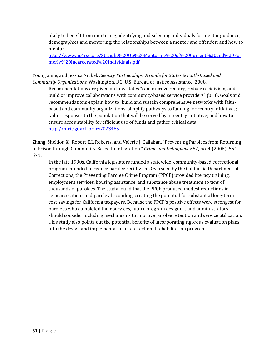likely to benefit from mentoring; identifying and selecting individuals for mentor guidance; demographics and mentoring; the relationships between a mentor and offender; and how to mentor.

[http://www.nc4rso.org/Straight%20Up%20Mentoring%20of%20Current%20and%20For](http://www.nc4rso.org/Straight%20Up%20Mentoring%20of%20Current%20and%20Formerly%20Incarcerated%20Individuals.pdf) [merly%20Incarcerated%20Individuals.pdf](http://www.nc4rso.org/Straight%20Up%20Mentoring%20of%20Current%20and%20Formerly%20Incarcerated%20Individuals.pdf)

Yoon, Jamie, and Jessica Nickel. *Reentry Partnerships: A Guide for States & Faith-Based and Community Organizations.* Washington, DC: U.S. Bureau of Justice Assistance, 2008.

Recommendations are given on how states "can improve reentry, reduce recidivism, and build or improve collaborations with community-based service providers" (p. 3). Goals and recommendations explain how to: build and sustain comprehensive networks with faithbased and community organizations; simplify pathways to funding for reentry initiatives; tailor responses to the population that will be served by a reentry initiative; and how to ensure accountability for efficient use of funds and gather critical data. <http://nicic.gov/Library/023485>

Zhang, Sheldon X., Robert E.L Roberts, and Valerie J. Callahan. "Preventing Parolees from Returning to Prison through Community-Based Reintegration." *Crime and Delinquency* 52, no. 4 (2006): 551- 571.

In the late 1990s, California legislators funded a statewide, community-based correctional program intended to reduce parolee recidivism. Overseen by the California Department of Corrections, the Preventing Parolee Crime Program (PPCP) provided literacy training, employment services, housing assistance, and substance abuse treatment to tens of thousands of parolees. The study found that the PPCP produced modest reductions in reincarcerations and parole absconding, creating the potential for substantial long-term cost savings for California taxpayers. Because the PPCP's positive effects were strongest for parolees who completed their services, future program designers and administrators should consider including mechanisms to improve parolee retention and service utilization. This study also points out the potential benefits of incorporating rigorous evaluation plans into the design and implementation of correctional rehabilitation programs.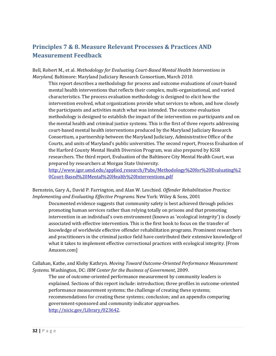# <span id="page-31-0"></span>**Principles 7 & 8. Measure Relevant Processes & Practices AND Measurement Feedback**

Bell, Robert M., et al. *Methodology for Evaluating Court-Based Mental Health Interventions in Maryland,* Baltimore: Maryland Judiciary Research Consortium, March 2010.

This report describes a methodology for process and outcome evaluations of court-based mental health interventions that reflects their complex, multi-organizational, and varied characteristics. The process evaluation methodology is designed to elicit how the intervention evolved, what organizations provide what services to whom, and how closely the participants and activities match what was intended. The outcome evaluation methodology is designed to establish the impact of the intervention on participants and on the mental health and criminal justice systems. This is the first of three reports addressing court-based mental health interventions produced by the Maryland Judiciary Research Consortium, a partnership between the Maryland Judiciary, Administrative Office of the Courts, and units of Maryland's public universities. The second report, Process Evaluation of the Harford County Mental Health Diversion Program, was also prepared by IGSR researchers. The third report, Evaluation of the Baltimore City Mental Health Court, was prepared by researchers at Morgan State University.

[http://www.igsr.umd.edu/applied\\_research/Pubs/Methodology%20for%20Evaluating%2](http://www.igsr.umd.edu/applied_research/Pubs/Methodology%20for%20Evaluating%20Court-Based%20Mental%20Health%20Interventions.pdf) [0Court-Based%20Mental%20Health%20Interventions.pdf](http://www.igsr.umd.edu/applied_research/Pubs/Methodology%20for%20Evaluating%20Court-Based%20Mental%20Health%20Interventions.pdf)

Bernstein, Gary A., David P. Farrington, and Alan W. Leschied. *Offender Rehabilitation Practice: Implementing and Evaluating Effective Programs.* New York: Wiley & Sons, 2001

Documented evidence suggests that community safety is best achieved through policies promoting human services rather than relying totally on prisons and that promoting intervention in an individual's own environment (known as 'ecological integrity') is closely associated with effective intervention. This is the first book to focus on the transfer of knowledge of worldwide effective offender rehabilitation programs. Prominent researchers and practitioners in the criminal justice field have contributed their extensive knowledge of what it takes to implement effective correctional practices with ecological integrity. [From Amazon.com]

Callahan, Kathe, and Kloby Kathryn. *Moving Toward Outcome-Oriented Performance Measurement Systems.* Washington, DC: *IBM Center for the Business of Government*, 2009.

The use of outcome-oriented performance measurement by community leaders is explained. Sections of this report include: introduction; three profiles in outcome-oriented performance measurement systems; the challenge of creating these systems; recommendations for creating these systems; conclusion; and an appendix comparing government-sponsored and community indicator approaches. [http://nicic.gov/Library/023642.](http://nicic.gov/Library/023642)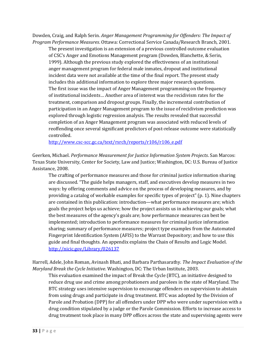Dowden, Craig, and Ralph Serin. *Anger Management Programming for Offenders: The Impact of Program Performance Measures*. Ottawa: Correctional Service Canada/Research Branch, 2001.

The present investigation is an extension of a previous controlled outcome evaluation of CSC's Anger and Emotions Management program (Dowden, Blanchette, & Serin, 1999). Although the previous study explored the effectiveness of an institutional anger management program for federal male inmates, dropout and institutional incident data were not available at the time of the final report. The present study includes this additional information to explore three major research questions. The first issue was the impact of Anger Management programming on the frequency of institutional incidents… Another area of interest was the recidivism rates for the treatment, comparison and dropout groups. Finally, the incremental contribution of participation in an Anger Management program to the issue of recidivism prediction was explored through logistic regression analysis. The results revealed that successful completion of an Anger Management program was associated with reduced levels of reoffending once several significant predictors of post-release outcome were statistically controlled.

[http://www.csc-scc.gc.ca/text/rsrch/reports/r106/r106\\_e.pdf](http://www.csc-scc.gc.ca/text/rsrch/reports/r106/r106_e.pdf)

Geerken, Michael. *Performance Measurement for Justice Information System Projects*. San Marcos: Texas State University, Center for Society, Law and Justice; Washington, DC: U.S. Bureau of Justice Assistance, 2008.

The crafting of performance measures and those for criminal justice information sharing are discussed. "The guide helps managers, staff, and executives develop measures in two ways: by offering comments and advice on the process of developing measures, and by providing a catalog of workable examples for specific types of project" (p. 1). Nine chapters are contained in this publication: introduction—what performance measures are; which goals the project helps us achieve; how the project assists us in achieving our goals; what the best measures of the agency's goals are; how performance measures can best be implemented; introduction to performance measures for criminal justice information sharing; summary of performance measures; project type examples from the Automated Fingerprint Identification System (AFIS) to the Warrant Depository; and how to use this guide and final thoughts. An appendix explains the Chain of Results and Logic Model. <http://nicic.gov/Library/026137>

Harrell, Adele, John Roman, Avinash Bhati, and Barbara Parthasarathy. *The Impact Evaluation of the Maryland Break the Cycle Initiative*. Washington, DC: The Urban Institute, 2003.

This evaluation examined the impact of Break the Cycle (BTC), an initiative designed to reduce drug use and crime among probationers and parolees in the state of Maryland. The BTC strategy uses intensive supervision to encourage offenders on supervision to abstain from using drugs and participate in drug treatment. BTC was adopted by the Division of Parole and Probation (DPP) for all offenders under DPP who were under supervision with a drug condition stipulated by a judge or the Parole Commission. Efforts to increase access to drug treatment took place in many DPP offices across the state and supervising agents were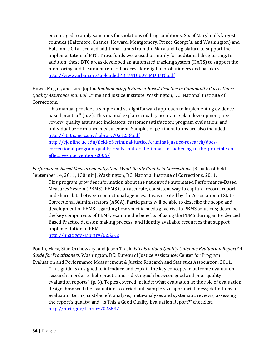encouraged to apply sanctions for violations of drug conditions. Six of Maryland's largest counties (Baltimore, Charles, Howard, Montgomery, Prince George's, and Washington) and Baltimore City received additional funds from the Maryland Legislature to support the implementation of BTC. These funds were used primarily for additional drug testing. In addition, these BTC areas developed an automated tracking system (HATS) to support the monitoring and treatment referral process for eligible probationers and parolees. [http://www.urban.org/uploadedPDF/410807\\_MD\\_BTC.pdf](http://www.urban.org/uploadedPDF/410807_MD_BTC.pdf)

Howe, Megan, and Lore Joplin. *Implementing Evidence-Based Practice in Community Corrections: Quality Assurance Manual*. Crime and Justice Institute. Washington, DC: National Institute of Corrections.

This manual provides a simple and straightforward approach to implementing evidencebased practice" (p. 3). This manual explains: quality assurance plan development; peer review; quality assurance indicators; customer satisfaction; program evaluation; and individual performance measurement. Samples of pertinent forms are also included. <http://static.nicic.gov/Library/021258.pdf>

[http://cjonline.uc.edu/field-of-criminal-justice/criminal-justice-research/does](http://cjonline.uc.edu/field-of-criminal-justice/criminal-justice-research/does-correctional-program-quality-really-matter-the-impact-of-adhering-to-the-principles-of-effective-intervention-2006/)[correctional-program-quality-really-matter-the-impact-of-adhering-to-the-principles-of](http://cjonline.uc.edu/field-of-criminal-justice/criminal-justice-research/does-correctional-program-quality-really-matter-the-impact-of-adhering-to-the-principles-of-effective-intervention-2006/)[effective-intervention-2006/](http://cjonline.uc.edu/field-of-criminal-justice/criminal-justice-research/does-correctional-program-quality-really-matter-the-impact-of-adhering-to-the-principles-of-effective-intervention-2006/) 

*Performance Based Measurement System: What Really Counts in Corrections*! [Broadcast held September 14, 2011, 130 min]. Washington, DC: National Institute of Corrections, 2011.

This program provides information about the nationwide automated Performance-Based Measures System (PBMS). PBMS is an accurate, consistent way to capture, record, report and share data between correctional agencies. It was created by the Association of State Correctional Administrators (ASCA). Participants will be able to describe the scope and development of PBMS regarding how specific needs gave rise to PBMS solutions; describe the key components of PBMS; examine the benefits of using the PBMS during an Evidenced Based Practice decision making process; and identify available resources that support implementation of PBM.

<http://nicic.gov/Library/025292>

Poulin, Mary, Stan Orchowsky, and Jason Trask*. Is This a Good Quality Outcome Evaluation Report? A Guide for Practitioners*. Washington, DC: Bureau of Justice Assistance; Center for Program Evaluation and Performance Measurement & Justice Research and Statistics Association, 2011.

"This guide is designed to introduce and explain the key concepts in outcome evaluation research in order to help practitioners distinguish between good and poor quality evaluation reports" (p. 3). Topics covered include: what evaluation is; the role of evaluation design; how well the evaluation is carried out; sample size appropriateness; definitions of evaluation terms; cost-benefit analysis; meta-analyses and systematic reviews; assessing the report's quality; and "Is This a Good Quality Evaluation Report?" checklist. <http://nicic.gov/Library/025537>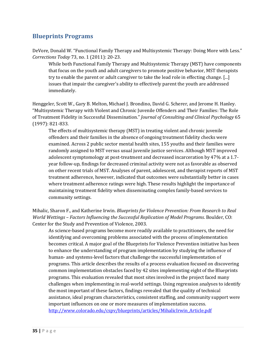#### <span id="page-34-0"></span>**Blueprints Programs**

DeVore, Donald W. "Functional Family Therapy and Multisystemic Therapy: Doing More with Less." *Corrections Today* 73, no. 1 (2011): 20-23.

While both Functional Family Therapy and Multisystemic Therapy (MST) have components that focus on the youth and adult caregivers to promote positive behavior, MST therapists try to enable the parent or adult caregiver to take the lead role in effecting change. [...] issues that impair the caregiver's ability to effectively parent the youth are addressed immediately.

Henggeler, Scott W., Gary B. Melton, Michael J. Brondino, David G. Scherer, and Jerome H. Hanley. "Multisystemic Therapy with Violent and Chronic Juvenile Offenders and Their Families: The Role of Treatment Fidelity in Successful Dissemination." *Journal of Consulting and Clinical Psychology* 65 (1997): 821-833.

The effects of multisystemic therapy (MST) in treating violent and chronic juvenile offenders and their families in the absence of ongoing treatment fidelity checks were examined. Across 2 public sector mental health sites, 155 youths and their families were randomly assigned to MST versus usual juvenile justice services. Although MST improved adolescent symptomology at post-treatment and decreased incarceration by 47% at a 1.7 year follow-up, findings for decreased criminal activity were not as favorable as observed on other recent trials of MST. Analyses of parent, adolescent, and therapist reports of MST treatment adherence, however, indicated that outcomes were substantially better in cases where treatment adherence ratings were high. These results highlight the importance of maintaining treatment fidelity when disseminating complex family-based services to community settings.

Mihalic, Sharon F., and Katherine Irwin. *Blueprints for Violence Prevention: From Research to Real World Wettings – Factors Influencing the Successful Replication of Model Programs*. Boulder, CO: Center for the Study and Prevention of Violence, 2003.

As science-based programs become more readily available to practitioners, the need for identifying and overcoming problems associated with the process of implementation becomes critical. A major goal of the Blueprints for Violence Prevention initiative has been to enhance the understanding of program implementation by studying the influence of human- and systems-level factors that challenge the successful implementation of programs. This article describes the results of a process evaluation focused on discovering common implementation obstacles faced by 42 sites implementing eight of the Blueprints programs. This evaluation revealed that most sites involved in the project faced many challenges when implementing in real-world settings. Using regression analyses to identify the most important of these factors, findings revealed that the quality of technical assistance, ideal program characteristics, consistent staffing, and community support were important influences on one or more measures of implementation success. [http://www.colorado.edu/cspv/blueprints/articles/MihalicIrwin\\_Article.pdf](http://www.colorado.edu/cspv/blueprints/articles/MihalicIrwin_Article.pdf)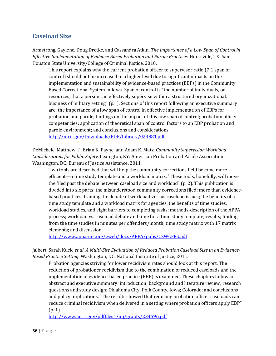#### <span id="page-35-0"></span>**Caseload Size**

Armstrong, Gaylene, Doug Dretke, and Cassandra Atkin. *The Importance of a Low Span of Control in Effective Implementation of Evidence Based Probation and Parole Practices*. Huntsville, TX: Sam Houston State University/College of Criminal Justice, 2010.

This report explains why the current probation officer to supervisor ratio (7:1 span of control) should not be increased to a higher level due to significant impacts on the implementation and sustainability of evidence-based practices (EBPs) in the Community Based Correctional System in Iowa. Span of control is "the number of individuals, or resources, that a person can effectively supervise within a structured organizational, business of military setting" (p. i). Sections of this report following an executive summary are: the importance of a low span of control in effective implementation of EBPs for probation and parole; findings on the impact of this low span of control; probation officer competencies; application of theoretical span of control factors to an EBP probation and parole environment; and conclusions and considerations.

<http://nicic.gov/Downloads/PDF/Library/024881.pdf>

DeMichele, Matthew T., Brian K. Payne, and Adam K. Matz. *Community Supervision Workload Considerations for Public Safety.* Lexington, KY: American Probation and Parole Association; Washington, DC: Bureau of Justice Assistance, 2011.

Two tools are described that will help the community corrections field become more efficient—a time study template and a workload matrix. "These tools, hopefully, will move the filed past the debate between caseload size and workload" (p. 2). This publication is divided into six parts: the misunderstood community corrections filed; more than evidencebased practices; framing the debate of workload versus caseload issues; the benefits of a time study template and a workload matrix for agencies, the benefits of time studies, workload studies, and eight barriers to completing tasks; methods-description of the APPA process; workload vs. caseload debate and time for a time study template; results; findings from the time studies in minutes per offenders/month; time study matrix with 17 matrix elements; and discussion.

<http://www.appa-net.org/eweb/docs/APPA/pubs/CSWCFPS.pdf>

Jalbert, Sarah Kuck, *et al*. *A Multi-Site Evaluation of Reduced Probation Caseload Size in an Evidence-Based Practice Setting.* Washington, DC: National Institute of Justice, 2011.

Probation agencies striving for lower recidivism rates should look at this report. The reduction of probationer recidivism due to the combination of reduced caseloads and the implementation of evidence-based practice (EBP) is examined. These chapters follow an abstract and executive summary: introduction; background and literature review; research questions and study design; Oklahoma City; Polk County, Iowa; Colorado; and conclusions and policy implications. "The results showed that reducing probation officer caseloads can reduce criminal recidivism when delivered in a setting where probation officers apply EBP" (p. 1).

<http://www.ncjrs.gov/pdffiles1/nij/grants/234596.pdf>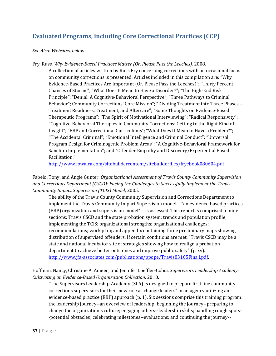# **Evaluated Programs, including Core Correctional Practices (CCP)**

#### *See Also: Websites, below*

Fry, Russ. *Why Evidence-Based Practices Matter (Or, Please Pass the Leeches).* 2008.

A collection of articles written by Russ Fry concerning corrections with an occasional focus on community corrections is presented. Articles included in this compilation are: "Why Evidence-Based Practices Are Important (Or, Please Pass the Leeches)"; "Thirty Percent Chances of Storms"; "What Does It Mean to Have a Disorder?"; "The High-End Risk Principle"; "Denial: A Cognitive-Behavioral Perspective"; "Three Pathways to Criminal Behavior"; Community Corrections' Core Mission"; "Dividing Treatment into Three Phases -- Treatment Readiness, Treatment, and Aftercare"; "Some Thoughts on Evidence-Based Therapeutic Programs"; "The Spirit of Motivational Interviewing"; "Radical Responsivity"; "Cognitive-Behavioral Therapies in Community Corrections: Getting to the Right Kind of Insight"; "EBP and Correctional Curriculums"; "What Does It Mean to Have a Problem?"; "The Accidental Criminal"; "Emotional Intelligence and Criminal Conduct"; "Universal Program Design for Criminogenic Problem Areas"; "A Cognitive-Behavioral Framework for Sanction Implementation"; and "Offender Empathy and Discovery/Experiential Based Facilitation."

<http://www.iowaica.com/sitebuildercontent/sitebuilderfiles/fryebook080604.pdf>

Fabelo, Tony, and Angie Gunter. *Organizational Assessment of Travis County Community Supervision and Corrections Department (CSCD): Facing the Challenges to Successfully Implement the Travis Community Impact Supervision (TCIS) Model*, 2005.

The ability of the Travis County Community Supervision and Corrections Department to implement the Travis Community Impact Supervision model—"an evidence-based practices (EBP) organization and supervision model"—is assessed. This report is comprised of nine sections: Travis CSCD and the state probation system; trends and population profile; implementing the TCIS; organizational strengths; organizational challenges; recommendations; work plan; and appendix containing three preliminary maps showing distribution of supervised offenders. If certain conditions are met, "Travis CSCD may be a state and national incubator site of strategies showing how to realign a probation department to achieve better outcomes and improve public safety" (p. xv). [http://www.jfa-associates.com/publications/ppope/Travis83105Fina l.pdf.](http://www.jfa-associates.com/publications/ppope/Travis83105Fina%20l.pdf)

Hoffman, Nancy, Christine A. Ameen, and Jennifer Loeffler-Cobia. *Supervisors Leadership Academy: Cultivating an Evidence-Based Organization Collection,* 2010.

"The Supervisors Leadership Academy (SLA) is designed to prepare first line community corrections supervisors for their new role as change leaders" in an agency utilizing an evidence-based practice (EBP) approach (p. 1). Six sessions comprise this training program: the leadership journey--an overview of leadership; beginning the journey--preparing to change the organization's culture; engaging others--leadership skills; handling rough spots- -potential obstacles; celebrating milestones--evaluations; and continuing the journey--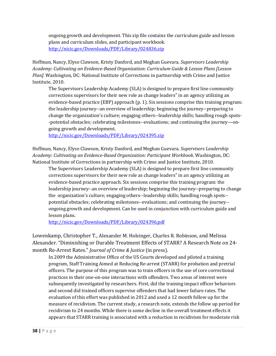ongoing growth and development. This zip file contains the curriculum guide and lesson plans and curriculum slides, and participant workbook. <http://nicic.gov/Downloads/PDF/Library/024836.zip>

Hoffman, Nancy, Elyse Clawson, Kristy Danford, and Meghan Guevara. *Supervisors Leadership Academy: Cultivating an Evidence-Based Organization: Curriculum Guide & Lesson Plans [Lesson Plan].* Washington, DC: National Institute of Corrections in partnership with Crime and Justice Institute, 2010.

The Supervisors Leadership Academy (SLA) is designed to prepare first line community corrections supervisors for their new role as change leaders" in an agency utilizing an evidence-based practice (EBP) approach (p. 1). Six sessions comprise this training program: the leadership journey--an overview of leadership; beginning the journey--preparing to change the organization's culture; engaging others--leadership skills; handling rough spots- -potential obstacles; celebrating milestones--evaluations; and continuing the journey—ongoing growth and development.

<http://nicic.gov/Downloads/PDF/Library/024395.zip>

Hoffman, Nancy, Elyse Clawson, Kristy Danford, and Meghan Guevara. *Supervisors Leadership Academy: Cultivating an Evidence-Based Organization: Participant Workbook*. Washington, DC: National Institute of Corrections in partnership with Crime and Justice Institute, 2010.

The Supervisors Leadership Academy (SLA) is designed to prepare first line community corrections supervisors for their new role as change leaders" in an agency utilizing an evidence-based practice approach. Six sessions comprise this training program: the leadership journey--an overview of leadership; beginning the journey--preparing to change the organization's culture; engaging others--leadership skills; handling rough spots- potential obstacles; celebrating milestones--evaluations; and continuing the journey- ongoing growth and development. Can be used in conjunction with curriculum guide and lesson plans.

<http://nicic.gov/Downloads/PDF/Library/024396.pdf>

Lowenkamp, Christopher T., Alexander M. Holsinger, Charles R. Robinson, and Melissa Alexander. "Diminishing or Durable Treatment Effects of STARR? A Research Note on 24 month Re-Arrest Rates." *Journal of Crime & Justice* (in press).

In 2009 the Administrative Office of the US Courts developed and piloted a training program, Staff Training Aimed at Reducing Re-arrest (STARR) for probation and pretrial officers. The purpose of this program was to train officers in the use of core correctional practices in their one-on-one interactions with offenders. Two areas of interest were subsequently investigated by researchers. First, did the training impact officer behaviors and second did trained officers supervise offenders that had lower failure rates. The evaluation of this effort was published in 2012 and used a 12 month follow up for the measure of recidivism. The current study, a research note, extends the follow up period for recidivism to 24 months. While there is some decline in the overall treatment effects it appears that STARR training is associated with a reduction in recidivism for moderate risk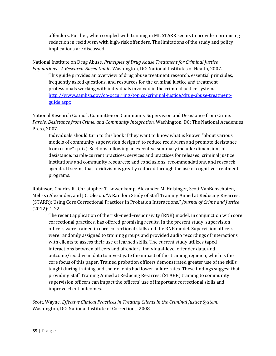offenders. Further, when coupled with training in MI, STARR seems to provide a promising reduction in recidivism with high-risk offenders. The limitations of the study and policy implications are discussed.

National Institute on Drug Abuse. *Principles of Drug Abuse Treatment for Criminal Justice Populations - A Research-Based Guide*. Washington, DC: National Institutes of Health, 2007. This guide provides an overview of drug abuse treatment research, essential principles, frequently asked questions, and resources for the criminal justice and treatment professionals working with individuals involved in the criminal justice system. [http://www.samhsa.gov/co-occurring/topics/criminal-justice/drug-abuse-treatment](http://www.samhsa.gov/co-occurring/topics/criminal-justice/drug-abuse-treatment-guide.aspx)[guide.aspx](http://www.samhsa.gov/co-occurring/topics/criminal-justice/drug-abuse-treatment-guide.aspx)

National Research Council, Committee on Community Supervision and Desistance from Crime. *Parole, Desistance from Crime, and Community Integration*. Washington, DC: The National Academies Press, 2007.

Individuals should turn to this book if they want to know what is known "about various models of community supervision designed to reduce recidivism and promote desistance from crime" (p. ix). Sections following an executive summary include: dimensions of desistance; parole-current practices; services and practices for releases; criminal justice institutions and community resources; and conclusions, recommendations, and research agenda. It seems that recidivism is greatly reduced through the use of cognitive-treatment programs.

Robinson, Charles R., Christopher T. Lowenkamp, Alexander M. Holsinger, Scott VanBenschoten, Melissa Alexander, and J.C. Oleson. "A Random Study of Staff Training Aimed at Reducing Re-arrest (STARR): Using Core Correctional Practices in Probation Interactions." *Journal of Crime and Justice* (2012): 1-22.

The recent application of the risk–need–responsivity (RNR) model, in conjunction with core correctional practices, has offered promising results. In the present study, supervision officers were trained in core correctional skills and the RNR model. Supervision officers were randomly assigned to training groups and provided audio recordings of interactions with clients to assess their use of learned skills. The current study utilizes taped interactions between officers and offenders, individual-level offender data, and outcome/recidivism data to investigate the impact of the training regimen, which is the core focus of this paper. Trained probation officers demonstrated greater use of the skills taught during training and their clients had lower failure rates. These findings suggest that providing Staff Training Aimed at Reducing Re-arrest (STARR) training to community supervision officers can impact the officers' use of important correctional skills and improve client outcomes.

Scott, Wayne. *Effective Clinical Practices in Treating Clients in the Criminal Justice System*. Washington, DC: National Institute of Corrections, 2008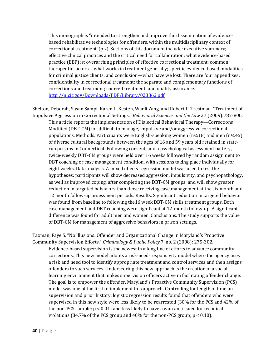This monograph is "intended to strengthen and improve the dissemination of evidencebased rehabilitative technologies for offenders, within the multidisciplinary context of correctional treatment"(p.x). Sections of this document include: executive summary; effective clinical practices and the critical need for collaboration; what evidence-based practice (EBP) is; overarching principles of effective correctional treatment; common therapeutic factors—what works in treatment generally; specific evidence-based modalities for criminal justice clients; and conclusion—what have we lost. There are four appendixes: confidentiality in correctional treatment; the separate and complementary functions of corrections and treatment; coerced treatment; and quality assurance. <http://nicic.gov/Downloads/PDF/Library/023362.pdf>

Shelton, Deborah, Susan Sampl, Karen L. Kesten, Wanli Zang, and Robert L. Trestman. "Treatment of Impulsive Aggression in Correctional Settings." *Behavioral Sciences and the Law* 27 (2009):787-800.

This article reports the implementation of Dialectical Behavioral Therapy—Corrections Modified (DBT-CM) for difficult to manage, impulsive and/or aggressive correctional populations. Methods. Participants were English-speaking women  $(n\frac{1}{4}18)$  and men  $(n\frac{1}{4}45)$ of diverse cultural backgrounds between the ages of 16 and 59 years old retained in staterun prisons in Connecticut. Following consent, and a psychological assessment battery, twice-weekly DBT-CM groups were held over 16 weeks followed by random assignment to DBT coaching or case management condition, with sessions taking place individually for eight weeks. Data analysis. A mixed effects regression model was used to test the hypotheses: participants will show decreased aggression, impulsivity, and psychopathology, as well as improved coping, after completing the DBT-CM groups; and will show greater reduction in targeted behaviors than those receiving case management at the six month and 12 month follow-up assessment periods. Results. Significant reduction in targeted behavior was found from baseline to following the16 week DBT-CM skills treatment groups. Both case management and DBT coaching were significant at 12-month follow-up. A significant difference was found for adult men and women. Conclusions. The study supports the value of DBT-CM for management of aggressive behaviors in prison settings.

Taxman, Faye S. "No Illusions: Offender and Organizational Change in Maryland's Proactive Community Supervision Efforts." *Criminology & Public Policy* 7, no. 2 (2008): 275-302.

Evidence-based supervision is the newest in a long line of efforts to advance community corrections. This new model adopts a risk-need-responsivity model where the agency uses a risk and need tool to identify appropriate treatment and control services and then assigns offenders to such services. Underscoring this new approach is the creation of a social learning environment that makes supervision officers active in facilitating offender change. The goal is to empower the offender. Maryland's Proactive Community Supervision (PCS) model was one of the first to implement this approach. Controlling for length of time on supervision and prior history, logistic regression results found that offenders who were supervised in this new style were less likely to be rearrested (30% for the PCS and 42% of the non-PCS sample; p < 0.01) and less likely to have a warrant issued for technical violations (34.7% of the PCS group and 40% for the non-PCS group; p < 0.10).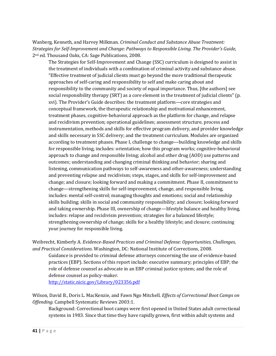Wanberg, Kenneth, and Harvey Milkman. *Criminal Conduct and Substance Abuse Treatment: Strategies for Self-Improvement and Change: Pathways to Responsible Living. The Provider's Guide,*  2nd ed. Thousand Oaks, CA: Sage Publications, 2008.

The Strategies for Self-Improvement and Change (SSC) curriculum is designed to assist in the treatment of individuals with a combination of criminal activity and substance abuse. "Effective treatment of judicial clients must go beyond the more traditional therapeutic approaches of self-caring and responsibility to self and make caring about and responsibility to the community and society of equal importance. Thus, [the authors] see social responsibility therapy (SRT) as a core element in the treatment of judicial clients" (p. xvi). The Provider's Guide describes: the treatment platform—core strategies and conceptual framework, the therapeutic relationship and motivational enhancement, treatment phases, cognitive-behavioral approach as the platform for change, and relapse and recidivism prevention; operational guidelines; assessment structure, process and instrumentation, methods and skills for effective program delivery, and provider knowledge and skills necessary in SSC delivery; and the treatment curriculum. Modules are organized according to treatment phases. Phase I, challenge to change—building knowledge and skills for responsible living, includes: orientation; how this program works; cognitive-behavioral approach to change and responsible living; alcohol and other drug (AOD) use patterns and outcomes; understanding and changing criminal thinking and behavior; sharing and listening, communication pathways to self-awareness and other-awareness; understanding and preventing relapse and recidivism; steps, stages, and skills for self-improvement and change; and closure; looking forward and making a commitment. Phase II, commitment to change—strengthening skills for self-improvement, change, and responsible living, includes: mental self-control; managing thoughts and emotions; social and relationship skills building; skills in social and community responsibility; and closure; looking forward and taking ownership. Phase III, ownership of change—lifestyle balance and healthy living, includes: relapse and recidivism prevention; strategies for a balanced lifestyle; strengthening ownership of change; skills for a healthy lifestyle; and closure; continuing your journey for responsible living.

Weibrecht, Kimberly A*. Evidence-Based Practices and Criminal Defense: Opportunities, Challenges, and Practical Considerations*. Washington, DC: National Institute of Corrections, 2008.

Guidance is provided to criminal defense attorneys concerning the use of evidence-based practices (EBP). Sections of this report include: executive summary; principles of EBP; the role of defense counsel as advocate in an EBP criminal justice system; and the role of defense counsel as policy-maker.

<http://static.nicic.gov/Library/023356.pdf>

Wilson, David B., Doris L. MacKenzie, and Fawn Ngo Mitchell. *Effects of Correctional Boot Camps on Offending.* Campbell Systematic Reviews 2003:1.

Background: Correctional boot camps were first opened in United States adult correctional systems in 1983. Since that time they have rapidly grown, first within adult systems and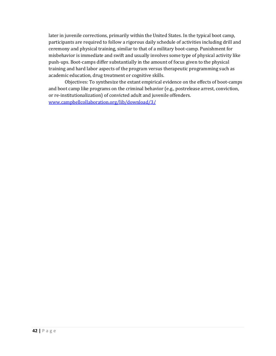later in juvenile corrections, primarily within the United States. In the typical boot camp, participants are required to follow a rigorous daily schedule of activities including drill and ceremony and physical training, similar to that of a military boot-camp. Punishment for misbehavior is immediate and swift and usually involves some type of physical activity like push-ups. Boot-camps differ substantially in the amount of focus given to the physical training and hard labor aspects of the program versus therapeutic programming such as academic education, drug treatment or cognitive skills.

Objectives: To synthesize the extant empirical evidence on the effects of boot-camps and boot camp like programs on the criminal behavior (e.g., postrelease arrest, conviction, or re-institutionalization) of convicted adult and juvenile offenders. [www.campbellcollaboration.org/lib/download/3/](http://www.campbellcollaboration.org/lib/download/3/)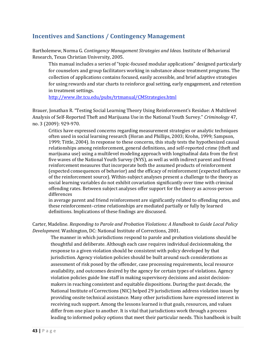### **Incentives and Sanctions / Contingency Management**

Bartholemew, Norma G. *Contingency Management Strategies and Ideas.* Institute of Behavioral Research, Texas Christian University, 2005.

This manual includes a series of "topic-focused modular applications" designed particularly for counselors and group facilitators working in substance abuse treatment programs. The collection of applications contains focused, easily accessible, and brief adaptive strategies for using rewards and star charts to reinforce goal setting, early engagement, and retention in treatment settings.

<http://www.ibr.tcu.edu/pubs/trtmanual/CMStrategies.html>

Brauer, Jonathan R. "Testing Social Learning Theory Using Reinforcement's Residue: A Multilevel Analysis of Self-Reported Theft and Marijuana Use in the National Youth Survey." *Criminology* 47, no. 3 (2009): 929-970.

Critics have expressed concerns regarding measurement strategies or analytic techniques often used in social learning research (Horan and Phillips, 2003; Krohn, 1999; Sampson, 1999; Tittle, 2004). In response to these concerns, this study tests the hypothesized causal relationships among reinforcement, general definitions, and self-reported crime (theft and marijuana use) using a multilevel modeling approach with longitudinal data from the first five waves of the National Youth Survey (NYS), as well as with indirect parent and friend reinforcement measures that incorporate both the assumed products of reinforcement (expected consequences of behavior) and the efficacy of reinforcement (expected influence of the reinforcement source). Within-subject analyses present a challenge to the theory as social learning variables do not exhibit covariation significantly over time with criminal offending rates. Between subject analyses offer support for the theory as across-person differences

in average parent and friend reinforcement are significantly related to offending rates, and these reinforcement–crime relationships are mediated partially or fully by learned definitions. Implications of these findings are discussed.

Carter, Madeline. *Responding to Parole and Probation Violations: A Handbook to Guide Local Policy Development.* Washington, DC: National Institute of Corrections, 2001.

The manner in which jurisdictions respond to parole and probation violations should be thoughtful and deliberate. Although each case requires individual decisionmaking, the response to a given violation should be consistent with policy developed by that jurisdiction. Agency violation policies should be built around such considerations as assessment of risk posed by the offender, case processing requirements, local resource availability, and outcomes desired by the agency for certain types of violations. Agency violation policies guide line staff in making supervisory decisions and assist decisionmakers in reaching consistent and equitable dispositions. During the past decade, the National Institute of Corrections (NIC) helped 29 jurisdictions address violation issues by providing onsite technical assistance. Many other jurisdictions have expressed interest in receiving such support. Among the lessons learned is that goals, resources, and values differ from one place to another. It is vital that jurisdictions work through a process leading to informed policy options that meet their particular needs. This handbook is built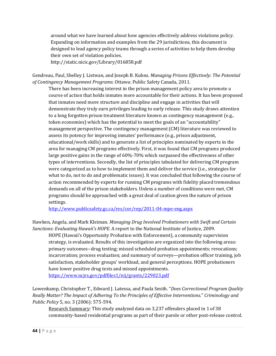around what we have learned about how agencies effectively address violations policy. Expanding on information and examples from the 29 jurisdictions, this document is designed to lead agency policy teams through a series of activities to help them develop their own set of violation policies.

http://static.nicic.gov/Library/016858.pdf

Gendreau, Paul, Shelley J. Listwan, and Joseph B. Kuhns. *Managing Prisons Effectively: The Potential of Contingency Management Programs*. Ottawa: Public Safety Canada, 2011.

There has been increasing interest in the prison management policy area to promote a course of action that holds inmates more accountable for their actions. It has been proposed that inmates need more structure and discipline and engage in activities that will demonstrate they truly earn privileges leading to early release. This study draws attention to a long forgotten prison treatment literature known as contingency management (e.g., token economies) which has the potential to meet the goals of an "accountability" management perspective. The contingency management (CM) literature was reviewed to assess its potency for improving inmates' performance (e.g., prison adjustment, educational/work skills) and to generate a list of principles nominated by experts in the area for managing CM programs effectively. First, it was found that CM programs produced large positive gains in the range of 60%-70% which surpassed the effectiveness of other types of interventions. Secondly, the list of principles tabulated for delivering CM program were categorized as to how to implement them and deliver the service (i.e., strategies for what to do, not to do and problematic issues). It was concluded that following the course of action recommended by experts for running CM programs with fidelity placed tremendous demands on all of the prison stakeholders. Unless a number of conditions were met, CM programs should be approached with a great deal of caution given the nature of prison settings.

<http://www.publicsafety.gc.ca/res/cor/rep/2011-04-mpe-eng.aspx>

Hawken, Angela, and Mark Kleiman. *Managing Drug Involved Probationers with Swift and Certain Sanctions: Evaluating Hawaii's HOPE.* A report to the National Institute of Justice, 2009.

HOPE (Hawaii's Opportunity Probation with Enforcement), a community supervision strategy, is evaluated. Results of this investigation are organized into the following areas: primary outcomes--drug testing; missed scheduled probation appointments; revocations; incarceration; process evaluation; and summary of surveys—probation officer training, job satisfaction, stakeholder groups' workload, and general perceptions. HOPE probationers have lower positive drug tests and missed appointments.

<https://www.ncjrs.gov/pdffiles1/nij/grants/229023.pdf>

Lowenkamp, Christopher T., Edward J. Latessa, and Paula Smith. "*Does Correctional Program Quality Really Matter? The Impact of Adhering To the Principles of Effective Interventions*." *Criminology and Public Policy* 5, no. 3 (2006): 575-594.

Research Summary: This study analyzed data on 3,237 offenders placed in 1 of 38 community-based residential programs as part of their parole or other post-release control.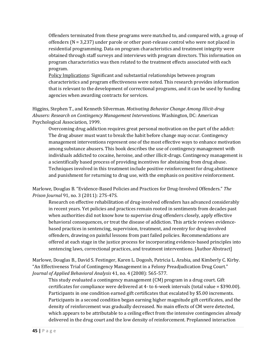Offenders terminated from these programs were matched to, and compared with, a group of offenders (N = 3,237) under parole or other post-release control who were not placed in residential programming. Data on program characteristics and treatment integrity were obtained through staff surveys and interviews with program directors. This information on program characteristics was then related to the treatment effects associated with each program.

Policy Implications: Significant and substantial relationships between program characteristics and program effectiveness were noted. This research provides information that is relevant to the development of correctional programs, and it can be used by funding agencies when awarding contracts for services.

Higgins, Stephen T., and Kenneth Silverman. *Motivating Behavior Change Among Illicit-drug Abusers: Research on Contingency Management Interventions*. Washington, DC: American Psychological Association, 1999.

Overcoming drug addiction requires great personal motivation on the part of the addict: The drug abuser must want to break the habit before change may occur. Contingency management interventions represent one of the most effective ways to enhance motivation among substance abusers. This book describes the use of contingency management with individuals addicted to cocaine, heroine, and other illicit-drugs. Contingency management is a scientifically based process of providing incentives for abstaining from drug abuse. Techniques involved in this treatment include positive reinforcement for drug abstinence and punishment for returning to drug use, with the emphasis on positive reinforcement.

Marlowe, Douglas B. "Evidence-Based Policies and Practices for Drug-Involved Offenders." *The Prison Journal* 91, no. 3 (2011): 27S-47S.

Research on effective rehabilitation of drug-involved offenders has advanced considerably in recent years. Yet policies and practices remain rooted in sentiments from decades past when authorities did not know how to supervise drug offenders closely, apply effective behavioral consequences, or treat the disease of addiction. This article reviews evidencebased practices in sentencing, supervision, treatment, and reentry for drug-involved offenders, drawing on painful lessons from past failed policies. Recommendations are offered at each stage in the justice process for incorporating evidence-based principles into sentencing laws, correctional practices, and treatment interventions. [Author Abstract]

Marlowe, Douglas B., David S. Festinger, Karen L. Dogosh, Patricia L. Arabia, and Kimberly C. Kirby. "An Effectiveness Trial of Contingency Management in a Felony Preadjudication Drug Court." *Journal of Applied Behavioral Analysis* 41, no. 4 (2008): 565-577.

This study evaluated a contingency management (CM) program in a drug court. Gift certificates for compliance were delivered at 4- to 6-week intervals (total value = \$390.00). Participants in one condition earned gift certificates that escalated by \$5.00 increments. Participants in a second condition began earning higher magnitude gift certificates, and the density of reinforcement was gradually decreased. No main effects of CM were detected, which appears to be attributable to a ceiling effect from the intensive contingencies already delivered in the drug court and the low density of reinforcement. Preplanned interaction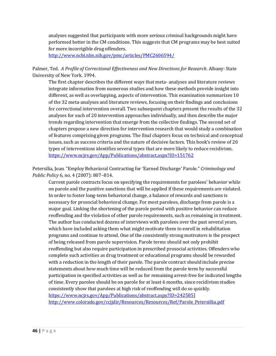analyses suggested that participants with more serious criminal backgrounds might have performed better in the CM conditions. This suggests that CM programs may be best suited for more incorrigible drug offenders.

<http://www.ncbi.nlm.nih.gov/pmc/articles/PMC2606594/>

Palmer, Ted. *A Profile of Correctional Effectiveness and New Directions for Research*. Albany: State University of New York. 1994.

The first chapter describes the different ways that meta- analyses and literature reviews integrate information from numerous studies and how these methods provide insight into different, as well as overlapping, aspects of intervention. This examination summarizes 10 of the 32 meta-analyses and literature reviews, focusing on their findings and conclusions for correctional intervention overall. Two subsequent chapters present the results of the 32 analyses for each of 20 intervention approaches individually, and then describe the major trends regarding intervention that emerge from the collective findings. The second set of chapters propose a new direction for intervention research that would study a combination of features comprising given programs. The final chapters focus on technical and conceptual issues, such as success criteria and the nature of decisive factors. This book's review of 20 types of interventions identifies several types that are more likely to reduce recidivism. <https://www.ncjrs.gov/App/Publications/abstract.aspx?ID=151762>

Petersilia, Joan. "Employ Behavioral Contracting for 'Earned Discharge' Parole." *Criminology and Public Policy* 6, no. 4 (2007): 807–814.

Current parole contracts focus on specifying the requirements for parolees' behavior while on parole and the punitive sanctions that will be applied if these requirements are violated. In order to foster long-term behavioral change, a balance of rewards and sanctions is necessary for prosocial behavioral change. For most parolees, discharge from parole is a major goal. Linking the shortening of the parole period with positive behavior can reduce reoffending and the violation of other parole requirements, such as remaining in treatment. The author has conducted dozens of interviews with parolees over the past several years, which have included asking them what might motivate them to enroll in rehabilitation programs and continue to attend. One of the consistently strong motivators is the prospect of being released from parole supervision. Parole terms should not only prohibit reoffending but also require participation in prescribed prosocial activities. Offenders who complete such activities as drug treatment or educational programs should be rewarded with a reduction in the length of their parole. The parole contract should include precise statements about how much time will be reduced from the parole term by successful participation in specified activities as well as for remaining arrest-free for indicated lengths of time. Every parolee should be on parole for at least 6 months, since recidivism studies consistently show that parolees at high risk of reoffending will do so quickly. [https://www.ncjrs.gov/App/Publications/abstract.aspx?ID=242585\]](https://www.ncjrs.gov/App/Publications/abstract.aspx?ID=242585) [http://www.colorado.gov/ccjjdir/Resources/Resources/Ref/Parole\\_Petersillia.pdf](http://www.colorado.gov/ccjjdir/Resources/Resources/Ref/Parole_Petersillia.pdf)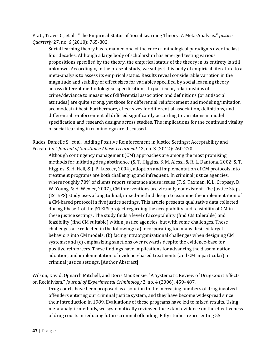Pratt, Travis C., et al. "The Empirical Status of Social Learning Theory: A Meta-Analysis." *Justice Quarterly* 27, no. 6 (2010): 765-802.

Social learning theory has remained one of the core criminological paradigms over the last four decades. Although a large body of scholarship has emerged testing various propositions specified by the theory, the empirical status of the theory in its entirety is still unknown. Accordingly, in the present study, we subject this body of empirical literature to a meta-analysis to assess its empirical status. Results reveal considerable variation in the magnitude and stability of effect sizes for variables specified by social learning theory across different methodological specifications. In particular, relationships of crime/deviance to measures of differential association and definitions (or antisocial attitudes) are quite strong, yet those for differential reinforcement and modeling/imitation are modest at best. Furthermore, effect sizes for differential association, definitions, and differential reinforcement all differed significantly according to variations in model specification and research designs across studies. The implications for the continued vitality of social learning in criminology are discussed.

Rudes, Danielle S., et al. "Adding Positive Reinforcement in Justice Settings: Acceptability and Feasibility." *Journal of Substance Abuse Treatment* 42, no. 3 (2012): 260-270.

Although contingency management (CM) approaches are among the most promising methods for initiating drug abstinence (S. T. Higgins, S. M. Alessi, & R. L. Dantona, 2002; S. T. Higgins, S. H. Heil, & J. P. Lussier, 2004), adoption and implementation of CM protocols into treatment programs are both challenging and infrequent. In criminal justice agencies, where roughly 70% of clients report substance abuse issues (F. S. Taxman, K. L. Cropsey, D. W. Young, & H. Wexler, 2007), CM interventions are virtually nonexistent. The Justice Steps (JSTEPS) study uses a longitudinal, mixed-method design to examine the implementation of a CM-based protocol in five justice settings**.** This article presents qualitative data collected during Phase 1 of the JSTEPS project regarding the acceptability and feasibility of CM in these justice settings**.** The study finds a level of acceptability (find CM tolerable) and feasibility (find CM suitable) within justice agencies, but with some challenges. These challenges are reflected in the following: (a) incorporating too many desired target behaviors into CM models; (b) facing intraorganizational challenges when designing CM systems; and (c) emphasizing sanctions over rewards despite the evidence-base for positive reinforcers. These findings have implications for advancing the dissemination, adoption, and implementation of evidence-based treatments (and CM in particular) in criminal justice settings. [Author Abstract]

Wilson, David, Ojmarrh Mitchell, and Doris MacKenzie. "A Systematic Review of Drug Court Effects on Recidivism." *Journal of Experimental Criminology* 2, no. 4 (2006), 459–487.

Drug courts have been proposed as a solution to the increasing numbers of drug involved offenders entering our criminal justice system, and they have become widespread since their introduction in 1989. Evaluations of these programs have led to mixed results. Using meta-analytic methods, we systematically reviewed the extant evidence on the effectiveness of drug courts in reducing future criminal offending. Fifty studies representing 55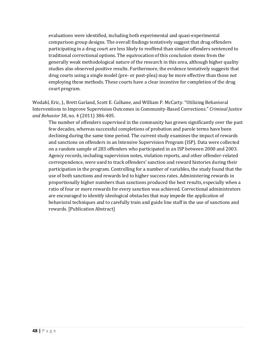evaluations were identified, including both experimental and quasi-experimental comparison group designs. The overall findings tentatively suggest that drug offenders participating in a drug court are less likely to reoffend than similar offenders sentenced to traditional correctional options. The equivocation of this conclusion stems from the generally weak methodological nature of the research in this area, although higher quality studies also observed positive results. Furthermore, the evidence tentatively suggests that drug courts using a single model (pre- or post-plea) may be more effective than those not employing these methods. These courts have a clear incentive for completion of the drug court program.

Wodahl, Eric, J., Brett Garland, Scott E. Culhane, and William P. McCarty. "Utilizing Behavioral Interventions to Improve Supervision Outcomes in Community-Based Corrections." *Criminal Justice and Behavior* 38, no. 4 (2011) 386-405.

The number of offenders supervised in the community has grown significantly over the past few decades, whereas successful completions of probation and parole terms have been declining during the same time period. The current study examines the impact of rewards and sanctions on offenders in an Intensive Supervision Program (ISP). Data were collected on a random sample of 283 offenders who participated in an ISP between 2000 and 2003. Agency records, including supervision notes, violation reports, and other offender-related correspondence, were used to track offenders' sanction and reward histories during their participation in the program. Controlling for a number of variables, the study found that the use of both sanctions and rewards led to higher success rates. Administering rewards in proportionally higher numbers than sanctions produced the best results, especially when a ratio of four or more rewards for every sanction was achieved. Correctional administrators are encouraged to identify ideological obstacles that may impede the application of behavioral techniques and to carefully train and guide line staff in the use of sanctions and rewards. [Publication Abstract]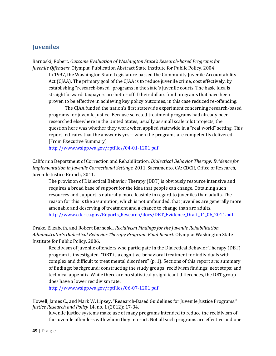### **Juveniles**

Barnoski, Robert. *Outcome Evaluation of Washington State's Research-based Programs for Juvenile Offenders*. Olympia: Publication Abstract State Institute for Public Policy, 2004.

In 1997, the Washington State Legislature passed the Community Juvenile Accountability Act (CJAA). The primary goal of the CJAA is to reduce juvenile crime, cost effectively, by establishing "research-based" programs in the state's juvenile courts. The basic idea is straightforward: taxpayers are better off if their dollars fund programs that have been proven to be effective in achieving key policy outcomes, in this case reduced re-offending.

The CJAA funded the nation's first statewide experiment concerning research-based programs for juvenile justice. Because selected treatment programs had already been researched elsewhere in the United States, usually as small scale pilot projects, the question here was whether they work when applied statewide in a "real world" setting. This report indicates that the answer is yes—when the programs are competently delivered. [From Executive Summary]

<http://www.wsipp.wa.gov/rptfiles/04-01-1201.pdf>

California Department of Correction and Rehabilitation. *Dialectical Behavior Therapy: Evidence for Implementation in Juvenile Correctional Settings,* 2011. Sacramento, CA: CDCR, Office of Research, Juvenile Justice Branch, 2011.

The provision of Dialectical Behavior Therapy (DBT) is obviously resource intensive and requires a broad base of support for the idea that people can change. Obtaining such resources and support is naturally more feasible in regard to juveniles than adults. The reason for this is the assumption, which is not unfounded, that juveniles are generally more amenable and deserving of treatment and a chance to change than are adults. [http://www.cdcr.ca.gov/Reports\\_Research/docs/DBT\\_Evidence\\_Draft\\_04\\_06\\_2011.pdf](http://www.cdcr.ca.gov/Reports_Research/docs/DBT_Evidence_Draft_04_06_2011.pdf)

Drake, Elizabeth, and Robert Barnoski. *Recidivism Findings for the Juvenile Rehabilitation Administrator's Dialectical Behavior Therapy Program: Final Report*. Olympia: Washington State Institute for Public Policy, 2006.

Recidivism of juvenile offenders who participate in the Dialectical Behavior Therapy (DBT) program is investigated. "DBT is a cognitive-behavioral treatment for individuals with complex and difficult to treat mental disorders" (p. 1). Sections of this report are: summary of findings; background; constructing the study groups; recidivism findings; next steps; and technical appendix. While there are no statistically significant differences, the DBT group does have a lower recidivism rate.

<http://www.wsipp.wa.gov/rptfiles/06-07-1201.pdf>

Howell, James C., and Mark W. Lipsey. "Research-Based Guidelines for Juvenile Justice Programs." *Justice Research and Policy* 14, no. 1 (2012): 17-34.

Juvenile justice systems make use of many programs intended to reduce the recidivism of the juvenile offenders with whom they interact. Not all such programs are effective and one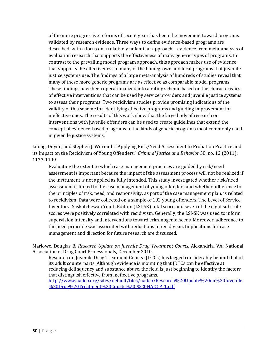of the more progressive reforms of recent years has been the movement toward programs validated by research evidence. Three ways to define evidence-based programs are described, with a focus on a relatively unfamiliar approach—evidence from meta-analysis of evaluation research that supports the effectiveness of many generic types of programs. In contrast to the prevailing model program approach, this approach makes use of evidence that supports the effectiveness of many of the homegrown and local programs that juvenile justice systems use. The findings of a large meta-analysis of hundreds of studies reveal that many of these more generic programs are as effective as comparable model programs. These findings have been operationalized into a rating scheme based on the characteristics of effective interventions that can be used by service providers and juvenile justice systems to assess their programs. Two recidivism studies provide promising indications of the validity of this scheme for identifying effective programs and guiding improvement for ineffective ones. The results of this work show that the large body of research on interventions with juvenile offenders can be used to create guidelines that extend the concept of evidence-based programs to the kinds of generic programs most commonly used in juvenile justice systems.

Luong, Duyen, and Stephen J. Wormith. "Applying Risk/Need Assessment to Probation Practice and its Impact on the Recidivism of Young Offenders." *Criminal Justice and Behavior* 38, no. 12 (2011): 1177-1199.

Evaluating the extent to which case management practices are guided by risk/need assessment is important because the impact of the assessment process will not be realized if the instrument is not applied as fully intended. This study investigated whether risk/need assessment is linked to the case management of young offenders and whether adherence to the principles of risk, need, and responsivity, as part of the case management plan, is related to recidivism. Data were collected on a sample of 192 young offenders. The Level of Service Inventory–Saskatchewan Youth Edition (LSI-SK) total score and seven of the eight subscale scores were positively correlated with recidivism. Generally, the LSI-SK was used to inform supervision intensity and interventions toward criminogenic needs. Moreover, adherence to the need principle was associated with reductions in recidivism. Implications for case management and direction for future research are discussed.

Marlowe, Douglas B. *Research Update on Juvenile Drug Treatment Courts.* Alexandria, VA: National Association of Drug Court Professionals, December 2010.

Research on Juvenile Drug Treatment Courts (JDTCs) has lagged considerably behind that of its adult counterparts. Although evidence is mounting that JDTCs can be effective at reducing delinquency and substance abuse, the field is just beginning to identify the factors that distinguish effective from ineffective programs.

[http://www.nadcp.org/sites/default/files/nadcp/Research%20Update%20on%20Juvenile](http://www.nadcp.org/sites/default/files/nadcp/Research%20Update%20on%20Juvenile%20Drug%20Treatment%20Courts%20-%20NADCP_1.pdf) [%20Drug%20Treatment%20Courts%20-%20NADCP\\_1.pdf](http://www.nadcp.org/sites/default/files/nadcp/Research%20Update%20on%20Juvenile%20Drug%20Treatment%20Courts%20-%20NADCP_1.pdf)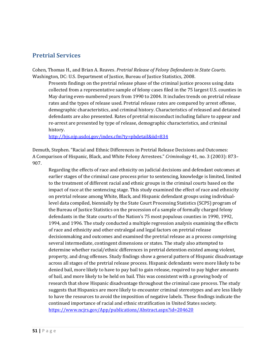### **Pretrial Services**

Cohen, Thomas H., and Brian A. Reaves. *Pretrial Release of Felony Defendants in State Courts*. Washington, DC: U.S. Department of Justice, Bureau of Justice Statistics, 2008.

Presents findings on the pretrial release phase of the criminal justice process using data collected from a representative sample of felony cases filed in the 75 largest U.S. counties in May during even-numbered years from 1990 to 2004. It includes trends on pretrial release rates and the types of release used. Pretrial release rates are compared by arrest offense, demographic characteristics, and criminal history. Characteristics of released and detained defendants are also presented. Rates of pretrial misconduct including failure to appear and re-arrest are presented by type of release, demographic characteristics, and criminal history.

<http://bjs.ojp.usdoj.gov/index.cfm?ty=pbdetail&iid=834>

Demuth, Stephen. "Racial and Ethnic Differences in Pretrial Release Decisions and Outcomes: A Comparison of Hispanic, Black, and White Felony Arrestees." *Criminology* 41, no. 3 (2003): 873– 907.

Regarding the effects of race and ethnicity on judicial decisions and defendant outcomes at earlier stages of the criminal case process prior to sentencing, knowledge is limited, limited to the treatment of different racial and ethnic groups in the criminal courts based on the impact of race at the sentencing stage. This study examined the effect of race and ethnicity on pretrial release among White, Black, and Hispanic defendant groups using individuallevel data compiled, biennially by the State Court Processing Statistics (SCPS) program of the Bureau of Justice Statistics on the procession of a sample of formally charged felony defendants in the State courts of the Nation's 75 most populous counties in 1990, 1992, 1994, and 1996. The study conducted a multiple regression analysis examining the effects of race and ethnicity and other extralegal and legal factors on pretrial release decisionmaking and outcomes and examined the pretrial release as a process comprising several intermediate, contingent dimensions or states. The study also attempted to determine whether racial/ethnic differences in pretrial detention existed among violent, property, and drug offenses. Study findings show a general pattern of Hispanic disadvantage across all stages of the pretrial release process. Hispanic defendants were more likely to be denied bail, more likely to have to pay bail to gain release, required to pay higher amounts of bail, and more likely to be held on bail. This was consistent with a growing body of research that show Hispanic disadvantage throughout the criminal case process. The study suggests that Hispanics are more likely to encounter criminal stereotypes and are less likely to have the resources to avoid the imposition of negative labels. These findings indicate the continued importance of racial and ethnic stratification in United States society. <https://www.ncjrs.gov/App/publications/Abstract.aspx?id=204620>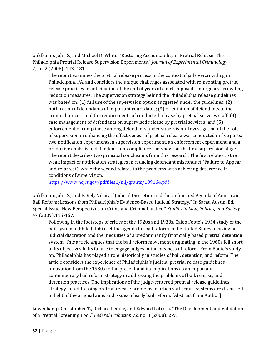Goldkamp, John S., and Michael D. White. "Restoring Accountability in Pretrial Release: The Philadelphia Pretrial Release Supervision Experiments." *Journal of Experimental Criminology* 2, no. 2 (2006): 143–181.

The report examines the pretrial release process in the context of jail overcrowding in Philadelphia, PA, and considers the unique challenges associated with reinventing pretrial release practices in anticipation of the end of years of court-imposed "emergency" crowding reduction measures. The supervision strategy behind the Philadelphia release guidelines was based on: (1) full use of the supervision option suggested under the guidelines; (2) notification of defendants of important court dates; (3) orientation of defendants to the criminal process and the requirements of conducted release by pretrial services staff; (4) case management of defendants on supervised release by pretrial services; and (5) enforcement of compliance among defendants under supervision. Investigation of the role of supervision in enhancing the effectiveness of pretrial release was conducted in five parts: two notification experiments, a supervision experiment, an enforcement experiment, and a predictive analysis of defendant non-compliance (no-shows at the first supervision stage). The report describes two principal conclusions from this research. The first relates to the weak impact of notification strategies in reducing defendant misconduct (Failure to Appear and re-arrest), while the second relates to the problems with achieving deterrence in conditions of supervision.

<https://www.ncjrs.gov/pdffiles1/nij/grants/189164.pdf>

Goldkamp, John S., and E. Rely Vilcica. "Judicial Discretion and the Unfinished Agenda of American Bail Reform: Lessons from Philadelphia's Evidence-Based Judicial Strategy." In Sarat, Austin, Ed. Special Issue: New Perspectives on Crime and Criminal Justice." *Studies in Law, Politics, and Society* 47 (2009):115-157.

Following in the footsteps of critics of the 1920s and 1930s, Caleb Foote's 1954 study of the bail system in Philadelphia set the agenda for bail reform in the United States focusing on judicial discretion and the inequities of a predominantly financially based pretrial detention system. This article argues that the bail reform movement originating in the 1960s fell short of its objectives in its failure to engage judges in the business of reform. From Foote's study on, Philadelphia has played a role historically in studies of bail, detention, and reform. The article considers the experience of Philadelphia's judicial pretrial release guidelines innovation from the 1980s to the present and its implications as an important contemporary bail reform strategy in addressing the problems of bail, release, and detention practices. The implications of the judge-centered pretrial release guidelines strategy for addressing pretrial release problems in urban state court systems are discussed in light of the original aims and issues of early bail reform. [Abstract from Author]

Lowenkamp, Christopher T., Richard Lemke, and Edward Latessa. "The Development and Validation of a Pretrial Screening Tool." *Federal Probation* 72, no. 3 (2008): 2-9.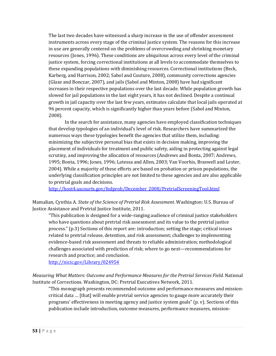The last two decades have witnessed a sharp increase in the use of offender assessment instruments across every stage of the criminal justice system. The reasons for this increase in use are generally centered on the problems of overcrowding and shrinking monetary resources (Jones, 1996). These conditions are ubiquitous across every level of the criminal justice system, forcing correctional institutions at all levels to accommodate themselves to these expanding populations with diminishing resources. Correctional institutions (Beck, Karberg, and Harrison, 2002; Sabol and Couture, 2008), community corrections agencies (Glaze and Bonczar, 2007), and jails (Sabol and Minton, 2008) have had significant increases in their respective populations over the last decade. While population growth has slowed for jail populations in the last eight years, it has not declined. Despite a continual growth in jail capacity over the last few years, estimates calculate that local jails operated at 96 percent capacity, which is significantly higher than years before (Sabol and Minton, 2008).

In the search for assistance, many agencies have employed classification techniques that develop typologies of an individual's level of risk. Researchers have summarized the numerous ways these typologies benefit the agencies that utilize them, including: minimizing the subjective personal bias that exists in decision making, improving the placement of individuals for treatment and public safety, aiding in protecting against legal scrutiny, and improving the allocation of resources (Andrews and Bonta, 2007; Andrews, 1995; Bonta, 1996; Jones, 1996; Latessa and Allen, 2003; Van Voorhis, Braswell and Lester, 2004). While a majority of these efforts are based on probation or prison populations, the underlying classification principles are not limited to these agencies and are also applicable to pretrial goals and decisions.

[http://host4.uscourts.gov/fedprob/December\\_2008/PretrialScreeningTool.html](http://host4.uscourts.gov/fedprob/December_2008/PretrialScreeningTool.html)

Mamalian, Cynthia A. *State of the Science of Pretrial Risk Assessment*. Washington: U.S. Bureau of Justice Assistance and Pretrial Justice Institute, 2011.

"This publication is designed for a wide-ranging audience of criminal justice stakeholders who have questions about pretrial risk assessment and its value to the pretrial justice process." (p.3) Sections of this report are: introduction; setting the stage; critical issues related to pretrial release, detention, and risk assessment; challenges to implementing evidence-based risk assessment and threats to reliable administration; methodological challenges associated with prediction of risk; where to go next—recommendations for research and practice; and conclusion.

<http://nicic.gov/Library/024954>

*Measuring What Matters: Outcome and Performance Measures for the Pretrial Services Field.* National Institute of Corrections. Washington, DC: Pretrial Executives Network, 2011.

"This monograph presents recommended outcome and performance measures and missioncritical data … [that] will enable pretrial service agencies to gauge more accurately their programs' effectiveness in meeting agency and justice system goals" (p. v). Sections of this publication include introduction, outcome measures, performance measures, mission-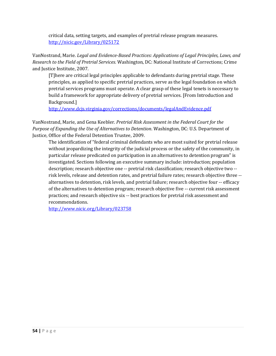critical data, setting targets, and examples of pretrial release program measures. <http://nicic.gov/Library/025172>

VanNostrand, Marie. *Legal and Evidence-Based Practices: Applications of Legal Principles, Laws, and Research to the Field of Pretrial Services.* Washington, DC: National Institute of Corrections; Crime and Justice Institute, 2007.

[T]here are critical legal principles applicable to defendants during pretrial stage. These principles, as applied to specific pretrial practices, serve as the legal foundation on which pretrial services programs must operate. A clear grasp of these legal tenets is necessary to build a framework for appropriate delivery of pretrial services. [From Introduction and Background.]

<http://www.dcjs.virginia.gov/corrections/documents/legalAndEvidence.pdf>

VanNostrand, Marie, and Gena Keebler. *Pretrial Risk Assessment in the Federal Court for the Purpose of Expanding the Use of Alternatives to Detention*. Washington, DC: U.S. Department of Justice, Office of the Federal Detention Trustee, 2009.

The identification of "federal criminal defendants who are most suited for pretrial release without jeopardizing the integrity of the judicial process or the safety of the community, in particular release predicated on participation in an alternatives to detention program" is investigated. Sections following an executive summary include: introduction; population description; research objective one -- pretrial risk classification; research objective two - risk levels, release and detention rates, and pretrial failure rates; research objective three - alternatives to detention, risk levels, and pretrial failure; research objective four -- efficacy of the alternatives to detention program; research objective five -- current risk assessment practices; and research objective six -- best practices for pretrial risk assessment and recommendations.

<http://www.nicic.org/Library/023758>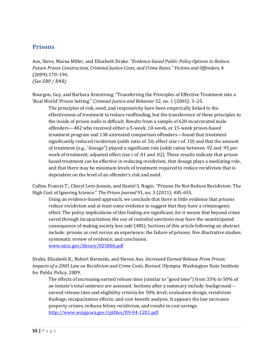#### **Prisons**

Aos, Steve, Marna Miller, and Elizabeth Drake*. "Evidence-based Public Policy Options to Reduce Future Prison Construction, Criminal Justice Costs, and Crime Rates." Victims and Offenders,* 4 (2009):170–196. *(See EBP / RNR)*

Bourgon, Guy, and Barbara Armstrong. "Transferring the Principles of Effective Treatment into a 'Real World' Prison Setting." *Criminal Justice and Behavior* 32, no. 1 (2005): 3–25.

The principles of risk, need, and responsivity have been empirically linked to the effectiveness of treatment to reduce reoffending, but the transference of these principles to the inside of prison walls is difficult. Results from a sample of 620 incarcerated male offenders—482 who received either a 5-week, 10-week, or 15-week prison-based treatment program and 138 untreated comparison offenders—found that treatment significantly reduced recidivism (odds ratio of .56; effect size *r* of .10) and that the amount of treatment (e.g., "dosage") played a significant role (odds ratios between .92 and .95 per week of treatment; adjusted effect size *r* of .01 and .02). These results indicate that prisonbased treatment can be effective in reducing recidivism, that dosage plays a mediating role, and that there may be minimum levels of treatment required to reduce recidivism that is dependent on the level of an offender's risk and need.

Cullen, Francis T., Cheryl Lero Jonson, and Daniel S. Nagin. "Prisons Do Not Reduce Recidivism: The High Cost of Ignoring Science." *The Prison Journal* 91, no. 3 (2011): 48S-65S.

Using an evidence-based approach, we conclude that there is little evidence that prisons reduce recidivism and at least some evidence to suggest that they have a criminogenic effect. The policy implications of this finding are significant, for it means that beyond crime saved through incapacitation, the use of custodial sanctions may have the unanticipated consequence of making society less safe'(48S). Sections of this article following an abstract include: prisons as cost versus an experience; the failure of prisons; five illustrative studies; systematic review of evidence; and conclusion.

[www.nicic.gov/library/025886.pdf](http://www.nicic.gov/library/025886.pdf)

Drake, Elizabeth K., Robert Barnoski, and Steven Aos. *Increased Earned Release From Prison: Impacts of a 2003 Law on Recidivism and Crime Costs, Revised.* Olympia: Washington State Institute for Public Policy, 2009.

The effects of increasing earned release time (similar to "good time") from 33% to 50% of an inmate's total sentence are assessed. Sections after a summary include: background - earned release time and eligibility criteria for 50% level; evaluation design; recidivism findings; incapacitation effects; and cost-benefit analysis. It appears the law increases property crimes, reduces felony recidivism, and results in cost savings. <http://www.wsipp.wa.gov/rptfiles/09-04-1201.pdf>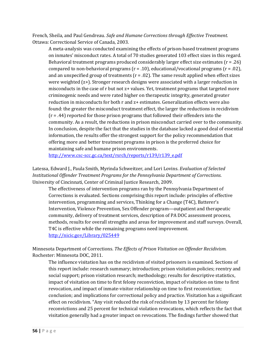French, Sheila, and Paul Gendreau. *Safe and Humane Corrections through Effective Treatment.* Ottawa: Correctional Service of Canada, 2003.

A meta-analysis was conducted examining the effects of prison-based treatment programs on inmates' misconduct rates. A total of 70 studies generated 103 effect sizes in this regard. Behavioral treatment programs produced considerably larger effect size estimates (r = .26) compared to non-behavioral programs  $(r = .10)$ , educational/vocational programs  $(r = .02)$ , and an unspecified group of treatments  $(r = .02)$ . The same result applied when effect sizes were weighted (z+). Stronger research designs were associated with a larger reduction in misconducts in the case of r but not z+ values. Yet, treatment programs that targeted more criminogenic needs and were rated higher on therapeutic integrity, generated greater reduction in misconducts for both r and z+ estimates. Generalization effects were also found: the greater the misconduct treatment effect, the larger the reductions in recidivism  $(r = .44)$  reported for those prison programs that followed their offenders into the community. As a result, the reductions in prison misconduct carried over to the community. In conclusion, despite the fact that the studies in the database lacked a good deal of essential information, the results offer the strongest support for the policy recommendation that offering more and better treatment programs in prison is the preferred choice for maintaining safe and humane prison environments.

[http://www.csc-scc.gc.ca/text/rsrch/reports/r139/r139\\_e.pdf](http://www.csc-scc.gc.ca/text/rsrch/reports/r139/r139_e.pdf)

Latessa, Edward J., Paula Smith, Myrinda Schweitzer, and Lori Lovins. *Evaluation of Selected Institutional Offender Treatment Programs for the Pennsylvania Department of Corrections*. University of Cincinnati, Center of Criminal Justice Research, 2009.

The effectiveness of intervention programs ran by the Pennsylvania Department of Corrections is evaluated. Sections comprising this report include: principles of effective intervention, programming and services, Thinking for a Change (T4C), Batterer's Intervention, Violence Prevention, Sex Offender program—outpatient and therapeutic community, delivery of treatment services, description of PA DOC assessment process, methods, results for overall strengths and areas for improvement and staff surveys. Overall, T4C is effective while the remaining programs need improvement. <http://nicic.gov/Library/025449>

Minnesota Department of Corrections. *The Effects of Prison Visitation on Offender Recidivism.* Rochester: Minnesota DOC, 2011.

The influence visitation has on the recidivism of visited prisoners is examined. Sections of this report include: research summary; introduction; prison visitation policies; reentry and social support; prison visitation research; methodology; results for descriptive statistics, impact of visitation on time to first felony reconviction, impact of visitation on time to first revocation, and impact of inmate-visitor relationship on time to first reconviction; conclusion; and implications for correctional policy and practice. Visitation has a significant effect on recidivism. "Any visit reduced the risk of recidivism by 13 percent for felony reconvictions and 25 percent for technical violation revocations, which reflects the fact that visitation generally had a greater impact on revocations. The findings further showed that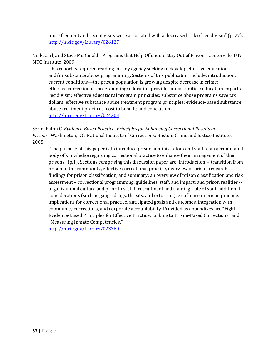more frequent and recent visits were associated with a decreased risk of recidivism" (p. 27). <http://nicic.gov/Library/026127>

Nink, Carl, and Steve McDonald. "Programs that Help Offenders Stay Out of Prison." Centerville, UT: MTC Institute, 2009.

This report is required reading for any agency seeking to develop effective education and/or substance abuse programming. Sections of this publication include: introduction; current conditions—the prison population is growing despite decrease in crime; effective correctional programming; education provides opportunities; education impacts recidivism; effective educational program principles; substance abuse programs save tax dollars; effective substance abuse treatment program principles; evidence-based substance abuse treatment practices; cost to benefit; and conclusion. <http://nicic.gov/Library/024304>

Serin, Ralph C. *Evidence-Based Practice: Principles for Enhancing Correctional Results in Prisons*. Washington, DC: National Institute of Corrections; Boston: Crime and Justice Institute, 2005.

"The purpose of this paper is to introduce prison administrators and staff to an accumulated body of knowledge regarding correctional practice to enhance their management of their prisons" (p.1). Sections comprising this discussion paper are: introduction -- transition from prison to the community, effective correctional practice, overview of prison research findings for prison classification, and summary; an overview of prison classification and risk assessment – correctional programming, guidelines, staff, and impact; and prison realities - organizational culture and priorities, staff recruitment and training, role of staff, additional considerations (such as gangs, drugs, threats, and extortion), excellence in prison practice, implications for correctional practice, anticipated goals and outcomes, integration with community corrections, and corporate accountability. Provided as appendixes are "Eight Evidence-Based Principles for Effective Practice: Linking to Prison-Based Corrections" and "Measuring Inmate Competencies."

[http://nicic.gov/Library/023360.](http://nicic.gov/Library/023360)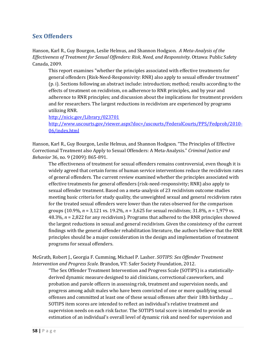#### **Sex Offenders**

Hanson, Karl R., Guy Bourgon, Leslie Helmus, and Shannon Hodgson. *A Meta-Analysis of the Effectiveness of Treatment for Sexual Offenders: Risk, Need, and Responsivity*. Ottawa: Public Safety Canada, 2009.

This report examines "whether the principles associated with effective treatments for general offenders (Risk-Need-Responsivity: RNR) also apply to sexual offender treatment" (p. i). Sections following an abstract include: introduction; method; results according to the effects of treatment on recidivism, on adherence to RNR principles, and by year and adherence to RNR principles; and discussion about the implications for treatment providers and for researchers. The largest reductions in recidivism are experienced by programs utilizing RNR.

<http://nicic.gov/Library/023701>

[http://www.uscourts.gov/viewer.aspx?doc=/uscourts/FederalCourts/PPS/Fedprob/2010-](http://www.uscourts.gov/viewer.aspx?doc=/uscourts/FederalCourts/PPS/Fedprob/2010-06/index.html) [06/index.html](http://www.uscourts.gov/viewer.aspx?doc=/uscourts/FederalCourts/PPS/Fedprob/2010-06/index.html) 

Hanson, Karl R., Guy Bourgon, Leslie Helmus, and Shannon Hodgson. "The Principles of Effective Correctional Treatment also Apply to Sexual Offenders: A Meta-Analysis." *Criminal Justice and Behavior* 36, no. 9 (2009): 865-891.

The effectiveness of treatment for sexual offenders remains controversial, even though it is widely agreed that certain forms of human service interventions reduce the recidivism rates of general offenders. The current review examined whether the principles associated with effective treatments for general offenders (risk-need-responsivity; RNR) also apply to sexual offender treatment. Based on a meta-analysis of 23 recidivism outcome studies meeting basic criteria for study quality, the unweighted sexual and general recidivism rates for the treated sexual offenders were lower than the rates observed for the comparison groups (10.9%, *n* = 3,121 vs. 19.2%, *n* = 3,625 for sexual recidivism; 31.8%, *n* = 1,979 vs. 48.3%, *n* = 2,822 for any recidivism). Programs that adhered to the RNR principles showed the largest reductions in sexual and general recidivism. Given the consistency of the current findings with the general offender rehabilitation literature, the authors believe that the RNR principles should be a major consideration in the design and implementation of treatment programs for sexual offenders.

McGrath, Robert J., Georgia F. Cumming, Michael P. Lasher. *SOTIPS: Sex Offender Treatment Intervention and Progress Scale.* Brandon, VT: Safer Society Foundation, 2012.

"The Sex Offender Treatment Intervention and Progress Scale (SOTIPS) is a statisticallyderived dynamic measure designed to aid clinicians, correctional caseworkers, and probation and parole officers in assessing risk, treatment and supervision needs, and progress among adult males who have been convicted of one or more qualifying sexual offenses and committed at least one of these sexual offenses after their 18th birthday … SOTIPS item scores are intended to reflect an individual's relative treatment and supervision needs on each risk factor. The SOTIPS total score is intended to provide an estimation of an individual's overall level of dynamic risk and need for supervision and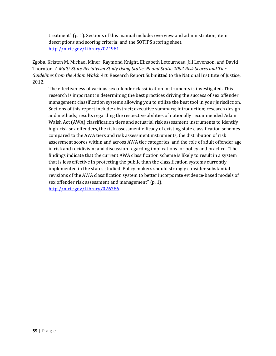treatment" (p. 1). Sections of this manual include: overview and administration; item descriptions and scoring criteria; and the SOTIPS scoring sheet. <http://nicic.gov/Library/024981>

Zgoba, Kristen M. Michael Miner, Raymond Knight, Elizabeth Letourneau, Jill Levenson, and David Thornton. *A Multi-State Recidivism Study Using Static-99 and Static 2002 Risk Scores and Tier Guidelines from the Adam Walsh Act.* Research Report Submitted to the National Institute of Justice, 2012.

The effectiveness of various sex offender classification instruments is investigated. This research is important in determining the best practices driving the success of sex offender management classification systems allowing you to utilize the best tool in your jurisdiction. Sections of this report include: abstract; executive summary; introduction; research design and methods; results regarding the respective abilities of nationally recommended Adam Walsh Act (AWA) classification tiers and actuarial risk assessment instruments to identify high-risk sex offenders, the risk assessment efficacy of existing state classification schemes compared to the AWA tiers and risk assessment instruments, the distribution of risk assessment scores within and across AWA tier categories, and the role of adult offender age in risk and recidivism; and discussion regarding implications for policy and practice. "The findings indicate that the current AWA classification scheme is likely to result in a system that is less effective in protecting the public than the classification systems currently implemented in the states studied. Policy makers should strongly consider substantial revisions of the AWA classification system to better incorporate evidence-based models of sex offender risk assessment and management" (p. 1). <http://nicic.gov/Library/026786>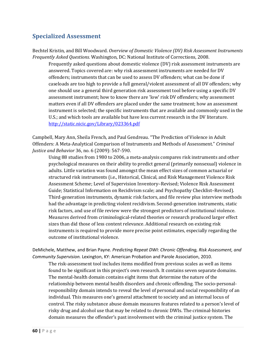## **Specialized Assessment**

Bechtel Kristin, and Bill Woodward. *Overview of Domestic Violence (DV) Risk Assessment Instruments Frequently Asked Questions.* Washington, DC: National Institute of Corrections, 2008.

Frequently asked questions about domestic violence (DV) risk assessment instruments are answered. Topics covered are: why risk assessment instruments are needed for DV offenders; instruments that can be used to assess DV offenders; what can be done if caseloads are too high to provide a full general/violent assessment of all DV offenders; why one should use a general third generation risk assessment tool before using a specific DV assessment instrument; how to know there are 'low' risk DV offenders; why assessment matters even if all DV offenders are placed under the same treatment; how an assessment instrument is selected; the specific instruments that are available and commonly used in the U.S.; and which tools are available but have less current research in the DV literature. <http://static.nicic.gov/Library/023364.pdf>

Campbell, Mary Ann, Sheila French, and Paul Gendreau. "The Prediction of Violence in Adult Offenders: A Meta-Analytical Comparison of Instruments and Methods of Assessment." *Criminal Justice and Behavior* 36, no. 6 (2009): 567-590.

Using 88 studies from 1980 to 2006, a meta-analysis compares risk instruments and other psychological measures on their ability to predict general (primarily nonsexual) violence in adults. Little variation was found amongst the mean effect sizes of common actuarial or structured risk instruments (i.e., Historical, Clinical, and Risk Management Violence Risk Assessment Scheme; Level of Supervision Inventory–Revised; Violence Risk Assessment Guide; Statistical Information on Recidivism scale; and Psychopathy Checklist–Revised). Third-generation instruments, dynamic risk factors, and file review plus interview methods had the advantage in predicting violent recidivism. Second-generation instruments, static risk factors, and use of file review were the strongest predictors of institutional violence. Measures derived from criminological-related theories or research produced larger effect sizes than did those of less content relevance. Additional research on existing risk instruments is required to provide more precise point estimates, especially regarding the outcome of institutional violence.

DeMichele, Matthew, and Brian Payne. *Predicting Repeat DWI: Chronic Offending, Risk Assessment, and Community Supervision.* Lexington, KY: American Probation and Parole Association, 2010.

The risk-assessment tool includes items modified from previous scales as well as items found to be significant in this project's own research. It contains seven separate domains. The mental-health domain contains eight items that determine the nature of the relationship between mental health disorders and chronic offending. The socio-personalresponsibility domain intends to reveal the level of personal and social responsibility of an individual. This measures one's general attachment to society and an internal locus of control. The risky substance abuse domain measures features related to a person's level of risky drug and alcohol use that may be related to chronic DWIs. The criminal-histories domain measures the offender's past involvement with the criminal justice system. The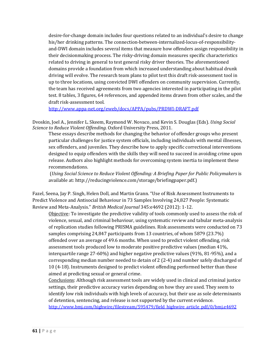desire-for-change domain includes four questions related to an individual's desire to change his/her drinking patterns. The connection-between-internalized-locus-of-responsibilityand-DWI domain includes several items that measure how offenders assign responsibility in their decisionmaking process. The risky-driving domain measures specific characteristics related to driving in general to test general risky driver theories. The aforementioned domains provide a foundation from which increased understanding about habitual drunk driving will evolve. The research team plans to pilot test this draft risk-assessment tool in up to three locations, using convicted DWI offenders on community supervision. Currently, the team has received agreements from two agencies interested in participating in the pilot test. 8 tables, 3 figures, 64 references, and appended items drawn from other scales, and the draft risk-assessment tool.

<http://www.appa-net.org/eweb/docs/APPA/pubs/PRDWI-DRAFT.pdf>

Dvoskin, Joel A., Jennifer L. Skeem, Raymond W. Novaco, and Kevin S. Douglas (Eds). *Using Social Science to Reduce Violent Offending.* Oxford University Press, 2011.

These essays describe methods for changing the behavior of offender groups who present particular challenges for justice system officials, including individuals with mental illnesses, sex offenders, and juveniles. They describe how to apply specific correctional interventions designed to equip offenders with the skills they will need to succeed in avoiding crime upon release. Authors also highlight methods for overcoming system inertia to implement these recommendations.

(*Using Social Science to Reduce Violent Offending: A Briefing Paper for Public Policymakers* is available at: http://reducingviolence.com/storage/briefingpaper.pdf.)

Fazel, Seena, Jay P. Singh, Helen Doll, and Martin Grann. "Use of Risk Assessment Instruments to Predict Violence and Antisocial Behaviour in 73 Samples Involving 24,827 People: Systematic Review and Meta-Analysis." *British Medical Journal* 345:e4692 (2012): 1-12.

Objective: To investigate the predictive validity of tools commonly used to assess the risk of violence, sexual, and criminal behaviour, using systematic review and tabular meta-analysis of replication studies following PRISMA guidelines. Risk assessments were conducted on 73 samples comprising 24,847 participants from 13 countries, of whom 5879 (23.7%) offended over an average of 49.6 months. When used to predict violent offending, risk assessment tools produced low to moderate positive predictive values (median 41%, interquartile range 27-60%) and higher negative predictive values (91%, 81-95%), and a corresponding median number needed to detain of 2 (2-4) and number safely discharged of 10 (4-18). Instruments designed to predict violent offending performed better than those aimed at predicting sexual or general crime.

Conclusions: Although risk assessment tools are widely used in clinical and criminal justice settings, their predictive accuracy varies depending on how they are used. They seem to identify low risk individuals with high levels of accuracy, but their use as sole determinants of detention, sentencing, and release is not supported by the current evidence. [http://www.bmj.com/highwire/filestream/595479/field\\_highwire\\_article\\_pdf/0/bmj.e4692](http://www.bmj.com/highwire/filestream/595479/field_highwire_article_pdf/0/bmj.e4692)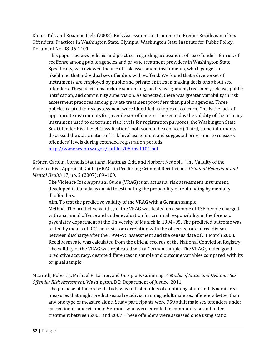Klima, Tali, and Roxanne Lieb. (2008). Risk Assessment Instruments to Predict Recidivism of Sex Offenders: Practices in Washington State. Olympia: Washington State Institute for Public Policy, Document No. 08-06-1101.

This paper reviews policies and practices regarding assessment of sex offenders for risk of reoffense among public agencies and private treatment providers in Washington State. Specifically, we reviewed the use of risk assessment instruments, which gauge the likelihood that individual sex offenders will reoffend. We found that a diverse set of instruments are employed by public and private entities in making decisions about sex offenders. These decisions include sentencing, facility assignment, treatment, release, public notification, and community supervision. As expected, there was greater variability in risk assessment practices among private treatment providers than public agencies. Three policies related to risk assessment were identified as topics of concern. One is the lack of appropriate instruments for juvenile sex offenders. The second is the validity of the primary instrument used to determine risk levels for registration purposes, the Washington State Sex Offender Risk Level Classification Tool (soon to be replaced). Third, some informants discussed the static nature of risk level assignment and suggested provisions to reassess offenders' levels during extended registration periods. <http://www.wsipp.wa.gov/rptfiles/08-06-1101.pdf>

KrÖner, Carolin, Cornelis Stadtland, Matthias Eidt, and Norbert Nedopil. "The Validity of the Violence Risk Appraisal Guide (VRAG) in Predicting Criminal Recidivism." *Criminal Behaviour and Mental Health* 17, no. 2 (2007): 89–100.

The Violence Risk Appraisal Guide (VRAG) is an actuarial risk assessment instrument, developed in Canada as an aid to estimating the probability of reoffending by mentally ill offenders.

Aim. To test the predictive validity of the VRAG with a German sample.

Method. The predictive validity of the VRAG was tested on a sample of 136 people charged with a criminal offence and under evaluation for criminal responsibility in the forensic psychiatry department at the University of Munich in 1994–95. The predicted outcome was tested by means of ROC analysis for correlation with the observed rate of recidivism between discharge after the 1994–95 assessment and the census date of 31 March 2003. Recidivism rate was calculated from the official records of the National Conviction Registry. The validity of the VRAG was replicated with a German sample. The VRAG yielded good predictive accuracy, despite differences in sample and outcome variables compared with its original sample.

McGrath, Robert J., Michael P. Lasher, and Georgia F. Cumming. *A Model of Static and Dynamic Sex Offender Risk Assessment.* Washington, DC: Department of Justice, 2011.

The purpose of the present study was to test models of combining static and dynamic risk measures that might predict sexual recidivism among adult male sex offenders better than any one type of measure alone. Study participants were 759 adult male sex offenders under correctional supervision in Vermont who were enrolled in community sex offender treatment between 2001 and 2007. These offenders were assessed once using static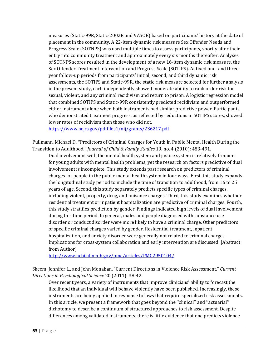measures (Static-99R, Static-2002R and VASOR) based on participants' history at the date of placement in the community. A 22-item dynamic risk measure Sex Offender Needs and Progress Scale (SOTNPS) was used multiple times to assess participants, shortly after their entry into community treatment and approximately every six months thereafter. Analyses of SOTNPS scores resulted in the development of a new 16-item dynamic risk measure, the Sex Offender Treatment Intervention and Progress Scale (SOTIPS). At fixed one- and threeyear follow-up periods from participants' initial, second, and third dynamic risk assessments, the SOTIPS and Static-99R, the static risk measure selected for further analysis in the present study, each independently showed moderate ability to rank order risk for sexual, violent, and any criminal recidivism and return to prison. A logistic regression model that combined SOTIPS and Static-99R consistently predicted recidivism and outperformed either instrument alone when both instruments had similar predictive power. Participants who demonstrated treatment progress, as reflected by reductions in SOTIPS scores, showed lower rates of recidivism than those who did not.

<https://www.ncjrs.gov/pdffiles1/nij/grants/236217.pdf>

Pullmann, Michael D. "Predictors of Criminal Charges for Youth in Public Mental Health During the Transition to Adulthood." *Journal of Child & Family Studies* 19, no. 4 (2010): 483-491.

Dual involvement with the mental health system and justice system is relatively frequent for young adults with mental health problems, yet the research on factors predictive of dual involvement is incomplete. This study extends past research on predictors of criminal charges for people in the public mental health system in four ways. First, this study expands the longitudinal study period to include the time of transition to adulthood, from 16 to 25 years of age. Second, this study separately predicts specific types of criminal charges, including violent, property, drug, and nuisance charges. Third, this study examines whether residential treatment or inpatient hospitalization are predictive of criminal charges. Fourth, this study stratifies prediction by gender. Findings indicated high levels of dual involvement during this time period. In general, males and people diagnosed with substance use disorder or conduct disorder were more likely to have a criminal charge. Other predictors of specific criminal charges varied by gender. Residential treatment, inpatient hospitalization, and anxiety disorder were generally not related to criminal charges. Implications for cross-system collaboration and early intervention are discussed. [Abstract from Author]

<http://www.ncbi.nlm.nih.gov/pmc/articles/PMC2950104/>

Skeem, Jennifer L., and John Monahan. "Current Directions in Violence Risk Assessment." *Current Directions in Psychological Science* 20 (2011): 38-42.

Over recent years, a variety of instruments that improve clinicians' ability to forecast the likelihood that an individual will behave violently have been published. Increasingly, these instruments are being applied in response to laws that require specialized risk assessments. In this article, we present a framework that goes beyond the ''clinical'' and ''actuarial'' dichotomy to describe a continuum of structured approaches to risk assessment. Despite differences among validated instruments, there is little evidence that one predicts violence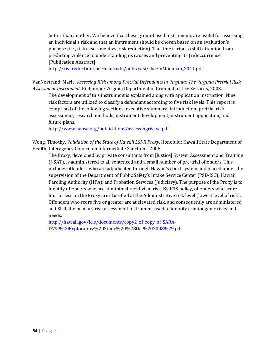better than another. We believe that these group-based instruments are useful for assessing an individual's risk and that an instrument should be chosen based on an evaluation's purpose (i.e., risk assessment vs. risk reduction). The time is ripe to shift attention from predicting violence to understanding its causes and preventing its (re)occurrence. [Publication Abstract]

[http://riskreduction.soceco.uci.edu/pdfs/yasi/skeemMonahan\\_2011.pdf](http://riskreduction.soceco.uci.edu/pdfs/yasi/skeemMonahan_2011.pdf)

VanNostrand, Marie. *Assessing Risk among Pretrial Defendants in Virginia: The Virginia Pretrial Risk Assessment Instrument*. Richmond: Virginia Department of Criminal Justice Services, 2003.

The development of this instrument is explained along with application instruction. Nine risk factors are utilized to classify a defendant according to five risk levels. This report is comprised of the following sections: executive summary; introduction; pretrial risk assessment; research methods; instrument development; instrument application; and future plans.

<http://www.napsa.org/publications/assessingriskva.pdf>

Wong, Timothy. *Validation of the State of Hawaii LSI-R Proxy.* Honolulu: Hawaii State Department of Health, Interagency Council on Intermediate Sanctions, 2008.

The Proxy, developed by private consultants from [Justice] System Assessment and Training (J-SAT), is administered to all sentenced and a small number of pre-trial offenders. This includes offenders who are adjudicated through Hawaii's court system and placed under the supervision of the Department of Public Safety's Intake Service Center (PSD-ISC); Hawaii Paroling Authority (HPA); and Probation Services (Judiciary). The purpose of the Proxy is to identify offenders who are at minimal recidivism risk. By ICIS policy, offenders who score four or less on the Proxy are classified at the Administrative risk level (lowest level of risk). Offenders who score five or greater are at elevated risk, and consequently are administered an LSI-R, the primary risk assessment instrument used to identify criminogenic risks and needs.

[http://hawaii.gov/icis/documents/copy2\\_of\\_copy\\_of\\_SARA-](http://hawaii.gov/icis/documents/copy2_of_copy_of_SARA-DVSI%20Exploratory%20Study%20%28Oct%202008%29.pdf)[DVSI%20Exploratory%20Study%20%28Oct%202008%29.pdf](http://hawaii.gov/icis/documents/copy2_of_copy_of_SARA-DVSI%20Exploratory%20Study%20%28Oct%202008%29.pdf)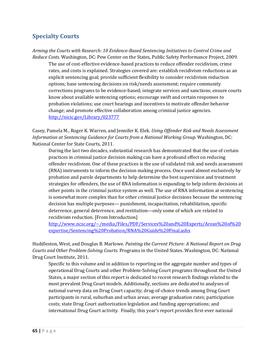# **Specialty Courts**

*Arming the Courts with Research: 10 Evidence-Based Sentencing Initiatives to Control Crime and Reduce Costs.* Washington, DC: Pew Center on the States, Public Safety Performance Project, 2009.

The use of cost-effective evidence-based practices to reduce offender recidivism, crime rates, and costs is explained. Strategies covered are: establish recidivism reductions as an explicit sentencing goal; provide sufficient flexibility to consider recidivism reduction options; base sentencing decisions on risk/needs assessment; require community corrections programs to be evidence-based; integrate services and sanctions; ensure courts know about available sentencing options; encourage swift and certain responses to probation violations; use court hearings and incentives to motivate offender behavior change; and promote effective collaboration among criminal justice agencies. <http://nicic.gov/Library/023777>

Casey, Pamela M., Roger K. Warren, and Jennifer K. Elek. *Using Offender Risk and Needs Assessment Information at Sentencing Guidance for Courts from a National Working Group.* Washington, DC: National Center for State Courts, 2011.

During the last two decades, substantial research has demonstrated that the use of certain practices in criminal justice decision making can have a profound effect on reducing offender recidivism. One of these practices is the use of validated risk and needs assessment (RNA) instruments to inform the decision making process. Once used almost exclusively by probation and parole departments to help determine the best supervision and treatment strategies for offenders, the use of RNA information is expanding to help inform decisions at other points in the criminal justice system as well. The use of RNA information at sentencing is somewhat more complex than for other criminal justice decisions because the sentencing decision has multiple purposes— punishment, incapacitation, rehabilitation, specific deterrence, general deterrence, and restitution—only some of which are related to recidivism reduction. [From Introduction]

[http://www.ncsc.org/~/media/Files/PDF/Services%20and%20Experts/Areas%20of%20](http://www.ncsc.org/~/media/Files/PDF/Services%20and%20Experts/Areas%20of%20expertise/Sentencing%20Probation/RNA%20Guide%20Final.ashx) [expertise/Sentencing%20Probation/RNA%20Guide%20Final.ashx](http://www.ncsc.org/~/media/Files/PDF/Services%20and%20Experts/Areas%20of%20expertise/Sentencing%20Probation/RNA%20Guide%20Final.ashx)

Huddleston, West, and Douglas B. Marlowe. *Painting the Current Picture: A National Report on Drug Courts and Other Problem-Solving Courts.* Programs in the United States. Washington, DC: National Drug Court Institute, 2011.

Specific to this volume and in addition to reporting on the aggregate number and types of operational Drug Courts and other Problem-Solving Court programs throughout the United States, a major section of this report is dedicated to recent research findings related to the most prevalent Drug Court models. Additionally, sections are dedicated to analyses of national survey data on Drug Court capacity; drug-of-choice trends among Drug Court participants in rural, suburban and urban areas; average graduation rates; participation costs; state Drug Court authorization legislation and funding appropriations; and international Drug Court activity. Finally, this year's report provides first-ever national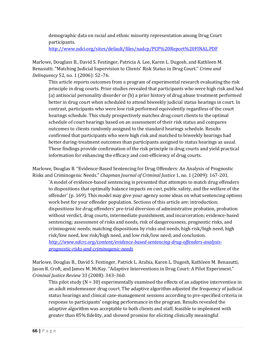demographic data on racial and ethnic minority representation among Drug Court participants.

<http://www.ndci.org/sites/default/files/nadcp/PCP%20Report%20FINAL.PDF>

Marlowe, Douglass B., David S. Festinger, Patricia A. Lee, Karen L. Dugosh, and Kathleen M. Benasutti. "Matching Judicial Supervision to Clients' Risk Status in Drug Court." *Crime and Delinquency* 52, no. 1 (2006): 52–76.

This article reports outcomes from a program of experimental research evaluating the risk principle in drug courts. Prior studies revealed that participants who were high risk and had (a) antisocial personality disorder or (b) a prior history of drug abuse treatment performed better in drug court when scheduled to attend biweekly judicial status hearings in court. In contrast, participants who were low risk performed equivalently regardless of the court hearings schedule. This study prospectively matches drug court clients to the optimal schedule of court hearings based on an assessment of their risk status and compares outcomes to clients randomly assigned to the standard hearings schedule. Results confirmed that participants who were high risk and matched to biweekly hearings had better during-treatment outcomes than participants assigned to status hearings as usual. These findings provide confirmation of the risk principle in drug courts and yield practical information for enhancing the efficacy and cost-efficiency of drug courts.

Marlowe, Douglas B. "Evidence-Based Sentencing for Drug Offenders: An Analysis of Prognostic Risks and Criminogenic Needs." *Chapman Journal of Criminal Justice* 1, no. 1 (2009): 167-201.

'A model of evidence-based sentencing is presented that attempts to match drug offenders to dispositions that optimally balance impacts on cost, public safety, and the welfare of the offender' (p. 169). This model may give your agency some ideas on what sentencing options work best for your offender population. Sections of this article are: introduction; dispositions for drug offenders' pre-trial diversion of administrative probation, probation without verdict, drug courts, intermediate punishment, and incarceration; evidence-based sentencing; assessment of risks and needs, risk of dangerousness, prognostic risks, and criminogenic needs; matching dispositions by risks and needs, high risk/high need, high risk/low need, low risk/high need, and low risk/low need; and conclusion. *[http://www.ndcrc.org/content/evidence-based-sentencing-drug-offenders-analysis](http://www.ndcrc.org/content/evidence-based-sentencing-drug-offenders-analysis-%09prognostic-risks-and-criminogenic-needs)[prognostic-risks-and-criminogenic-needs](http://www.ndcrc.org/content/evidence-based-sentencing-drug-offenders-analysis-%09prognostic-risks-and-criminogenic-needs)* 

Marlowe, Douglas B., David S. Festinger, Patrick L. Arabia, Karen L. Dugosh, Kathleen M. Benasutti, Jason R. Croft, and James M. McKay. "Adaptive Interventions in Drug Court: A Pilot Experiment." *Criminal Justice Review* 33 (2008): 343–360.

This pilot study  $(N = 30)$  experimentally examined the effects of an adaptive intervention in an adult misdemeanor drug court. The adaptive algorithm adjusted the frequency of judicial status hearings and clinical case-management sessions according to pre-specified criteria in response to participants' ongoing performance in the program. Results revealed the adaptive algorithm was acceptable to both clients and staff, feasible to implement with greater than 85% fidelity, and showed promise for eliciting clinically meaningful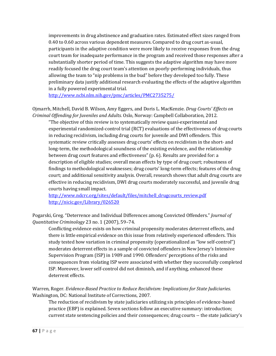improvements in drug abstinence and graduation rates. Estimated effect sizes ranged from 0.40 to 0.60 across various dependent measures. Compared to drug court as-usual, participants in the adaptive condition were more likely to receive responses from the drug court team for inadequate performance in the program and received those responses after a substantially shorter period of time. This suggests the adaptive algorithm may have more readily focused the drug court team's attention on poorly-performing individuals, thus allowing the team to "nip problems in the bud" before they developed too fully. These preliminary data justify additional research evaluating the effects of the adaptive algorithm in a fully powered experimental trial.

<http://www.ncbi.nlm.nih.gov/pmc/articles/PMC2735275/>

Ojmarrh, Mitchell, David B. Wilson, Amy Eggers, and Doris L. MacKenzie. *Drug Courts' Effects on Criminal Offending for Juveniles and Adults.* Oslo, Norway: Campbell Collaboration, 2012.

"The objective of this review is to systematically review quasi-experimental and experimental randomized-control trial (RCT) evaluations of the effectiveness of drug courts in reducing recidivism, including drug courts for juvenile and DWI offenders. This systematic review critically assesses drug courts' effects on recidivism in the short- and long-term, the methodological soundness of the existing evidence, and the relationship between drug court features and effectiveness" (p. 6). Results are provided for: a description of eligible studies; overall mean effects by type of drug court; robustness of findings to methodological weaknesses; drug courts' long-term effects; features of the drug court; and additional sensitivity analysis. Overall, research shows that adult drug courts are effective in reducing recidivism, DWI drug courts moderately successful, and juvenile drug courts having small impact.

[http://www.ndcrc.org/sites/default/files/mitchell\\_drugcourts\\_review.pdf](http://www.ndcrc.org/sites/default/files/mitchell_drugcourts_review.pdf) <http://nicic.gov/Library/026520>

Pogarski, Greg. "Deterrence and Individual Differences among Convicted Offenders." *Journal of Quantitative Criminology* 23 no. 1 (2007), 59–74.

Conflicting evidence exists on how criminal propensity moderates deterrent effects, and there is little empirical evidence on this issue from relatively experienced offenders. This study tested how variation in criminal propensity (operationalized as "low self-control") moderates deterrent effects in a sample of convicted offenders in New Jersey's Intensive Supervision Program (ISP) in 1989 and 1990. Offenders' perceptions of the risks and consequences from violating ISP were associated with whether they successfully completed ISP. Moreover, lower self-control did not diminish, and if anything, enhanced these deterrent effects.

Warren, Roger. *Evidence-Based Practice to Reduce Recidivism: Implications for State Judiciaries*. Washington, DC: National Institute of Corrections, 2007.

The reduction of recidivism by state judiciaries utilizing six principles of evidence-based practice (EBP) is explained. Seven sections follow an executive summary: introduction; current state sentencing policies and their consequences; drug courts -- the state judiciary's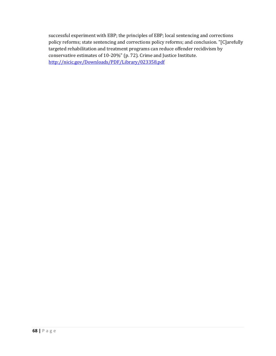successful experiment with EBP; the principles of EBP; local sentencing and corrections policy reforms; state sentencing and corrections policy reforms; and conclusion. "[C]arefully targeted rehabilitation and treatment programs can reduce offender recidivism by conservative estimates of 10-20%" (p. 72). Crime and Justice Institute. <http://nicic.gov/Downloads/PDF/Library/023358.pdf>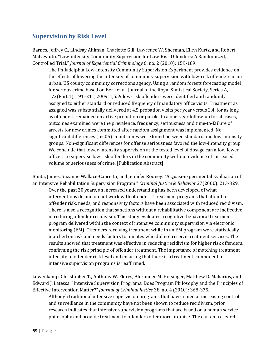### **Supervision by Risk Level**

Barnes, Jeffrey C., Lindsay Ahlman, Charlotte Gill, Lawrence W. Sherman, Ellen Kurtz, and Robert Malvestuto. "Low-intensity Community Supervision for Low-Risk Offenders: A Randomized, Controlled Trial." *Journal of Experiential Criminology* 6, no. 2 (2010): 159-189.

The Philadelphia Low-Intensity Community Supervision Experiment provides evidence on the effects of lowering the intensity of community supervision with low-risk offenders in an urban, US county community corrections agency. Using a random forests forecasting model for serious crime based on Berk et al. Journal of the Royal Statistical Society, Series A, 172(Part 1), 191–211, 2009, 1,559 low-risk offenders were identified and randomly assigned to either standard or reduced frequency of mandatory office visits. Treatment as assigned was substantially delivered at 4.5 probation visits per year versus 2.4, for as long as offenders remained on active probation or parole. In a one-year follow-up for all cases, outcomes examined were the prevalence, frequency, seriousness and time-to-failure of arrests for new crimes committed after random assignment was implemented. No significant differences  $(p=.05)$  in outcomes were found between standard and low-intensity groups. Non-significant differences for offense seriousness favored the low-intensity group. We conclude that lower-intensity supervision at the tested level of dosage can allow fewer officers to supervise low risk offenders in the community without evidence of increased volume or seriousness of crime. [Publication Abstract]

Bonta, James, Suzanne Wallace-Capretta, and Jennifer Rooney. "A Quasi-experimental Evaluation of an Intensive Rehabilitation Supervision Program." *Criminal Justice & Behavior* 27(2000): 213-329. Over the past 20 years, an increased understanding has been developed of what interventions do and do not work with offenders. Treatment programs that attend to offender risk, needs, and responsivity factors have been associated with reduced recidivism. There is also a recognition that sanctions without a rehabilitative component are ineffective in reducing offender recidivism. This study evaluates a cognitive-behavioral treatment program delivered within the context of intensive community supervision via electronic monitoring (EM). Offenders receiving treatment while in an EM program were statistically matched on risk and needs factors to inmates who did not receive treatment services. The results showed that treatment was effective in reducing recidivism for higher risk offenders, confirming the risk principle of offender treatment. The importance of matching treatment intensity to offender risk level and ensuring that there is a treatment component in intensive supervision programs is reaffirmed.

Lowenkamp, Christopher T., Anthony W. Flores, Alexander M. Holsinger, Matthew D. Makarios, and Edward J. Latessa. "Intensive Supervision Programs: Does Program Philosophy and the Principles of Effective Intervention Matter?" *Journal of Criminal Justice* 38, no. 4 (2010): 368-375.

Although traditional intensive supervision programs that have aimed at increasing control and surveillance in the community have not been shown to reduce recidivism, prior research indicates that intensive supervision programs that are based on a human service philosophy and provide treatment to offenders offer more promise. The current research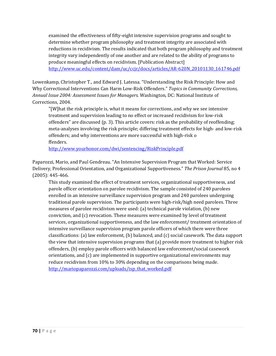examined the effectiveness of fifty-eight intensive supervision programs and sought to determine whether program philosophy and treatment integrity are associated with reductions in recidivism. The results indicated that both program philosophy and treatment integrity vary independently of one another and are related to the ability of programs to produce meaningful effects on recidivism. [Publication Abstract] [http://www.uc.edu/content/dam/uc/ccjr/docs/articles/AR-620N\\_20101130\\_161746.pdf](http://www.uc.edu/content/dam/uc/ccjr/docs/articles/AR-620N_20101130_161746.pdf)

Lowenkamp, Christopher T., and Edward J. Latessa. "Understanding the Risk Principle: How and Why Correctional Interventions Can Harm Low-Risk Offenders." *Topics in Community Corrections, Annual Issue 2004: Assessment Issues for Managers.* Washington, DC: National Institute of Corrections, 2004.

"[W]hat the risk principle is, what it means for corrections, and why we see intensive treatment and supervision leading to no effect or increased recidivism for low-risk offenders" are discussed (p. 3). This article covers: risk as the probability of reoffending; meta-analyses involving the risk principle; differing treatment effects for high- and low-risk offenders; and why interventions are more successful with high-risk o ffenders.

<http://www.yourhonor.com/dwi/sentencing/RiskPrinciple.pdf>

Paparozzi, Mario, and Paul Gendreau. "An Intensive Supervision Program that Worked: Service Delivery, Professional Orientation, and Organizational Supportiveness." *The Prison Journal* 85, no 4 (2005): 445-466.

This study examined the effect of treatment services, organizational supportiveness, and parole officer orientation on parolee recidivism. The sample consisted of 240 parolees enrolled in an intensive surveillance supervision program and 240 parolees undergoing traditional parole supervision. The participants were high-risk/high need parolees. Three measures of parolee recidivism were used: (a) technical parole violation, (b) new conviction, and (c) revocation. These measures were examined by level of treatment services, organizational supportiveness, and the law enforcement/ treatment orientation of intensive surveillance supervision program parole officers of which there were three classifications: (a) law enforcement, (b) balanced, and (c) social casework. The data support the view that intensive supervision programs that (a) provide more treatment to higher risk offenders, (b) employ parole officers with balanced law enforcement/social casework orientations, and (c) are implemented in supportive organizational environments may reduce recidivism from 10% to 30% depending on the comparisons being made. [http://mariopaparozzi.com/uploads/isp\\_that\\_worked.pdf](http://mariopaparozzi.com/uploads/isp_that_worked.pdf)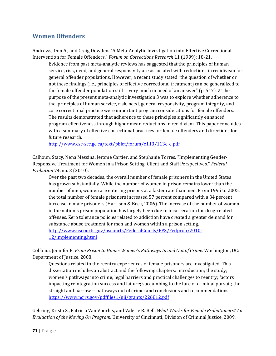## **Women Offenders**

Andrews, Don A., and Craig Dowden. "A Meta-Analytic Investigation into Effective Correctional Intervention for Female Offenders." *Forum on Corrections Research* 11 (1999): 18-21.

Evidence from past meta-analytic reviews has suggested that the principles of human service, risk, need, and general responsivity are associated with reductions in recidivism for general offender populations. However, a recent study stated "the question of whether or not these findings (i.e., principles of effective correctional treatment) can be generalized to the female offender population still is very much in need of an answer" (p. 517). 2 The purpose of the present meta-analytic investigation 3 was to explore whether adherence to the principles of human service, risk, need, general responsivity, program integrity, and core correctional practice were important program considerations for female offenders. The results demonstrated that adherence to these principles significantly enhanced program effectiveness through higher mean reductions in recidivism. This paper concludes with a summary of effective correctional practices for female offenders and directions for future research.

[http://www.csc-scc.gc.ca/text/pblct/forum/e113/113e\\_e.pdf](http://www.csc-scc.gc.ca/text/pblct/forum/e113/113e_e.pdf)

Calhoun, Stacy, Nena Messina, Jerome Cartier, and Stephanie Torres. "Implementing Gender-Responsive Treatment for Women in a Prison Setting: Client and Staff Perspectives." *Federal Probation* 74, no. 3 (2010).

 Over the past two decades, the overall number of female prisoners in the United States has grown substantially. While the number of women in prison remains lower than the number of men, women are entering prisons at a faster rate than men. From 1995 to 2005, the total number of female prisoners increased 57 percent compared with a 34 percent increase in male prisoners (Harrison & Beck, 2006). The increase of the number of women in the nation's prison population has largely been due to incarceration for drug-related offenses. Zero tolerance policies related to addiction have created a greater demand for substance abuse treatment for men and women within a prison setting. [http://www.uscourts.gov/uscourts/FederalCourts/PPS/Fedprob/2010-](http://www.uscourts.gov/uscourts/FederalCourts/PPS/Fedprob/2010-12/implementing.html) [12/implementing.html](http://www.uscourts.gov/uscourts/FederalCourts/PPS/Fedprob/2010-12/implementing.html)

Cobbina, Jennifer E. *From Prison to Home: Women's Pathways In and Out of Crime.* Washington, DC: Department of Justice, 2008.

Questions related to the reentry experiences of female prisoners are investigated. This dissertation includes an abstract and the following chapters: introduction; the study; women's pathways into crime; legal barriers and practical challenges to reentry; factors impacting reintegration success and failure; succumbing to the lure of criminal pursuit; the straight and narrow -- pathways out of crime; and conclusions and recommendations. <https://www.ncjrs.gov/pdffiles1/nij/grants/226812.pdf>

Gehring, Krista S., Patricia Van Voorhis, and Valerie R. Bell. *What Works for Female Probationers? An Evaluation of the Moving On Program.* University of Cincinnati, Division of Criminal Justice, 2009.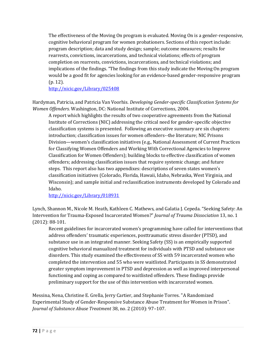The effectiveness of the Moving On program is evaluated. Moving On is a gender-responsive, cognitive behavioral program for women probationers. Sections of this report include: program description; data and study design; sample; outcome measures; results for rearrests, convictions, incarcerations, and technical violations; effects of program completion on rearrests, convictions, incarcerations, and technical violations; and implications of the findings. "The findings from this study indicate the Moving On program would be a good fit for agencies looking for an evidence-based gender-responsive program (p. 12).

<http://nicic.gov/Library/025408>

Hardyman, Patricia, and Patricia Van Voorhis. *Developing Gender-specific Classification Systems for Women Offenders.* Washington, DC: National Institute of Corrections, 2004.

A report which highlights the results of two cooperative agreements from the National Institute of Corrections (NIC) addressing the critical need for gender-specific objective classification systems is presented. Following an executive summary are six chapters: introduction; classification issues for women offenders--the literature; NIC Prisons Division—women's classification initiatives (e.g., National Assessment of Current Practices for Classifying Women Offenders and Working With Correctional Agencies to Improve Classification for Women Offenders); building blocks to effective classification of women offenders; addressing classification issues that require systemic change; and future steps. This report also has two appendixes: descriptions of seven states women's classification initiatives (Colorado, Florida, Hawaii, Idaho, Nebraska, West Virginia, and Wisconsin); and sample initial and reclassification instruments developed by Colorado and Idaho.

<http://nicic.gov/Library/018931>

Lynch, Shannon M., Nicole M. Heath, Kathleen C. Mathews, and Galatia J. Cepeda. "Seeking Safety: An Intervention for Trauma-Exposed Incarcerated Women?" *Journal of Trauma Dissociation* 13, no. 1 (2012): 88-101.

Recent guidelines for incarcerated women's programming have called for interventions that address offenders' traumatic experiences, posttraumatic stress disorder (PTSD), and substance use in an integrated manner. Seeking Safety (SS) is an empirically supported cognitive behavioral manualized treatment for individuals with PTSD and substance use disorders. This study examined the effectiveness of SS with 59 incarcerated women who completed the intervention and 55 who were waitlisted. Participants in SS demonstrated greater symptom improvement in PTSD and depression as well as improved interpersonal functioning and coping as compared to waitlisted offenders. These findings provide preliminary support for the use of this intervention with incarcerated women.

Messina, Nena, Christine E. Grella, Jerry Cartier, and Stephanie Torres. ["A Randomized](http://www.stephaniecovington.com/pdfs/Messina%20March.pdf)  [Experimental Study of Gender-Responsive Substance Abuse Treatment for Women in Prison".](http://www.stephaniecovington.com/pdfs/Messina%20March.pdf) *Journal of Substance Abuse Treatment* 38, no. 2 (2010): 97–107.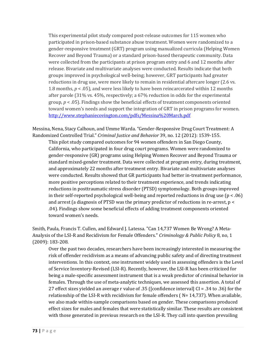This experimental pilot study compared post-release outcomes for 115 women who participated in prison-based substance abuse treatment. Women were randomized to a gender-responsive treatment (GRT) program using manualized curricula (Helping Women Recover and Beyond Trauma) or a standard prison-based therapeutic community. Data were collected from the participants at prison program entry and 6 and 12 months after release. Bivariate and multivariate analyses were conducted. Results indicate that both groups improved in psychological well-being; however, GRT participants had greater reductions in drug use, were more likely to remain in residential aftercare longer (2.6 vs. 1.8 months, *p* < .05), and were less likely to have been reincarcerated within 12 months after parole (31% vs. 45%, respectively; a 67% reduction in odds for the experimental group, *p* < .05). Findings show the beneficial effects of treatment components oriented toward women's needs and support the integration of GRT in prison programs for women. <http://www.stephaniecovington.com/pdfs/Messina%20March.pdf>

Messina, Nena, Stacy Calhoun, and Umme Warda. "Gender-Responsive Drug Court Treatment: A Randomized Controlled Trial." *Criminal Justice and Behavior* 39, no. 12 (2012): 1539-155.

This pilot study compared outcomes for 94 women offenders in San Diego County, California, who participated in four drug court programs. Women were randomized to gender-responsive (GR) programs using Helping Women Recover and Beyond Trauma or standard mixed-gender treatment. Data were collected at program entry, during treatment, and approximately 22 months after treatment entry. Bivariate and multivariate analyses were conducted. Results showed that GR participants had better in-treatment performance, more positive perceptions related to their treatment experience, and trends indicating reductions in posttraumatic stress disorder (PTSD) symptomology. Both groups improved in their self-reported psychological well-being and reported reductions in drug use  $(p < .06)$ and arrest (a diagnosis of PTSD was the primary predictor of reductions in re-arrest, p < .04). Findings show some beneficial effects of adding treatment components oriented toward women's needs.

Smith, Paula, Francis T. Cullen, and Edward J. Latessa. "Can 14,737 Women Be Wrong? A Meta-Analysis of the LSI-R and Recidivism for Female Offenders." *Criminology & Public Policy* 8, no, 1 (2009): 183-208.

Over the past two decades, researchers have been increasingly interested in measuring the risk of offender recidivism as a means of advancing public safety and of directing treatment interventions. In this context, one instrument widely used in assessing offenders is the Level of Service Inventory-Revised (LSI-R). Recently, however, the LSI-R has been criticized for being a male-specific assessment instrument that is a weak predictor of criminal behavior in females. Through the use of meta-analytic techniques, we assessed this assertion. A total of 27 effect sizes yielded an average r value of .35 ([confidence interval] CI = .34 to .36) for the relationship of the LSI-R with recidivism for female offenders ( $N=14,737$ ). When available, we also made within-sample comparisons based on gender. These comparisons produced effect sizes for males and females that were statistically similar. These results are consistent with those generated in previous research on the LSI-R. They call into question prevailing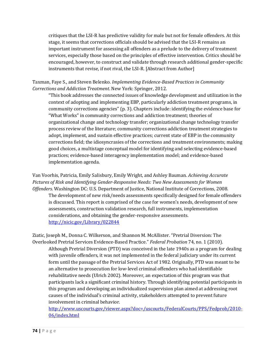critiques that the LSI-R has predictive validity for male but not for female offenders. At this stage, it seems that corrections officials should be advised that the LSI-R remains an important instrument for assessing all offenders as a prelude to the delivery of treatment services, especially those based on the principles of effective intervention. Critics should be encouraged, however, to construct and validate through research additional gender-specific instruments that revise, if not rival, the LSI-R. [Abstract from Author]

Taxman, Faye S., and Steven Belenko. *Implementing Evidence-Based Practices in Community Corrections and Addiction Treatment*. New York: Springer, 2012.

"This book addresses the connected issues of knowledge development and utilization in the context of adopting and implementing EBP, particularly addiction treatment programs, in community corrections agencies" (p. 3). Chapters include: identifying the evidence base for "What Works" in community corrections and addiction treatment; theories of organizational change and technology transfer; organizational change technology transfer process review of the literature; community corrections addiction treatment strategies to adopt, implement, and sustain effective practices; current state of EBP in the community corrections field; the idiosyncrasies of the corrections and treatment environments; making good choices, a multistage conceptual model for identifying and selecting evidence-based practices; evidence-based interagency implementation model; and evidence-based implementation agenda.

Van Voorhis, Patricia, Emily Salisbury, Emily Wright, and Ashley Bauman. *Achieving Accurate Pictures of Risk and Identifying Gender-Responsive Needs: Two New Assessments for Women Offenders.* Washington DC: U.S. Department of Justice, National Institute of Corrections, 2008. The development of new risk/needs assessments specifically designed for female offenders is discussed. This report is comprised of the case for women's needs, development of new assessments, construction validation research, full instruments, implementation considerations, and obtaining the gender-responsive assessments. <http://nicic.gov/Library/022844>

Ziatic, Joseph M., Donna C. Wilkerson, and Shannon M. McAllister. "Pretrial Diversion: The Overlooked Pretrial Services Evidence-Based Practice." *Federal Probation* 74, no. 1 (2010). Although Pretrial Diversion (PTD) was conceived in the late 1940s as a program for dealing with juvenile offenders, it was not implemented in the federal judiciary under its current form until the passage of the Pretrial Services Act of 1982. Originally, PTD was meant to be an alternative to prosecution for low-level criminal offenders who had identifiable rehabilitative needs (Ulrich 2002). Moreover, an expectation of this program was that participants lack a significant criminal history. Through identifying potential participants in this program and developing an individualized supervision plan aimed at addressing root causes of the individual's criminal activity, stakeholders attempted to prevent future involvement in criminal behavior.

[http://www.uscourts.gov/viewer.aspx?doc=/uscourts/FederalCourts/PPS/Fedprob/2010-](http://www.uscourts.gov/viewer.aspx?doc=/uscourts/FederalCourts/PPS/Fedprob/2010-06/index.html) [06/index.html](http://www.uscourts.gov/viewer.aspx?doc=/uscourts/FederalCourts/PPS/Fedprob/2010-06/index.html)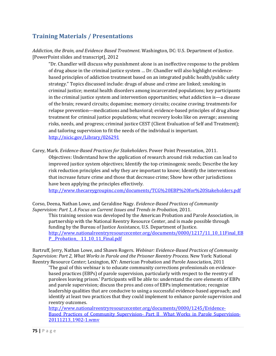# **Training Materials / Presentations**

*Addiction, the Brain, and Evidence Based Treatment*. Washington, DC: U.S. Department of Justice. [PowerPoint slides and transcript], 2012

"Dr. Chandler will discuss why punishment alone is an ineffective response to the problem of drug abuse in the criminal justice system … Dr. Chandler will also highlight evidencebased principles of addiction treatment based on an integrated public health/public safety strategy." Topics discussed include: drugs of abuse and crime are linked; smoking in criminal justice; mental health disorders among incarcerated populations; key participants in the criminal justice system and intervention opportunities; what addiction is—a disease of the brain; reward circuits; dopamine; memory circuits; cocaine craving; treatments for relapse prevention—medications and behavioral; evidence-based principles of drug abuse treatment for criminal justice populations; what recovery looks like on average; assessing risks, needs, and progress; criminal justice CEST (Client Evaluation of Self and Treatment); and tailoring supervision to fit the needs of the individual is important. <http://nicic.gov/Library/026291>

Carey, Mark. *Evidence-Based Practices for Stakeholders*. Power Point Presentation, 2011. Objectives: Understand how the application of research around risk reduction can lead to improved justice system objectives; Identify the top criminogenic needs; Describe the key risk reduction principles and why they are important to know; Identify the interventions that increase future crime and those that decrease crime; Show how other jurisdictions have been applying the principles effectively.

<http://www.thecareygroupinc.com/documents/TCG%20EBP%20for%20Stakeholders.pdf>

Corso, Deena, Nathan Lowe, and Geraldine Nagy. *Evidence-Based Practices of Community Supervision: Part 1, A Focus on Current Issues and Trends in Probation,* 2011. This training session was developed by the American Probation and Parole Association, in partnership with the National Reentry Resource Center, and is made possible through funding by the Bureau of Justice Assistance, U.S. Department of Justice. [http://www.nationalreentryresourcecenter.org/documents/0000/1217/11\\_10\\_11Final\\_EB](http://www.nationalreentryresourcecenter.org/documents/0000/1217/11_10_11Final_EBP__Probation_%0911_10_11_Final.pdf) P\_Probation\_[11\\_10\\_11\\_Final.pdf](http://www.nationalreentryresourcecenter.org/documents/0000/1217/11_10_11Final_EBP__Probation_%0911_10_11_Final.pdf)

Bartruff, Jerry, Nathan Lowe, and Shawn Rogers. *Webinar: Evidence-Based Practices of Community Supervision: Part 2, What Works in Parole and the Prisoner Reentry Process.* New York: National Reentry Resource Center; Lexington, KY: American Probation and Parole Association, 2011

'The goal of this webinar is to educate community corrections professionals on evidencebased practices (EBPs) of parole supervision, particularly with respect to the reentry of parolees leaving prison.' Participants will be able to: understand the core elements of EBPs and parole supervision; discuss the pros and cons of EBPs implementation; recognize leadership qualities that are conducive to using a successful evidence-based approach; and identify at least two practices that they could implement to enhance parole supervision and reentry outcomes.

[http://www.nationalreentryresourcecenter.org/documents/0000/1245/Evidence-](http://www.nationalreentryresourcecenter.org/documents/0000/1245/Evidence-Based_Practices_of_Community_Supervision-_Part_II__What_Works_in_Parole_Supervision-20111213_1902-1.wmv)Based Practices of Community Supervision- Part II\_What Works in Parole Supervision-[20111213\\_1902-1.wmv](http://www.nationalreentryresourcecenter.org/documents/0000/1245/Evidence-Based_Practices_of_Community_Supervision-_Part_II__What_Works_in_Parole_Supervision-20111213_1902-1.wmv)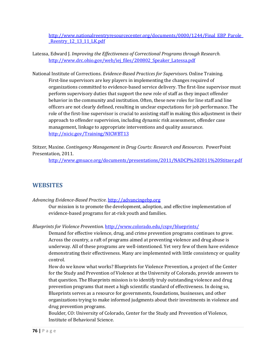[http://www.nationalreentryresourcecenter.org/documents/0000/1244/Final\\_EBP\\_Parole\\_](http://www.nationalreentryresourcecenter.org/documents/0000/1244/Final_EBP_Parole__Reentry_12_13_11_LK.pdf) Reentry 12\_13\_11\_LK.pdf

Latessa, Edward J. *Improving the Effectiveness of Correctional Programs through Research.*  [http://www.drc.ohio.gov/web/iej\\_files/200802\\_Speaker\\_Latessa.pdf](http://www.drc.ohio.gov/web/iej_files/200802_Speaker_Latessa.pdf)

National Institute of Corrections. *Evidence-Based Practices for Supervisors.* Online Training. First-line supervisors are key players in implementing the changes required of organizations committed to evidence-based service delivery. The first-line supervisor must perform supervisory duties that support the new role of staff as they impact offender behavior in the community and institution. Often, these new roles for line staff and line officers are not clearly defined, resulting in unclear expectations for job performance. The role of the first-line supervisor is crucial to assisting staff in making this adjustment in their approach to offender supervision, including dynamic risk assessment, offender case management, linkage to appropriate interventions and quality assurance. <http://nicic.gov/Training/NICWBT13>

Stitzer, Maxine. *Contingency Management in Drug Courts: Research and Resources*. PowerPoint Presentation, 2011.

<http://www.gmuace.org/documents/presentations/2011/NADCP%202011%20Stitzer.pdf>

## **WEBSITES**

*Advancing Evidence-Based Practice*. [http://advancingebp.org](http://advancingebp.org/)

Our mission is to promote the development, adoption, and effective implementation of evidence-based programs for at-risk youth and families.

*Blueprints for Violence Prevention*.<http://www.colorado.edu/cspv/blueprints/>

Demand for effective violence, drug, and crime prevention programs continues to grow. Across the country, a raft of programs aimed at preventing violence and drug abuse is underway. All of these programs are well-intentioned. Yet very few of them have evidence demonstrating their effectiveness. Many are implemented with little consistency or quality control.

How do we know what works? Blueprints for Violence Prevention, a project of the Center for the Study and Prevention of Violence at the University of Colorado, provide answers to that question. The Blueprints mission is to identify truly outstanding violence and drug prevention programs that meet a high scientific standard of effectiveness. In doing so, Blueprints serves as a resource for governments, foundations, businesses, and other organizations trying to make informed judgments about their investments in violence and drug prevention programs.

Boulder, CO: University of Colorado, Center for the Study and Prevention of Violence, Institute of Behavioral Science.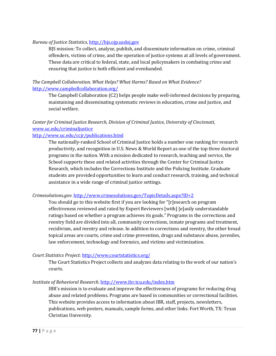## *Bureau of Justice Statistics,* [http://bjs.ojp.usdoj.gov](http://bjs.ojp.usdoj.gov/)

BJS mission: To collect, analyze, publish, and disseminate information on crime, criminal offenders, victims of crime, and the operation of justice systems at all levels of government. These data are critical to federal, state, and local policymakers in combating crime and ensuring that justice is both efficient and evenhanded.

*The Campbell Collaboration. What Helps? What Harms? Based on What Evidence?*  <http://www.campbellcollaboration.org/>

The Campbell Collaboration (C2) helps people make well-informed decisions by preparing, maintaining and disseminating systematic reviews in education, crime and justice, and social welfare.

## *Center for Criminal Justice Research, Division of Criminal Justice, University of Cincinnati,*  [www.uc.edu/criminaljustice](http://www.uc.edu/criminaljustice)

## <http://www.uc.edu/ccjr/publications.html>

The nationally-ranked School of Criminal Justice holds a number one ranking for research productivity, and recognition in U.S. News & World Report as one of the top three doctoral programs in the nation. With a mission dedicated to research, teaching and service, the School supports these and related activities through the Center for Criminal Justice Research, which includes the Corrections Institute and the Policing Institute. Graduate students are provided opportunities to learn and conduct research, training, and technical assistance in a wide range of criminal justice settings.

## *Crimesolutions.gov.* <http://www.crimesolutions.gov/TopicDetails.aspx?ID=2>

You should go to this website first if you are looking for "[r]esearch on program effectiveness reviewed and rated by Expert Reviewers [with] [e]asily understandable ratings based on whether a program achieves its goals." Programs in the corrections and reentry field are divided into all, community corrections, inmate programs and treatment, recidivism, and reentry and release. In addition to corrections and reentry, the other broad topical areas are courts, crime and crime prevention, drugs and substance abuse, juveniles, law enforcement, technology and forensics, and victims and victimization.

## *Court Statistics Project*:<http://www.courtstatistics.org/>

The Court Statistics Project collects and analyzes data relating to the work of our nation's courts.

## *Institute of Behavioral Research*.<http://www.ibr.tcu.edu/index.htm>

IBR's mission is to evaluate and improve the effectiveness of programs for reducing drug abuse and related problems. Programs are based in communities or correctional facilities. This website provides access to information about IBR, staff, projects, newsletters, publications, web posters, manuals, sample forms, and other links. Fort Worth, TX: Texas Christian University.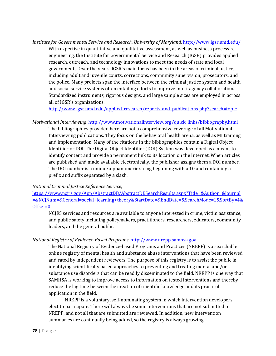*Institute for Governmental Service and Research, University of Maryland,* <http://www.igsr.umd.edu/> With expertise in quantitative and qualitative assessment, as well as business process reengineering, the Institute for Governmental Service and Research (IGSR) provides applied research, outreach, and technology innovations to meet the needs of state and local governments. Over the years, IGSR's main focus has been in the areas of criminal justice, including adult and juvenile courts, corrections, community supervision, prosecutors, and the police. Many projects span the interface between the criminal justice system and health and social service systems often entailing efforts to improve multi-agency collaboration. Standardized instruments, rigorous designs, and large sample sizes are employed in across all of IGSR's organizations.

[http://www.igsr.umd.edu/applied\\_research/reports\\_and\\_publications.php?search=topic](http://www.igsr.umd.edu/applied_research/reports_and_publications.php?search=topic)

#### *Motivational Interviewing*[, http://www.motivationalinterview.org/quick\\_links/bibliography.html](http://www.motivationalinterview.org/quick_links/bibliography.html)

The bibliographies provided here are not a comprehensive coverage of all Motivational Interviewing publications. They focus on the behavioral health arena, as well as MI training and implementation. Many of the citations in the bibliographies contain a Digital Object Identifier or DOI. The Digital Object Identifier (DOI) System was developed as a means to identify content and provide a permanent link to its location on the Internet. When articles are published and made available electronically, the publisher assigns them a DOI number. The DOI number is a unique alphanumeric string beginning with a 10 and containing a prefix and suffix separated by a slash.

#### *National Criminal Justice Reference Service*,

[https://www.ncjrs.gov/App/AbstractDB/AbstractDBSearchResults.aspx?Title=&Author=&Journal](https://www.ncjrs.gov/App/AbstractDB/AbstractDBSearchResults.aspx?Title=&Author=&Journal=&NCJNum=&General=social+learning+theory&StartDate=&EndDate=&SearchMode=1&SortBy=4&Offset=0) [=&NCJNum=&General=social+learning+theory&StartDate=&EndDate=&SearchMode=1&SortBy=4&](https://www.ncjrs.gov/App/AbstractDB/AbstractDBSearchResults.aspx?Title=&Author=&Journal=&NCJNum=&General=social+learning+theory&StartDate=&EndDate=&SearchMode=1&SortBy=4&Offset=0) [Offset=0](https://www.ncjrs.gov/App/AbstractDB/AbstractDBSearchResults.aspx?Title=&Author=&Journal=&NCJNum=&General=social+learning+theory&StartDate=&EndDate=&SearchMode=1&SortBy=4&Offset=0)

NCJRS services and resources are available to anyone interested in crime, victim assistance, and public safety including policymakers, practitioners, researchers, educators, community leaders, and the general public.

## *National Registry of Evidence-Based Programs.* [http://www.nrepp.samhsa.gov](http://www.nrepp.samhsa.gov/)

The National Registry of Evidence-based Programs and Practices (NREPP) is a searchable online registry of mental health and substance abuse interventions that have been reviewed and rated by independent reviewers. The purpose of this registry is to assist the public in identifying scientifically based approaches to preventing and treating mental and/or substance use disorders that can be readily disseminated to the field. NREPP is one way that SAMHSA is working to improve access to information on tested interventions and thereby reduce the lag time between the creation of scientific knowledge and its practical application in the field.

NREPP is a voluntary, self-nominating system in which intervention developers elect to participate. There will always be some interventions that are not submitted to NREPP, and not all that are submitted are reviewed. In addition, new intervention summaries are continually being added, so the registry is always growing.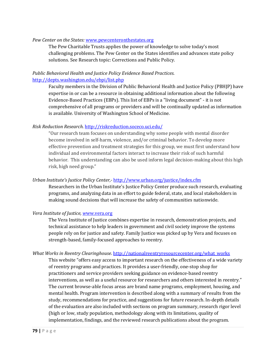#### *Pew Center on the States:* [www.pewcenteronthestates.org](http://www.pewcenteronthestates.org/)

The Pew Charitable Trusts applies the power of knowledge to solve today's most challenging problems. The Pew Center on the States identifies and advances state policy solutions. See Research topic: Corrections and Public Policy.

## *Public Behavioral Health and Justice Policy Evidence Based Practices*. <http://depts.washington.edu/ebpi/list.php>

Faculty members in the Division of Public Behavioral Health and Justice Policy (PBHJP) have expertise in or can be a resource in obtaining additional information about the following Evidence-Based Practices (EBPs). This list of EBPs is a "living document" - it is not comprehensive of all programs or providers and will be continually updated as information is available. University of Washington School of Medicine.

## *Risk Reduction Research.* <http://riskreduction.soceco.uci.edu/>

"Our research team focuses on understanding why some people with mental disorder become involved in self-harm, violence, and/or criminal behavior. To develop more effective prevention and treatment strategies for this group, we must first understand how individual and environmental factors interact to increase their risk of such harmful behavior. This understanding can also be used inform legal decision-making about this high risk, high need group."

### *Urban Institute's Justice Policy Center,-* <http://www.urban.org/justice/index.cfm>

Researchers in the Urban Institute's Justice Policy Center produce such research, evaluating programs, and analyzing data in an effort to guide federal, state, and local stakeholders in making sound decisions that will increase the safety of communities nationwide.

## *Vera Institute of Justice, w*[ww.vera.org](http://www.vera.org/)

The Vera Institute of Justice combines expertise in research, demonstration projects, and technical assistance to help leaders in government and civil society improve the systems people rely on for justice and safety. Family Justice was picked up by Vera and focuses on strength-based, family-focused approaches to reentry.

#### *What Works in Reentry Clearinghouse*. [http://nationalreentryresourcecenter.org/what\\_works](http://nationalreentryresourcecenter.org/what_works)

This website "offers easy access to important research on the effectiveness of a wide variety of reentry programs and practices. It provides a user-friendly, one-stop shop for practitioners and service providers seeking guidance on evidence-based reentry interventions, as well as a useful resource for researchers and others interested in reentry." The current browse-able focus areas are brand name programs, employment, housing, and mental health. Program intervention is described along with a summary of results from the study, recommendations for practice, and suggestions for future research. In-depth details of the evaluation are also included with sections on program summary, research rigor level (high or low, study population, methodology along with its limitations, quality of implementation, findings, and the reviewed research publications about the program.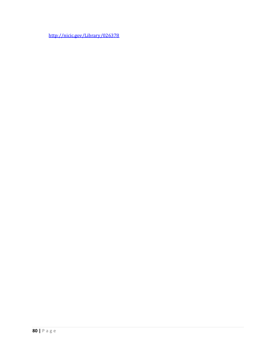<http://nicic.gov/Library/026378>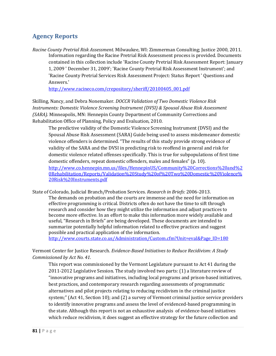# **Agency Reports**

*Racine County Pretrial Risk Assessment.* Milwaukee, WI: Zimmerman Consulting; Justice 2000, 2011. Information regarding the Racine Pretrial Risk Assessment process is provided. Documents contained in this collection include 'Racine County Pretrial Risk Assessment Report: January 1, 2009 ' December 31, 2009'; 'Racine County Pretrial Risk Assessment Instrument'; and 'Racine County Pretrial Services Risk Assessment Project: Status Report ' Questions and Answers.'

[http://www.racineco.com/crepository/sheriff/20100405\\_001.pdf](http://www.racineco.com/crepository/sheriff/20100405_001.pdf)

Skilling, Nancy, and Debra Nonemaker. *DOCCR Validation of Two Domestic Violence Risk Instruments: Domestic Violence Screening Instrument (DVSI) & Spousal Abuse Risk Assessment (SARA).* Minneapolis, MN: Hennepin County Department of Community Corrections and Rehabilitation Office of Planning, Policy and Evaluation, 2010.

The predictive validity of the Domestic Violence Screening Instrument (DVSI) and the Spousal Abuse Risk Assessment (SARA) Guide being used to assess misdemeanor domestic violence offenders is determined. "The results of this study provide strong evidence of validity of the SARA and the DVSI in predicting risk to reoffend in general and risk for domestic violence related offenses specifically. This is true for subpopulations of first time domestic offenders, repeat domestic offenders, males and females" (p. 10). [http://www.co.hennepin.mn.us/files/HennepinUS/Community%20Corrections%20and%2](http://www.co.hennepin.mn.us/files/HennepinUS/Community%20Corrections%20and%20Rehabilitation/Reports/Validation%20Study%20of%20Two%20Domestic%20Violence%20Risk%20Instruments.pdf) [0Rehabilitation/Reports/Validation%20Study%20of%20Two%20Domestic%20Violence%](http://www.co.hennepin.mn.us/files/HennepinUS/Community%20Corrections%20and%20Rehabilitation/Reports/Validation%20Study%20of%20Two%20Domestic%20Violence%20Risk%20Instruments.pdf) [20Risk%20Instruments.pdf](http://www.co.hennepin.mn.us/files/HennepinUS/Community%20Corrections%20and%20Rehabilitation/Reports/Validation%20Study%20of%20Two%20Domestic%20Violence%20Risk%20Instruments.pdf)

State of Colorado, Judicial Branch/Probation Services. *Research in Briefs:* 2006-2013. The demands on probation and the courts are immense and the need for information on effective programming is critical. Districts often do not have the time to sift through research and consider how they might utilize the information and adjust practices to become more effective. In an effort to make this information more widely available and useful, "Research in Briefs" are being developed. These documents are intended to summarize potentially helpful information related to effective practices and suggest possible and practical application of the information. [http://www.courts.state.co.us/Administration/Custom.cfm?Unit=eval&Page\\_ID=180](http://www.courts.state.co.us/Administration/Custom.cfm?Unit=eval&Page_ID=180)

Vermont Center for Justice Research. *Evidence-Based Initiatives to Reduce Recidivism: A Study Commissioned by Act No. 41.*

This report was commissioned by the Vermont Legislature pursuant to Act 41 during the 2011-2012 Legislative Session. The study involved two parts: (1) a literature review of "innovative programs and initiatives, including local programs and prison-based initiatives, best practices, and contemporary research regarding assessments of programmatic alternatives and pilot projects relating to reducing recidivism in the criminal justice system;" (Act 41, Section 10); and (2) a survey of Vermont criminal justice service providers to identify innovative programs and assess the level of evidenced-based programming in the state. Although this report is not an exhaustive analysis of evidence-based initiatives which reduce recidivism, it does suggest an effective strategy for the future collection and